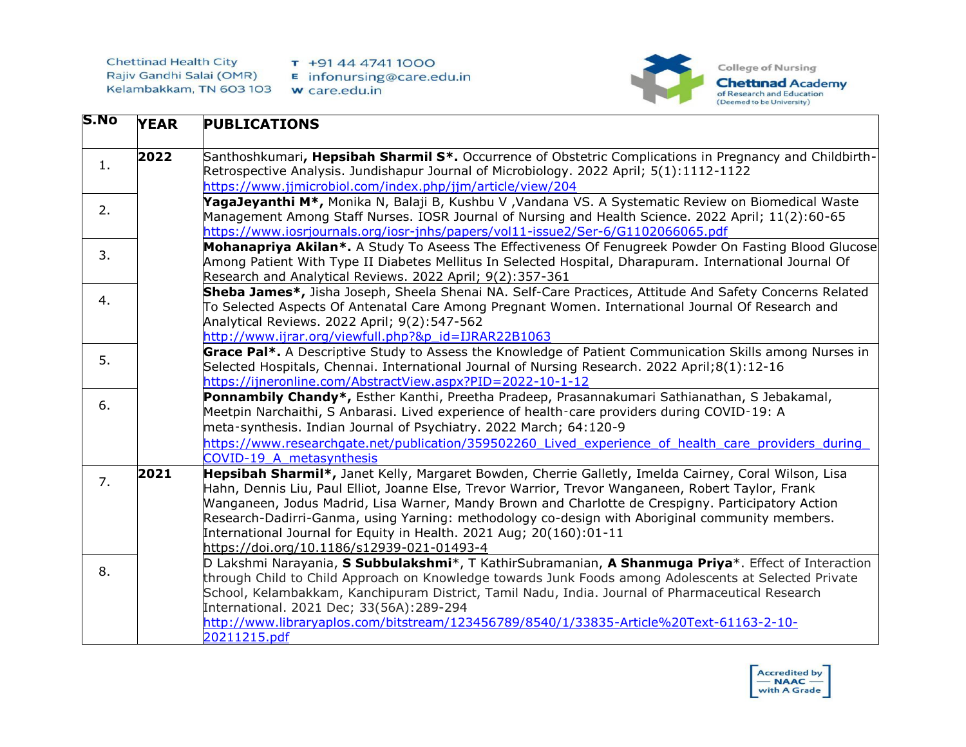

| D.NO | <b>YEAR</b> | <b>PUBLICATIONS</b>                                                                                                                                                                                                                                                                                                                                                                                                                                                                                                                       |
|------|-------------|-------------------------------------------------------------------------------------------------------------------------------------------------------------------------------------------------------------------------------------------------------------------------------------------------------------------------------------------------------------------------------------------------------------------------------------------------------------------------------------------------------------------------------------------|
| 1.   | 2022        | Santhoshkumari, Hepsibah Sharmil S*. Occurrence of Obstetric Complications in Pregnancy and Childbirth-<br>Retrospective Analysis. Jundishapur Journal of Microbiology. 2022 April; 5(1):1112-1122<br>https://www.jimicrobiol.com/index.php/jim/article/view/204                                                                                                                                                                                                                                                                          |
| 2.   |             | YagaJeyanthi M*, Monika N, Balaji B, Kushbu V , Vandana VS. A Systematic Review on Biomedical Waste<br>Management Among Staff Nurses. IOSR Journal of Nursing and Health Science. 2022 April; 11(2):60-65<br>https://www.iosrjournals.org/iosr-jnhs/papers/vol11-issue2/Ser-6/G1102066065.pdf                                                                                                                                                                                                                                             |
| 3.   |             | Mohanapriya Akilan*. A Study To Aseess The Effectiveness Of Fenugreek Powder On Fasting Blood Glucose<br>Among Patient With Type II Diabetes Mellitus In Selected Hospital, Dharapuram. International Journal Of<br>Research and Analytical Reviews. 2022 April; 9(2):357-361                                                                                                                                                                                                                                                             |
| 4.   |             | Sheba James*, Jisha Joseph, Sheela Shenai NA. Self-Care Practices, Attitude And Safety Concerns Related<br>To Selected Aspects Of Antenatal Care Among Pregnant Women. International Journal Of Research and<br>Analytical Reviews. 2022 April; 9(2):547-562<br>http://www.ijrar.org/viewfull.php?&p_id=IJRAR22B1063                                                                                                                                                                                                                      |
| 5.   |             | Grace Pal*. A Descriptive Study to Assess the Knowledge of Patient Communication Skills among Nurses in<br>Selected Hospitals, Chennai. International Journal of Nursing Research. 2022 April; 8(1):12-16<br>https://ijneronline.com/AbstractView.aspx?PID=2022-10-1-12                                                                                                                                                                                                                                                                   |
| 6.   |             | Ponnambily Chandy*, Esther Kanthi, Preetha Pradeep, Prasannakumari Sathianathan, S Jebakamal,<br>Meetpin Narchaithi, S Anbarasi. Lived experience of health-care providers during COVID-19: A<br>meta-synthesis. Indian Journal of Psychiatry. 2022 March; 64:120-9<br>https://www.researchgate.net/publication/359502260 Lived experience of health care providers during<br>COVID-19 A metasynthesis                                                                                                                                    |
| 7.   | 2021        | Hepsibah Sharmil*, Janet Kelly, Margaret Bowden, Cherrie Galletly, Imelda Cairney, Coral Wilson, Lisa<br>Hahn, Dennis Liu, Paul Elliot, Joanne Else, Trevor Warrior, Trevor Wanganeen, Robert Taylor, Frank<br>Wanganeen, Jodus Madrid, Lisa Warner, Mandy Brown and Charlotte de Crespigny. Participatory Action<br>Research-Dadirri-Ganma, using Yarning: methodology co-design with Aboriginal community members.<br>International Journal for Equity in Health. 2021 Aug; 20(160):01-11<br>https://doi.org/10.1186/s12939-021-01493-4 |
| 8.   |             | D Lakshmi Narayania, S Subbulakshmi*, T KathirSubramanian, A Shanmuga Priya*. Effect of Interaction<br>through Child to Child Approach on Knowledge towards Junk Foods among Adolescents at Selected Private<br>School, Kelambakkam, Kanchipuram District, Tamil Nadu, India. Journal of Pharmaceutical Research<br>International. 2021 Dec; 33(56A):289-294<br>http://www.libraryaplos.com/bitstream/123456789/8540/1/33835-Article%20Text-61163-2-10-<br>20211215.pdf                                                                   |

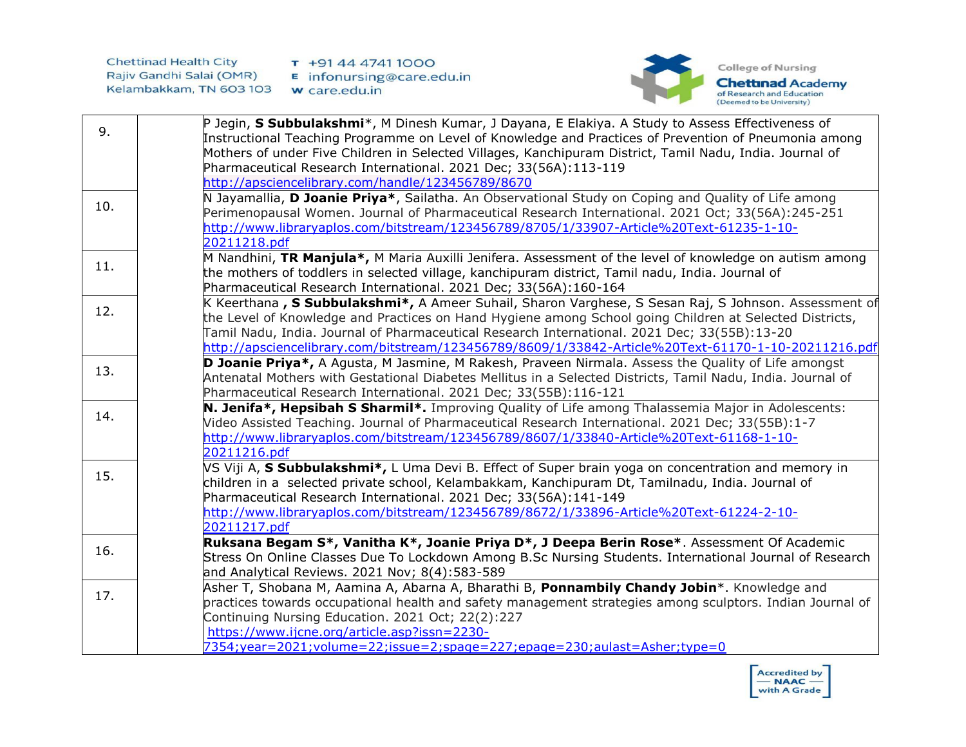

| 9.  | P Jegin, S Subbulakshmi*, M Dinesh Kumar, J Dayana, E Elakiya. A Study to Assess Effectiveness of<br>Instructional Teaching Programme on Level of Knowledge and Practices of Prevention of Pneumonia among<br>Mothers of under Five Children in Selected Villages, Kanchipuram District, Tamil Nadu, India. Journal of<br>Pharmaceutical Research International. 2021 Dec; 33(56A):113-119<br>http://apsciencelibrary.com/handle/123456789/8670 |
|-----|-------------------------------------------------------------------------------------------------------------------------------------------------------------------------------------------------------------------------------------------------------------------------------------------------------------------------------------------------------------------------------------------------------------------------------------------------|
| 10. | N Jayamallia, D Joanie Priya*, Sailatha. An Observational Study on Coping and Quality of Life among<br>Perimenopausal Women. Journal of Pharmaceutical Research International. 2021 Oct; 33(56A):245-251<br>http://www.libraryaplos.com/bitstream/123456789/8705/1/33907-Article%20Text-61235-1-10-<br>20211218.pdf                                                                                                                             |
| 11. | M Nandhini, TR Manjula*, M Maria Auxilli Jenifera. Assessment of the level of knowledge on autism among<br>the mothers of toddlers in selected village, kanchipuram district, Tamil nadu, India. Journal of<br>Pharmaceutical Research International. 2021 Dec; 33(56A):160-164                                                                                                                                                                 |
| 12. | K Keerthana , S Subbulakshmi*, A Ameer Suhail, Sharon Varghese, S Sesan Raj, S Johnson. Assessment of<br>the Level of Knowledge and Practices on Hand Hygiene among School going Children at Selected Districts,<br>Tamil Nadu, India. Journal of Pharmaceutical Research International. 2021 Dec; 33(55B):13-20<br>http://apsciencelibrary.com/bitstream/123456789/8609/1/33842-Article%20Text-61170-1-10-20211216.pdf                         |
| 13. | D Joanie Priya*, A Agusta, M Jasmine, M Rakesh, Praveen Nirmala. Assess the Quality of Life amongst<br>Antenatal Mothers with Gestational Diabetes Mellitus in a Selected Districts, Tamil Nadu, India. Journal of<br>Pharmaceutical Research International. 2021 Dec; 33(55B):116-121                                                                                                                                                          |
| 14. | N. Jenifa*, Hepsibah S Sharmil*. Improving Quality of Life among Thalassemia Major in Adolescents:<br>Video Assisted Teaching. Journal of Pharmaceutical Research International. 2021 Dec; 33(55B):1-7<br>http://www.libraryaplos.com/bitstream/123456789/8607/1/33840-Article%20Text-61168-1-10-<br>20211216.pdf                                                                                                                               |
| 15. | VS Viji A, S Subbulakshmi*, L Uma Devi B. Effect of Super brain yoga on concentration and memory in<br>children in a selected private school, Kelambakkam, Kanchipuram Dt, Tamilnadu, India. Journal of<br>Pharmaceutical Research International. 2021 Dec; 33(56A):141-149<br>http://www.libraryaplos.com/bitstream/123456789/8672/1/33896-Article%20Text-61224-2-10-<br>20211217.pdf                                                          |
| 16. | Ruksana Begam S*, Vanitha K*, Joanie Priya D*, J Deepa Berin Rose*. Assessment Of Academic<br>Stress On Online Classes Due To Lockdown Among B.Sc Nursing Students. International Journal of Research<br>and Analytical Reviews. 2021 Nov; 8(4):583-589                                                                                                                                                                                         |
| 17. | Asher T, Shobana M, Aamina A, Abarna A, Bharathi B, Ponnambily Chandy Jobin*. Knowledge and<br>practices towards occupational health and safety management strategies among sculptors. Indian Journal of<br>Continuing Nursing Education. 2021 Oct; 22(2):227<br>https://www.ijcne.org/article.asp?issn=2230-<br>7354;year=2021;volume=22;issue=2;spage=227;epage=230;aulast=Asher;type=0                                                       |

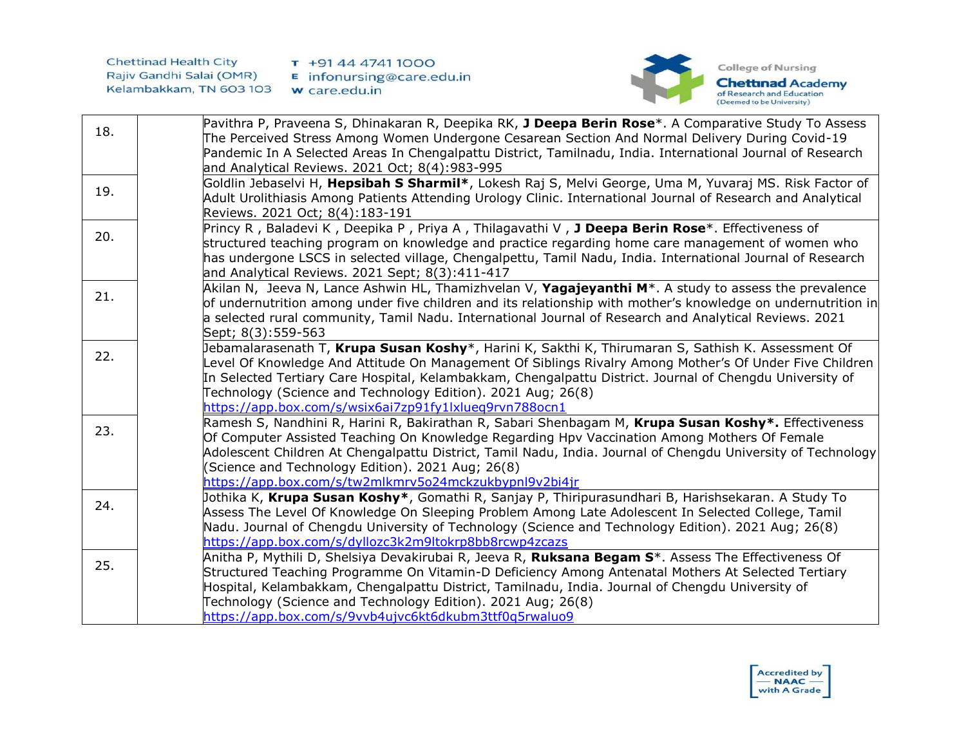

| 18. | Pavithra P, Praveena S, Dhinakaran R, Deepika RK, J Deepa Berin Rose*. A Comparative Study To Assess                                                                                                             |
|-----|------------------------------------------------------------------------------------------------------------------------------------------------------------------------------------------------------------------|
|     | The Perceived Stress Among Women Undergone Cesarean Section And Normal Delivery During Covid-19                                                                                                                  |
|     | Pandemic In A Selected Areas In Chengalpattu District, Tamilnadu, India. International Journal of Research                                                                                                       |
|     | and Analytical Reviews. 2021 Oct; 8(4):983-995                                                                                                                                                                   |
| 19. | Goldlin Jebaselvi H, Hepsibah S Sharmil*, Lokesh Raj S, Melvi George, Uma M, Yuvaraj MS. Risk Factor of                                                                                                          |
|     | Adult Urolithiasis Among Patients Attending Urology Clinic. International Journal of Research and Analytical                                                                                                     |
|     | Reviews. 2021 Oct; 8(4):183-191                                                                                                                                                                                  |
| 20. | Princy R, Baladevi K, Deepika P, Priya A, Thilagavathi V, J Deepa Berin Rose*. Effectiveness of                                                                                                                  |
|     | structured teaching program on knowledge and practice regarding home care management of women who                                                                                                                |
|     | has undergone LSCS in selected village, Chengalpettu, Tamil Nadu, India. International Journal of Research                                                                                                       |
|     | and Analytical Reviews. 2021 Sept; 8(3):411-417                                                                                                                                                                  |
| 21. | Akilan N, Jeeva N, Lance Ashwin HL, Thamizhvelan V, Yagajeyanthi M <sup>*</sup> . A study to assess the prevalence                                                                                               |
|     | of undernutrition among under five children and its relationship with mother's knowledge on undernutrition in                                                                                                    |
|     | a selected rural community, Tamil Nadu. International Journal of Research and Analytical Reviews. 2021                                                                                                           |
|     | Sept; 8(3):559-563                                                                                                                                                                                               |
| 22. | Jebamalarasenath T, <b>Krupa Susan Koshy</b> *, Harini K, Sakthi K, Thirumaran S, Sathish K. Assessment Of                                                                                                       |
|     | evel Of Knowledge And Attitude On Management Of Siblings Rivalry Among Mother's Of Under Five Children                                                                                                           |
|     | In Selected Tertiary Care Hospital, Kelambakkam, Chengalpattu District. Journal of Chengdu University of                                                                                                         |
|     | Technology (Science and Technology Edition). 2021 Aug; 26(8)                                                                                                                                                     |
|     | https://app.box.com/s/wsix6ai7zp91fy1lxlueq9rvn788ocn1                                                                                                                                                           |
| 23. | Ramesh S, Nandhini R, Harini R, Bakirathan R, Sabari Shenbagam M, Krupa Susan Koshy*. Effectiveness                                                                                                              |
|     | Of Computer Assisted Teaching On Knowledge Regarding Hpv Vaccination Among Mothers Of Female                                                                                                                     |
|     | Adolescent Children At Chengalpattu District, Tamil Nadu, India. Journal of Chengdu University of Technology                                                                                                     |
|     | (Science and Technology Edition). 2021 Aug; 26(8)<br>https://app.box.com/s/tw2mlkmrv5o24mckzukbypnl9v2bi4jr                                                                                                      |
|     |                                                                                                                                                                                                                  |
| 24. | Jothika K, <b>Krupa Susan Koshy*</b> , Gomathi R, Sanjay P, Thiripurasundhari B, Harishsekaran. A Study To<br>Assess The Level Of Knowledge On Sleeping Problem Among Late Adolescent In Selected College, Tamil |
|     | Nadu. Journal of Chengdu University of Technology (Science and Technology Edition). 2021 Aug; 26(8)                                                                                                              |
|     | https://app.box.com/s/dyllozc3k2m9ltokrp8bb8rcwp4zcazs                                                                                                                                                           |
|     | Anitha P, Mythili D, Shelsiya Devakirubai R, Jeeva R, <b>Ruksana Begam S</b> *. Assess The Effectiveness Of                                                                                                      |
| 25. | Structured Teaching Programme On Vitamin-D Deficiency Among Antenatal Mothers At Selected Tertiary                                                                                                               |
|     | Hospital, Kelambakkam, Chengalpattu District, Tamilnadu, India. Journal of Chengdu University of                                                                                                                 |
|     | Technology (Science and Technology Edition). 2021 Aug; 26(8)                                                                                                                                                     |
|     | https://app.box.com/s/9vvb4ujvc6kt6dkubm3ttf0q5rwaluo9                                                                                                                                                           |
|     |                                                                                                                                                                                                                  |

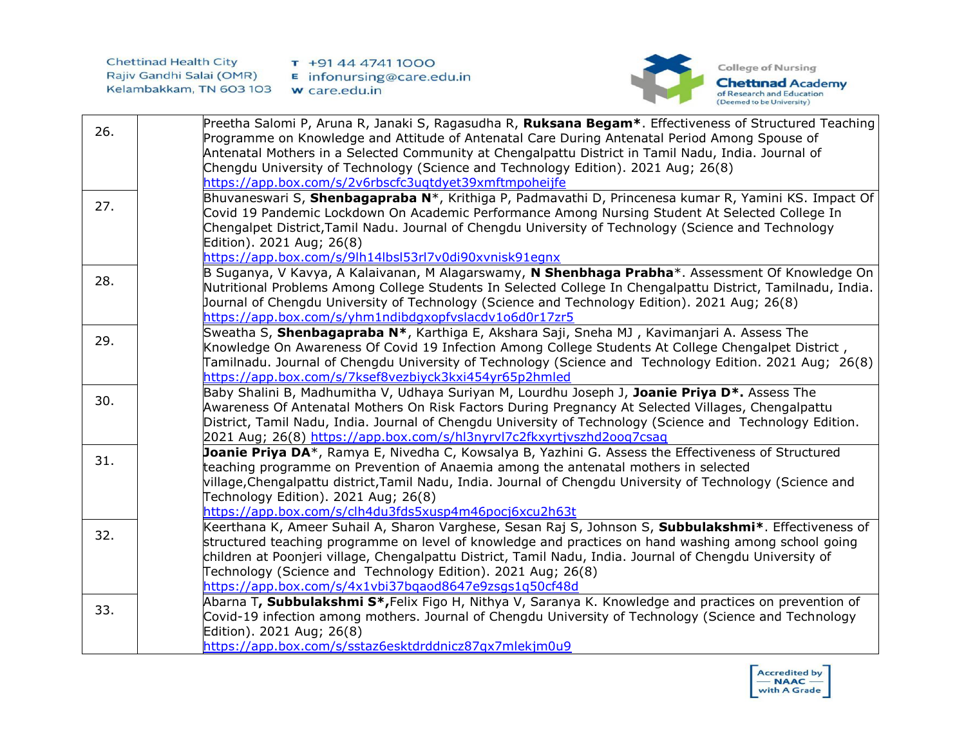

|     | Preetha Salomi P, Aruna R, Janaki S, Ragasudha R, Ruksana Begam*. Effectiveness of Structured Teaching      |
|-----|-------------------------------------------------------------------------------------------------------------|
| 26. | Programme on Knowledge and Attitude of Antenatal Care During Antenatal Period Among Spouse of               |
|     | Antenatal Mothers in a Selected Community at Chengalpattu District in Tamil Nadu, India. Journal of         |
|     | Chengdu University of Technology (Science and Technology Edition). 2021 Aug; 26(8)                          |
|     | https://app.box.com/s/2v6rbscfc3ugtdyet39xmftmpoheijfe                                                      |
|     | Bhuvaneswari S, Shenbagapraba N*, Krithiga P, Padmavathi D, Princenesa kumar R, Yamini KS. Impact Of        |
| 27. | Covid 19 Pandemic Lockdown On Academic Performance Among Nursing Student At Selected College In             |
|     | Chengalpet District, Tamil Nadu. Journal of Chengdu University of Technology (Science and Technology        |
|     | Edition). 2021 Aug; 26(8)                                                                                   |
|     | https://app.box.com/s/9lh14lbsl53rl7v0di90xvnisk91egnx                                                      |
|     | B Suganya, V Kavya, A Kalaivanan, M Alagarswamy, N Shenbhaga Prabha*. Assessment Of Knowledge On            |
| 28. | Nutritional Problems Among College Students In Selected College In Chengalpattu District, Tamilnadu, India. |
|     | Journal of Chengdu University of Technology (Science and Technology Edition). 2021 Aug; 26(8)               |
|     | https://app.box.com/s/yhm1ndibdgxopfvslacdv1o6d0r17zr5                                                      |
|     |                                                                                                             |
| 29. | Sweatha S, Shenbagapraba N*, Karthiga E, Akshara Saji, Sneha MJ, Kavimanjari A. Assess The                  |
|     | Knowledge On Awareness Of Covid 19 Infection Among College Students At College Chengalpet District,         |
|     | Tamilnadu. Journal of Chengdu University of Technology (Science and Technology Edition. 2021 Aug; 26(8)     |
|     | https://app.box.com/s/7ksef8vezbiyck3kxi454yr65p2hmled                                                      |
| 30. | Baby Shalini B, Madhumitha V, Udhaya Suriyan M, Lourdhu Joseph J, <b>Joanie Priya D*.</b> Assess The        |
|     | Awareness Of Antenatal Mothers On Risk Factors During Pregnancy At Selected Villages, Chengalpattu          |
|     | District, Tamil Nadu, India. Journal of Chengdu University of Technology (Science and Technology Edition.   |
|     | 2021 Aug; 26(8) https://app.box.com/s/hl3nyrvl7c2fkxyrtjvszhd2oog7csag                                      |
| 31. | Joanie Priya DA*, Ramya E, Nivedha C, Kowsalya B, Yazhini G. Assess the Effectiveness of Structured         |
|     | teaching programme on Prevention of Anaemia among the antenatal mothers in selected                         |
|     | village, Chengalpattu district, Tamil Nadu, India. Journal of Chengdu University of Technology (Science and |
|     | Technology Edition). 2021 Aug; 26(8)                                                                        |
|     | https://app.box.com/s/clh4du3fds5xusp4m46pocj6xcu2h63t                                                      |
|     | Keerthana K, Ameer Suhail A, Sharon Varghese, Sesan Raj S, Johnson S, Subbulakshmi*. Effectiveness of       |
| 32. | structured teaching programme on level of knowledge and practices on hand washing among school going        |
|     | children at Poonjeri village, Chengalpattu District, Tamil Nadu, India. Journal of Chengdu University of    |
|     | Technology (Science and Technology Edition). 2021 Aug; 26(8)                                                |
|     | https://app.box.com/s/4x1vbi37bgaod8647e9zsgs1g50cf48d                                                      |
|     | Abarna T, Subbulakshmi S*, Felix Figo H, Nithya V, Saranya K. Knowledge and practices on prevention of      |
| 33. | Covid-19 infection among mothers. Journal of Chengdu University of Technology (Science and Technology       |
|     | Edition). 2021 Aug; 26(8)                                                                                   |
|     | https://app.box.com/s/sstaz6esktdrddnicz87qx7mlekjm0u9                                                      |
|     |                                                                                                             |

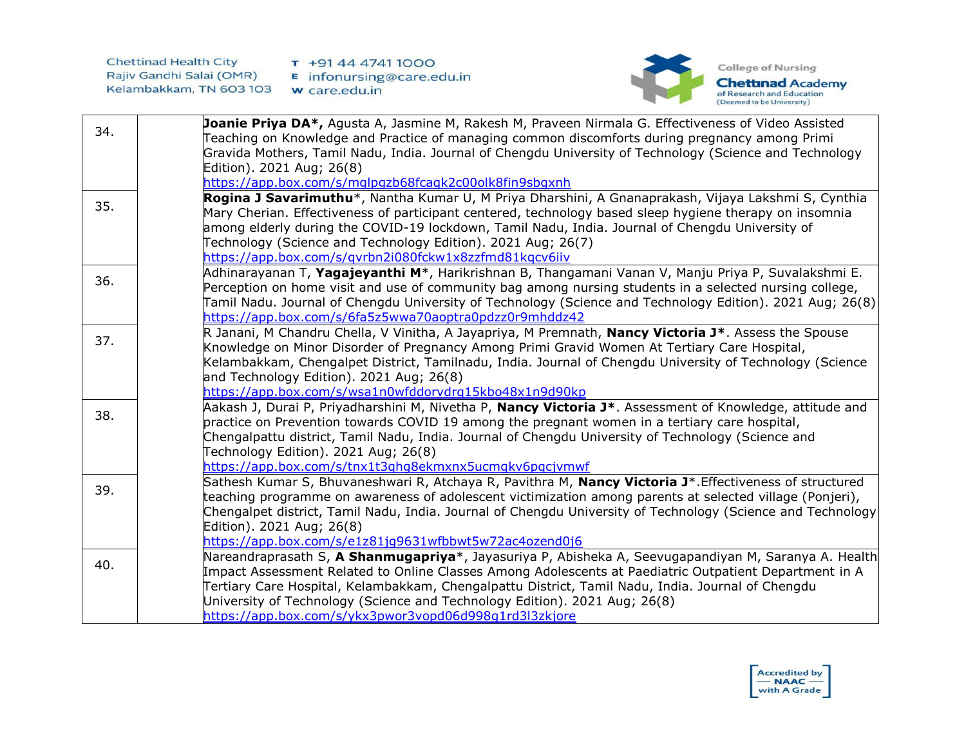

| 34. | Joanie Priya DA*, Agusta A, Jasmine M, Rakesh M, Praveen Nirmala G. Effectiveness of Video Assisted               |
|-----|-------------------------------------------------------------------------------------------------------------------|
|     | Teaching on Knowledge and Practice of managing common discomforts during pregnancy among Primi                    |
|     | Gravida Mothers, Tamil Nadu, India. Journal of Chengdu University of Technology (Science and Technology           |
|     | Edition). 2021 Aug; 26(8)                                                                                         |
|     | https://app.box.com/s/mglpgzb68fcagk2c00olk8fin9sbgxnh                                                            |
| 35. | Rogina J Savarimuthu*, Nantha Kumar U, M Priya Dharshini, A Gnanaprakash, Vijaya Lakshmi S, Cynthia               |
|     | Mary Cherian. Effectiveness of participant centered, technology based sleep hygiene therapy on insomnia           |
|     | among elderly during the COVID-19 lockdown, Tamil Nadu, India. Journal of Chengdu University of                   |
|     | Technology (Science and Technology Edition). 2021 Aug; 26(7)                                                      |
|     | https://app.box.com/s/gvrbn2i080fckw1x8zzfmd81kgcv6iiv                                                            |
| 36. | Adhinarayanan T, Yagajeyanthi M*, Harikrishnan B, Thangamani Vanan V, Manju Priya P, Suvalakshmi E.               |
|     | Perception on home visit and use of community bag among nursing students in a selected nursing college,           |
|     | [amil Nadu. Journal of Chengdu University of Technology (Science and Technology Edition). 2021 Aug; 26(8)         |
|     | https://app.box.com/s/6fa5z5wwa70aoptra0pdzz0r9mhddz42                                                            |
| 37. | R Janani, M Chandru Chella, V Vinitha, A Jayapriya, M Premnath, Nancy Victoria J <sup>*</sup> . Assess the Spouse |
|     | Knowledge on Minor Disorder of Pregnancy Among Primi Gravid Women At Tertiary Care Hospital,                      |
|     | Kelambakkam, Chengalpet District, Tamilnadu, India. Journal of Chengdu University of Technology (Science          |
|     | and Technology Edition). 2021 Aug; 26(8)                                                                          |
|     | https://app.box.com/s/wsa1n0wfddorvdrq15kbo48x1n9d90kp                                                            |
| 38. | Aakash J, Durai P, Priyadharshini M, Nivetha P, <b>Nancy Victoria J*</b> . Assessment of Knowledge, attitude and  |
|     | practice on Prevention towards COVID 19 among the pregnant women in a tertiary care hospital,                     |
|     | Chengalpattu district, Tamil Nadu, India. Journal of Chengdu University of Technology (Science and                |
|     | Technology Edition). 2021 Aug; 26(8)<br>https://app.box.com/s/tnx1t3ghq8ekmxnx5ucmqkv6pqcjvmwf                    |
|     | Sathesh Kumar S, Bhuvaneshwari R, Atchaya R, Pavithra M, Nancy Victoria J*. Effectiveness of structured           |
| 39. | teaching programme on awareness of adolescent victimization among parents at selected village (Ponjeri),          |
|     | Chengalpet district, Tamil Nadu, India. Journal of Chengdu University of Technology (Science and Technology       |
|     | Edition). 2021 Aug; 26(8)                                                                                         |
|     | https://app.box.com/s/e1z81jq9631wfbbwt5w72ac4ozend0j6                                                            |
|     | Nareandraprasath S, A Shanmugapriya*, Jayasuriya P, Abisheka A, Seevugapandiyan M, Saranya A. Health              |
| 40. | Impact Assessment Related to Online Classes Among Adolescents at Paediatric Outpatient Department in A            |
|     | Tertiary Care Hospital, Kelambakkam, Chengalpattu District, Tamil Nadu, India. Journal of Chengdu                 |
|     | University of Technology (Science and Technology Edition). 2021 Aug; 26(8)                                        |
|     | https://app.box.com/s/ykx3pwor3vopd06d998q1rd3l3zkjore                                                            |
|     |                                                                                                                   |

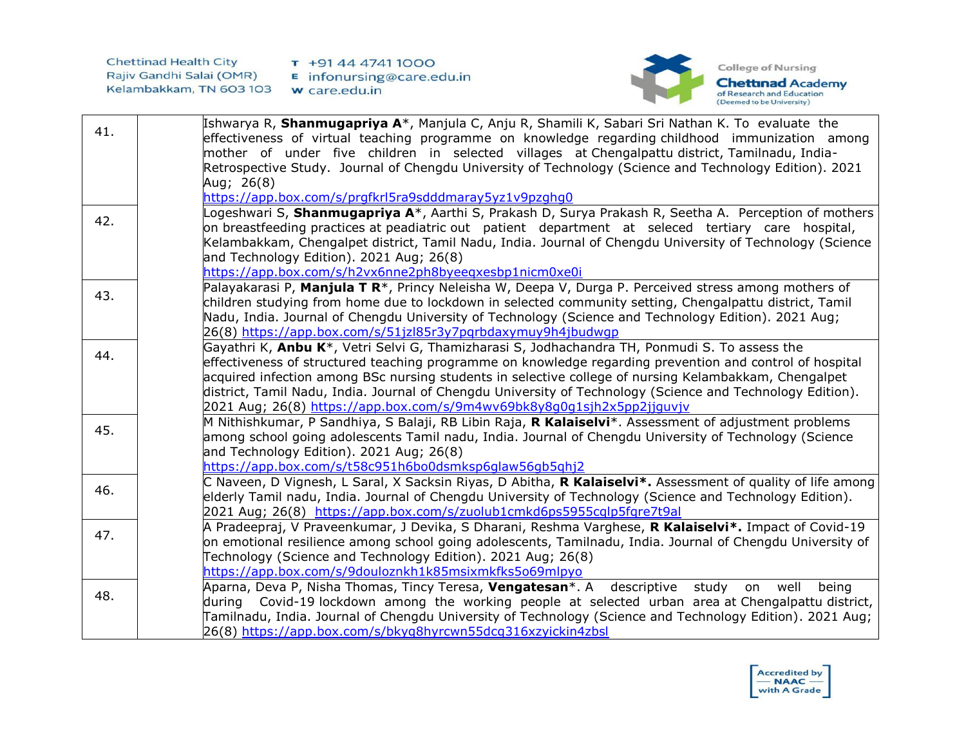

| 41. | Ishwarya R, Shanmugapriya A*, Manjula C, Anju R, Shamili K, Sabari Sri Nathan K. To evaluate the<br>effectiveness of virtual teaching programme on knowledge regarding childhood immunization among<br>mother of under five children in selected villages at Chengalpattu-district, Tamilnadu, India-<br>Retrospective Study. Journal of Chengdu University of Technology (Science and Technology Edition). 2021<br>Aug; 26(8)                                                                             |
|-----|------------------------------------------------------------------------------------------------------------------------------------------------------------------------------------------------------------------------------------------------------------------------------------------------------------------------------------------------------------------------------------------------------------------------------------------------------------------------------------------------------------|
|     | https://app.box.com/s/prgfkrl5ra9sdddmaray5yz1v9pzghq0<br>Logeshwari S, Shanmugapriya A*, Aarthi S, Prakash D, Surya Prakash R, Seetha A. Perception of mothers                                                                                                                                                                                                                                                                                                                                            |
| 42. | on breastfeeding practices at peadiatric out patient department at seleced tertiary care hospital,<br>Kelambakkam, Chengalpet district, Tamil Nadu, India. Journal of Chengdu University of Technology (Science<br>and Technology Edition). 2021 Aug; 26(8)<br>https://app.box.com/s/h2vx6nne2ph8byeeqxesbp1nicm0xe0i                                                                                                                                                                                      |
| 43. | Palayakarasi P, Manjula T R*, Princy Neleisha W, Deepa V, Durga P. Perceived stress among mothers of<br>children studying from home due to lockdown in selected community setting, Chengalpattu district, Tamil<br>Nadu, India. Journal of Chengdu University of Technology (Science and Technology Edition). 2021 Aug;<br>26(8) https://app.box.com/s/51jzl85r3y7pgrbdaxymuy9h4jbudwgp                                                                                                                    |
| 44. | Gayathri K, Anbu K*, Vetri Selvi G, Thamizharasi S, Jodhachandra TH, Ponmudi S. To assess the<br>effectiveness of structured teaching programme on knowledge regarding prevention and control of hospital<br>acquired infection among BSc nursing students in selective college of nursing Kelambakkam, Chengalpet<br>district, Tamil Nadu, India. Journal of Chengdu University of Technology (Science and Technology Edition).<br>2021 Aug; 26(8) https://app.box.com/s/9m4wv69bk8y8q0q1sjh2x5pp2jjquvjv |
| 45. | M Nithishkumar, P Sandhiya, S Balaji, RB Libin Raja, <b>R Kalaiselvi</b> *. Assessment of adjustment problems<br>among school going adolescents Tamil nadu, India. Journal of Chengdu University of Technology (Science<br>and Technology Edition). 2021 Aug; 26(8)<br>https://app.box.com/s/t58c951h6bo0dsmksp6qlaw56qb5qhj2                                                                                                                                                                              |
| 46. | C Naveen, D Vignesh, L Saral, X Sacksin Riyas, D Abitha, R Kalaiselvi*. Assessment of quality of life among<br>elderly Tamil nadu, India. Journal of Chengdu University of Technology (Science and Technology Edition).<br>2021 Aug; 26(8) https://app.box.com/s/zuolub1cmkd6ps5955cglp5fgre7t9al                                                                                                                                                                                                          |
| 47. | A Pradeepraj, V Praveenkumar, J Devika, S Dharani, Reshma Varghese, <b>R Kalaiselvi*.</b> Impact of Covid-19<br>on emotional resilience among school going adolescents, Tamilnadu, India. Journal of Chengdu University of<br>Technology (Science and Technology Edition). 2021 Aug; 26(8)<br>https://app.box.com/s/9douloznkh1k85msixmkfks5o69mlpyo                                                                                                                                                       |
| 48. | Aparna, Deva P, Nisha Thomas, Tincy Teresa, Vengatesan*. A descriptive<br>study<br>being<br>on<br>well<br>during Covid-19 lockdown among the working people at selected urban area at Chengalpattu district,<br>Tamilnadu, India. Journal of Chengdu University of Technology (Science and Technology Edition). 2021 Aug;<br>26(8) https://app.box.com/s/bkyq8hyrcwn55dcq316xzyickin4zbsl                                                                                                                  |

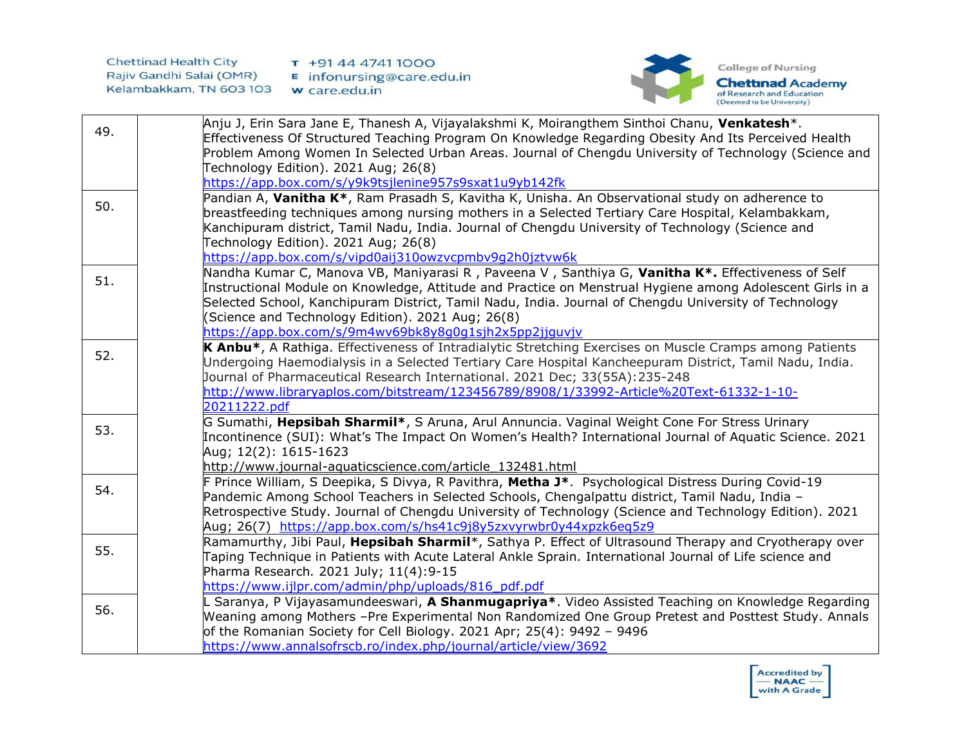

|     | Anju J, Erin Sara Jane E, Thanesh A, Vijayalakshmi K, Moirangthem Sinthoi Chanu, Venkatesh*.                                                                               |
|-----|----------------------------------------------------------------------------------------------------------------------------------------------------------------------------|
| 49. | Effectiveness Of Structured Teaching Program On Knowledge Regarding Obesity And Its Perceived Health                                                                       |
|     | Problem Among Women In Selected Urban Areas. Journal of Chengdu University of Technology (Science and                                                                      |
|     | Technology Edition). 2021 Aug; 26(8)                                                                                                                                       |
|     | https://app.box.com/s/y9k9tsjlenine957s9sxat1u9yb142fk                                                                                                                     |
| 50. | Pandian A, Vanitha K*, Ram Prasadh S, Kavitha K, Unisha. An Observational study on adherence to                                                                            |
|     | breastfeeding techniques among nursing mothers in a Selected Tertiary Care Hospital, Kelambakkam,                                                                          |
|     | Kanchipuram district, Tamil Nadu, India. Journal of Chengdu University of Technology (Science and                                                                          |
|     | Technology Edition). 2021 Aug; 26(8)                                                                                                                                       |
|     | https://app.box.com/s/vipd0aij310owzvcpmbv9q2h0jztvw6k                                                                                                                     |
| 51. | Nandha Kumar C, Manova VB, Maniyarasi R, Paveena V, Santhiya G, Vanitha K <sup>*</sup> . Effectiveness of Self                                                             |
|     | Instructional Module on Knowledge, Attitude and Practice on Menstrual Hygiene among Adolescent Girls in a                                                                  |
|     | Selected School, Kanchipuram District, Tamil Nadu, India. Journal of Chengdu University of Technology                                                                      |
|     | (Science and Technology Edition). 2021 Aug; 26(8)                                                                                                                          |
|     | https://app.box.com/s/9m4wv69bk8y8q0q1sjh2x5pp2jjquvjv                                                                                                                     |
| 52. | K Anbu*, A Rathiga. Effectiveness of Intradialytic Stretching Exercises on Muscle Cramps among Patients                                                                    |
|     | Undergoing Haemodialysis in a Selected Tertiary Care Hospital Kancheepuram District, Tamil Nadu, India.                                                                    |
|     | Journal of Pharmaceutical Research International. 2021 Dec; 33(55A): 235-248                                                                                               |
|     | http://www.libraryaplos.com/bitstream/123456789/8908/1/33992-Article%20Text-61332-1-10-                                                                                    |
|     | 20211222.pdf                                                                                                                                                               |
| 53. | G Sumathi, Hepsibah Sharmil*, S Aruna, Arul Annuncia. Vaginal Weight Cone For Stress Urinary                                                                               |
|     | Incontinence (SUI): What's The Impact On Women's Health? International Journal of Aquatic Science. 2021                                                                    |
|     | Aug; 12(2): 1615-1623                                                                                                                                                      |
|     | http://www.journal-aquaticscience.com/article 132481.html                                                                                                                  |
| 54. | F Prince William, S Deepika, S Divya, R Pavithra, Metha J*. Psychological Distress During Covid-19                                                                         |
|     | Pandemic Among School Teachers in Selected Schools, Chengalpattu district, Tamil Nadu, India -                                                                             |
|     | Retrospective Study. Journal of Chengdu University of Technology (Science and Technology Edition). 2021                                                                    |
|     | Aug; 26(7) https://app.box.com/s/hs41c9j8y5zxvyrwbr0y44xpzk6eg5z9<br>Ramamurthy, Jibi Paul, Hepsibah Sharmil*, Sathya P. Effect of Ultrasound Therapy and Cryotherapy over |
| 55. | Taping Technique in Patients with Acute Lateral Ankle Sprain. International Journal of Life science and                                                                    |
|     | Pharma Research. 2021 July; 11(4):9-15                                                                                                                                     |
|     | https://www.ijlpr.com/admin/php/uploads/816 pdf.pdf                                                                                                                        |
|     | L Saranya, P Vijayasamundeeswari, <b>A Shanmugapriya*</b> . Video Assisted Teaching on Knowledge Regarding                                                                 |
| 56. | Weaning among Mothers -Pre Experimental Non Randomized One Group Pretest and Posttest Study. Annals                                                                        |
|     | of the Romanian Society for Cell Biology. 2021 Apr; 25(4): 9492 - 9496                                                                                                     |
|     | https://www.annalsofrscb.ro/index.php/journal/article/view/3692                                                                                                            |
|     |                                                                                                                                                                            |

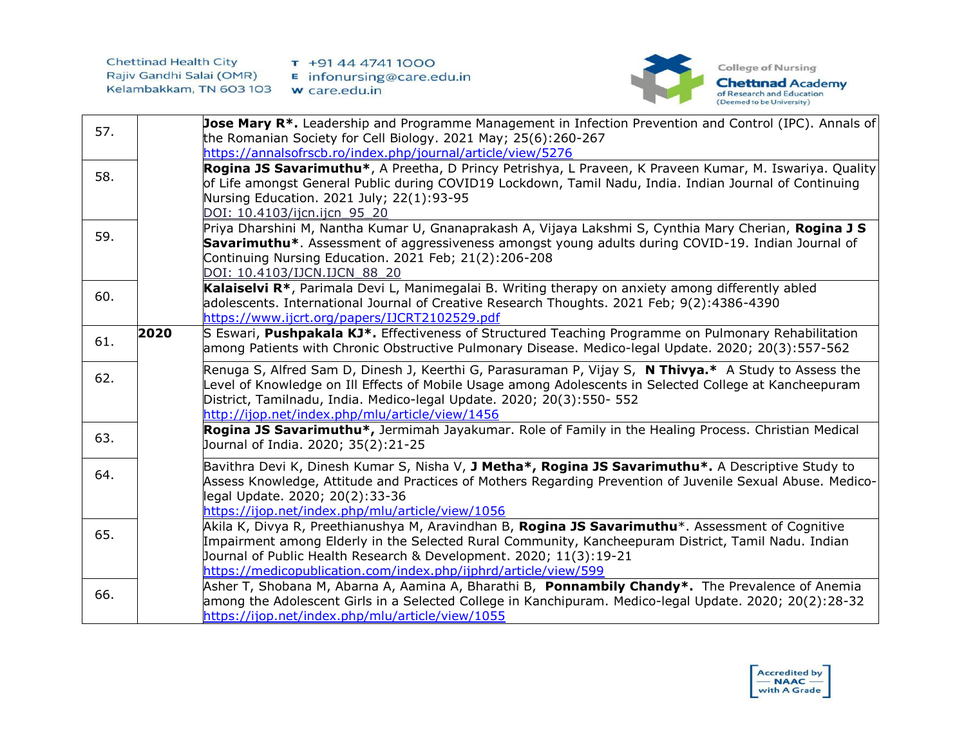

| 57. |      | Jose Mary R <sup>*</sup> . Leadership and Programme Management in Infection Prevention and Control (IPC). Annals of<br>the Romanian Society for Cell Biology. 2021 May; 25(6):260-267                                                                                                                                                                     |
|-----|------|-----------------------------------------------------------------------------------------------------------------------------------------------------------------------------------------------------------------------------------------------------------------------------------------------------------------------------------------------------------|
|     |      | https://annalsofrscb.ro/index.php/journal/article/view/5276                                                                                                                                                                                                                                                                                               |
| 58. |      | Rogina JS Savarimuthu*, A Preetha, D Princy Petrishya, L Praveen, K Praveen Kumar, M. Iswariya. Quality<br>of Life amongst General Public during COVID19 Lockdown, Tamil Nadu, India. Indian Journal of Continuing<br>Nursing Education. 2021 July; 22(1):93-95<br>DOI: 10.4103/ijcn.ijcn 95 20                                                           |
| 59. |      | Priya Dharshini M, Nantha Kumar U, Gnanaprakash A, Vijaya Lakshmi S, Cynthia Mary Cherian, Rogina J S<br>Savarimuthu*. Assessment of aggressiveness amongst young adults during COVID-19. Indian Journal of<br>Continuing Nursing Education. 2021 Feb; 21(2):206-208<br>DOI: 10.4103/IJCN.IJCN 88 20                                                      |
| 60. |      | Kalaiselvi R <sup>*</sup> , Parimala Devi L, Manimegalai B. Writing therapy on anxiety among differently abled<br>adolescents. International Journal of Creative Research Thoughts. 2021 Feb; 9(2):4386-4390<br>https://www.ijcrt.org/papers/IJCRT2102529.pdf                                                                                             |
| 61. | 2020 | S Eswari, Pushpakala KJ*. Effectiveness of Structured Teaching Programme on Pulmonary Rehabilitation<br>among Patients with Chronic Obstructive Pulmonary Disease. Medico-legal Update. 2020; 20(3):557-562                                                                                                                                               |
| 62. |      | Renuga S, Alfred Sam D, Dinesh J, Keerthi G, Parasuraman P, Vijay S, N Thivya.* A Study to Assess the<br>Level of Knowledge on Ill Effects of Mobile Usage among Adolescents in Selected College at Kancheepuram<br>District, Tamilnadu, India. Medico-legal Update. 2020; 20(3):550- 552<br>http://ijop.net/index.php/mlu/article/view/1456              |
| 63. |      | Rogina JS Savarimuthu*, Jermimah Jayakumar. Role of Family in the Healing Process. Christian Medical<br>Journal of India. 2020; 35(2):21-25                                                                                                                                                                                                               |
| 64. |      | Bavithra Devi K, Dinesh Kumar S, Nisha V, J Metha*, Rogina JS Savarimuthu*. A Descriptive Study to<br>Assess Knowledge, Attitude and Practices of Mothers Regarding Prevention of Juvenile Sexual Abuse. Medico-<br>legal Update. 2020; 20(2):33-36<br>https://ijop.net/index.php/mlu/article/view/1056                                                   |
| 65. |      | Akila K, Divya R, Preethianushya M, Aravindhan B, <b>Rogina JS Savarimuthu</b> *. Assessment of Cognitive<br>Impairment among Elderly in the Selected Rural Community, Kancheepuram District, Tamil Nadu. Indian<br>Journal of Public Health Research & Development. 2020; 11(3):19-21<br>https://medicopublication.com/index.php/ijphrd/article/view/599 |
| 66. |      | Asher T, Shobana M, Abarna A, Aamina A, Bharathi B, Ponnambily Chandy*. The Prevalence of Anemia<br>among the Adolescent Girls in a Selected College in Kanchipuram. Medico-legal Update. 2020; 20(2):28-32<br>https://ijop.net/index.php/mlu/article/view/1055                                                                                           |

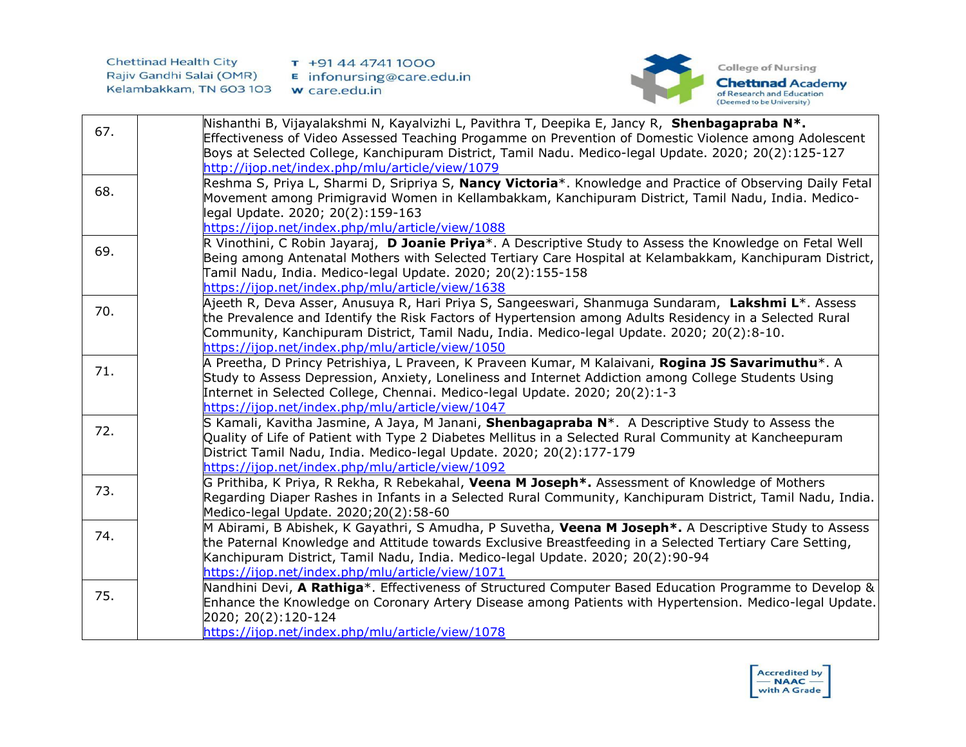

| 67. | Nishanthi B, Vijayalakshmi N, Kayalvizhi L, Pavithra T, Deepika E, Jancy R, Shenbagapraba N*.<br>Effectiveness of Video Assessed Teaching Progamme on Prevention of Domestic Violence among Adolescent                                                                                                                                                   |
|-----|----------------------------------------------------------------------------------------------------------------------------------------------------------------------------------------------------------------------------------------------------------------------------------------------------------------------------------------------------------|
|     | Boys at Selected College, Kanchipuram District, Tamil Nadu. Medico-legal Update. 2020; 20(2):125-127                                                                                                                                                                                                                                                     |
|     | http://ijop.net/index.php/mlu/article/view/1079                                                                                                                                                                                                                                                                                                          |
| 68. | Reshma S, Priya L, Sharmi D, Sripriya S, Nancy Victoria <sup>*</sup> . Knowledge and Practice of Observing Daily Fetal<br>Movement among Primigravid Women in Kellambakkam, Kanchipuram District, Tamil Nadu, India. Medico-<br>legal Update. 2020; 20(2):159-163                                                                                        |
|     | https://ijop.net/index.php/mlu/article/view/1088                                                                                                                                                                                                                                                                                                         |
| 69. | R Vinothini, C Robin Jayaraj, D Joanie Priya*. A Descriptive Study to Assess the Knowledge on Fetal Well<br>Being among Antenatal Mothers with Selected Tertiary Care Hospital at Kelambakkam, Kanchipuram District,<br>Tamil Nadu, India. Medico-legal Update. 2020; 20(2):155-158<br>https://ijop.net/index.php/mlu/article/view/1638                  |
|     | Ajeeth R, Deva Asser, Anusuya R, Hari Priya S, Sangeeswari, Shanmuga Sundaram, Lakshmi L*. Assess                                                                                                                                                                                                                                                        |
| 70. | the Prevalence and Identify the Risk Factors of Hypertension among Adults Residency in a Selected Rural<br>Community, Kanchipuram District, Tamil Nadu, India. Medico-legal Update. 2020; 20(2):8-10.                                                                                                                                                    |
|     | https://ijop.net/index.php/mlu/article/view/1050                                                                                                                                                                                                                                                                                                         |
| 71. | A Preetha, D Princy Petrishiya, L Praveen, K Praveen Kumar, M Kalaivani, <b>Rogina JS Savarimuthu</b> *. A<br>Study to Assess Depression, Anxiety, Loneliness and Internet Addiction among College Students Using<br>Internet in Selected College, Chennai. Medico-legal Update. 2020; 20(2):1-3<br>https://ijop.net/index.php/mlu/article/view/1047     |
| 72. | S Kamali, Kavitha Jasmine, A Jaya, M Janani, Shenbagapraba N*. A Descriptive Study to Assess the<br>Quality of Life of Patient with Type 2 Diabetes Mellitus in a Selected Rural Community at Kancheepuram<br>District Tamil Nadu, India. Medico-legal Update. 2020; 20(2):177-179<br>https://ijop.net/index.php/mlu/article/view/1092                   |
| 73. | G Prithiba, K Priya, R Rekha, R Rebekahal, Veena M Joseph*. Assessment of Knowledge of Mothers<br>Regarding Diaper Rashes in Infants in a Selected Rural Community, Kanchipuram District, Tamil Nadu, India.<br>Medico-legal Update. 2020;20(2):58-60                                                                                                    |
| 74. | M Abirami, B Abishek, K Gayathri, S Amudha, P Suvetha, Veena M Joseph*. A Descriptive Study to Assess<br>the Paternal Knowledge and Attitude towards Exclusive Breastfeeding in a Selected Tertiary Care Setting,<br>Kanchipuram District, Tamil Nadu, India. Medico-legal Update. 2020; 20(2):90-94<br>https://ijop.net/index.php/mlu/article/view/1071 |
|     | Nandhini Devi, A Rathiga*. Effectiveness of Structured Computer Based Education Programme to Develop &                                                                                                                                                                                                                                                   |
| 75. | Enhance the Knowledge on Coronary Artery Disease among Patients with Hypertension. Medico-legal Update.<br>2020; 20(2):120-124                                                                                                                                                                                                                           |
|     | https://ijop.net/index.php/mlu/article/view/1078                                                                                                                                                                                                                                                                                                         |

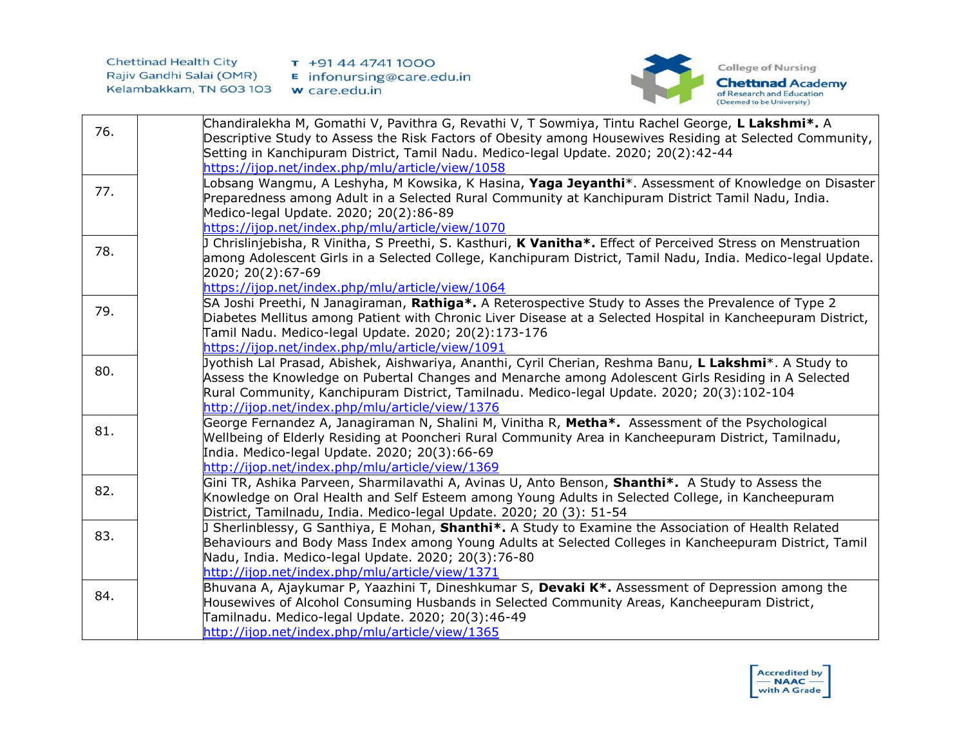

|     | Chandiralekha M, Gomathi V, Pavithra G, Revathi V, T Sowmiya, Tintu Rachel George, L Lakshmi*. A                                                                                                                   |
|-----|--------------------------------------------------------------------------------------------------------------------------------------------------------------------------------------------------------------------|
| 76. | Descriptive Study to Assess the Risk Factors of Obesity among Housewives Residing at Selected Community,                                                                                                           |
|     | Setting in Kanchipuram District, Tamil Nadu. Medico-legal Update. 2020; 20(2):42-44                                                                                                                                |
|     | https://ijop.net/index.php/mlu/article/view/1058                                                                                                                                                                   |
| 77. | Lobsang Wangmu, A Leshyha, M Kowsika, K Hasina, Yaga Jeyanthi*. Assessment of Knowledge on Disaster                                                                                                                |
|     | Preparedness among Adult in a Selected Rural Community at Kanchipuram District Tamil Nadu, India.                                                                                                                  |
|     | Medico-legal Update. 2020; 20(2):86-89                                                                                                                                                                             |
|     | https://ijop.net/index.php/mlu/article/view/1070                                                                                                                                                                   |
| 78. | Chrislinjebisha, R Vinitha, S Preethi, S. Kasthuri, K Vanitha*. Effect of Perceived Stress on Menstruation                                                                                                         |
|     | among Adolescent Girls in a Selected College, Kanchipuram District, Tamil Nadu, India. Medico-legal Update.                                                                                                        |
|     | 2020; 20(2):67-69                                                                                                                                                                                                  |
|     | https://ijop.net/index.php/mlu/article/view/1064                                                                                                                                                                   |
| 79. | SA Joshi Preethi, N Janagiraman, Rathiga*. A Reterospective Study to Asses the Prevalence of Type 2<br>Diabetes Mellitus among Patient with Chronic Liver Disease at a Selected Hospital in Kancheepuram District, |
|     | Tamil Nadu. Medico-legal Update. 2020; 20(2):173-176                                                                                                                                                               |
|     | https://ijop.net/index.php/mlu/article/view/1091                                                                                                                                                                   |
|     | Jyothish Lal Prasad, Abishek, Aishwariya, Ananthi, Cyril Cherian, Reshma Banu, <b>L Lakshmi</b> *. A Study to                                                                                                      |
| 80. | Assess the Knowledge on Pubertal Changes and Menarche among Adolescent Girls Residing in A Selected                                                                                                                |
|     | Rural Community, Kanchipuram District, Tamilnadu. Medico-legal Update. 2020; 20(3):102-104                                                                                                                         |
|     | http://ijop.net/index.php/mlu/article/view/1376                                                                                                                                                                    |
|     | George Fernandez A, Janagiraman N, Shalini M, Vinitha R, Metha*. Assessment of the Psychological                                                                                                                   |
| 81. | Wellbeing of Elderly Residing at Pooncheri Rural Community Area in Kancheepuram District, Tamilnadu,                                                                                                               |
|     | India. Medico-legal Update. 2020; 20(3):66-69                                                                                                                                                                      |
|     | http://ijop.net/index.php/mlu/article/view/1369                                                                                                                                                                    |
| 82. | Gini TR, Ashika Parveen, Sharmilavathi A, Avinas U, Anto Benson, Shanthi*. A Study to Assess the                                                                                                                   |
|     | Knowledge on Oral Health and Self Esteem among Young Adults in Selected College, in Kancheepuram                                                                                                                   |
|     | District, Tamilnadu, India. Medico-legal Update. 2020; 20 (3): 51-54                                                                                                                                               |
| 83. | Sherlinblessy, G Santhiya, E Mohan, Shanthi*. A Study to Examine the Association of Health Related                                                                                                                 |
|     | Behaviours and Body Mass Index among Young Adults at Selected Colleges in Kancheepuram District, Tamil                                                                                                             |
|     | Nadu, India. Medico-legal Update. 2020; 20(3):76-80<br>http://ijop.net/index.php/mlu/article/view/1371                                                                                                             |
|     | Bhuvana A, Ajaykumar P, Yaazhini T, Dineshkumar S, Devaki K <sup>*</sup> . Assessment of Depression among the                                                                                                      |
| 84. | Housewives of Alcohol Consuming Husbands in Selected Community Areas, Kancheepuram District,                                                                                                                       |
|     | Tamilnadu. Medico-legal Update. 2020; 20(3):46-49                                                                                                                                                                  |
|     | http://ijop.net/index.php/mlu/article/view/1365                                                                                                                                                                    |
|     |                                                                                                                                                                                                                    |

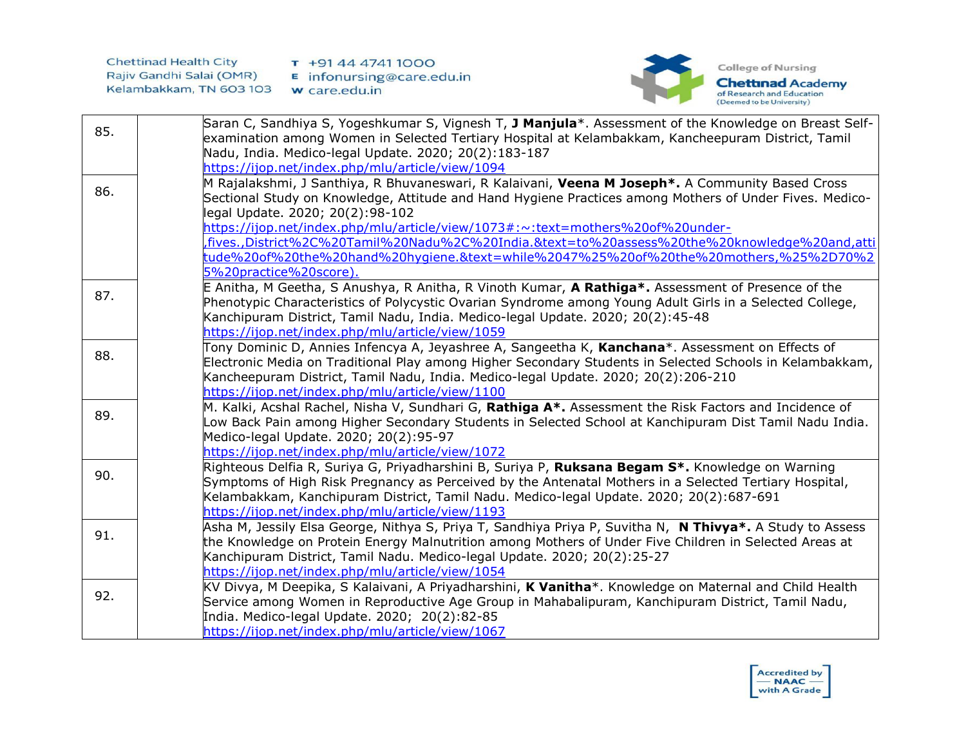

|     | Saran C, Sandhiya S, Yogeshkumar S, Vignesh T, J Manjula*. Assessment of the Knowledge on Breast Self-    |
|-----|-----------------------------------------------------------------------------------------------------------|
| 85. | examination among Women in Selected Tertiary Hospital at Kelambakkam, Kancheepuram District, Tamil        |
|     | Nadu, India. Medico-legal Update. 2020; 20(2):183-187                                                     |
|     | https://ijop.net/index.php/mlu/article/view/1094                                                          |
|     | M Rajalakshmi, J Santhiya, R Bhuvaneswari, R Kalaivani, Veena M Joseph*. A Community Based Cross          |
| 86. | Sectional Study on Knowledge, Attitude and Hand Hygiene Practices among Mothers of Under Fives. Medico-   |
|     | legal Update. 2020; 20(2):98-102                                                                          |
|     | https://ijop.net/index.php/mlu/article/view/1073#:~:text=mothers%20of%20under-                            |
|     | fives.,District%2C%20Tamil%20Nadu%2C%20India.&text=to%20assess%20the%20knowledge%20and,atti,              |
|     | tude%20of%20the%20hand%20hygiene.&text=while%2047%25%20of%20the%20mothers,%25%2D70%2                      |
|     | 5%20practice%20score).                                                                                    |
| 87. | E Anitha, M Geetha, S Anushya, R Anitha, R Vinoth Kumar, A Rathiga*. Assessment of Presence of the        |
|     | Phenotypic Characteristics of Polycystic Ovarian Syndrome among Young Adult Girls in a Selected College,  |
|     | Kanchipuram District, Tamil Nadu, India. Medico-legal Update. 2020; 20(2):45-48                           |
|     | https://ijop.net/index.php/mlu/article/view/1059                                                          |
| 88. | Tony Dominic D, Annies Infencya A, Jeyashree A, Sangeetha K, Kanchana*. Assessment on Effects of          |
|     | Electronic Media on Traditional Play among Higher Secondary Students in Selected Schools in Kelambakkam,  |
|     | Kancheepuram District, Tamil Nadu, India. Medico-legal Update. 2020; 20(2):206-210                        |
|     | https://ijop.net/index.php/mlu/article/view/1100                                                          |
| 89. | M. Kalki, Acshal Rachel, Nisha V, Sundhari G, Rathiga A*. Assessment the Risk Factors and Incidence of    |
|     | Low Back Pain among Higher Secondary Students in Selected School at Kanchipuram Dist Tamil Nadu India.    |
|     | Medico-legal Update. 2020; 20(2):95-97                                                                    |
|     | https://ijop.net/index.php/mlu/article/view/1072                                                          |
| 90. | Righteous Delfia R, Suriya G, Priyadharshini B, Suriya P, Ruksana Begam S*. Knowledge on Warning          |
|     | Symptoms of High Risk Pregnancy as Perceived by the Antenatal Mothers in a Selected Tertiary Hospital,    |
|     | Kelambakkam, Kanchipuram District, Tamil Nadu. Medico-legal Update. 2020; 20(2):687-691                   |
|     | https://ijop.net/index.php/mlu/article/view/1193                                                          |
| 91. | Asha M, Jessily Elsa George, Nithya S, Priya T, Sandhiya Priya P, Suvitha N, N Thivya*. A Study to Assess |
|     | the Knowledge on Protein Energy Malnutrition among Mothers of Under Five Children in Selected Areas at    |
|     | Kanchipuram District, Tamil Nadu. Medico-legal Update. 2020; 20(2):25-27                                  |
|     | https://ijop.net/index.php/mlu/article/view/1054                                                          |
| 92. | KV Divya, M Deepika, S Kalaivani, A Priyadharshini, K Vanitha*. Knowledge on Maternal and Child Health    |
|     | Service among Women in Reproductive Age Group in Mahabalipuram, Kanchipuram District, Tamil Nadu,         |
|     | India. Medico-legal Update. 2020; 20(2):82-85                                                             |
|     | https://ijop.net/index.php/mlu/article/view/1067                                                          |

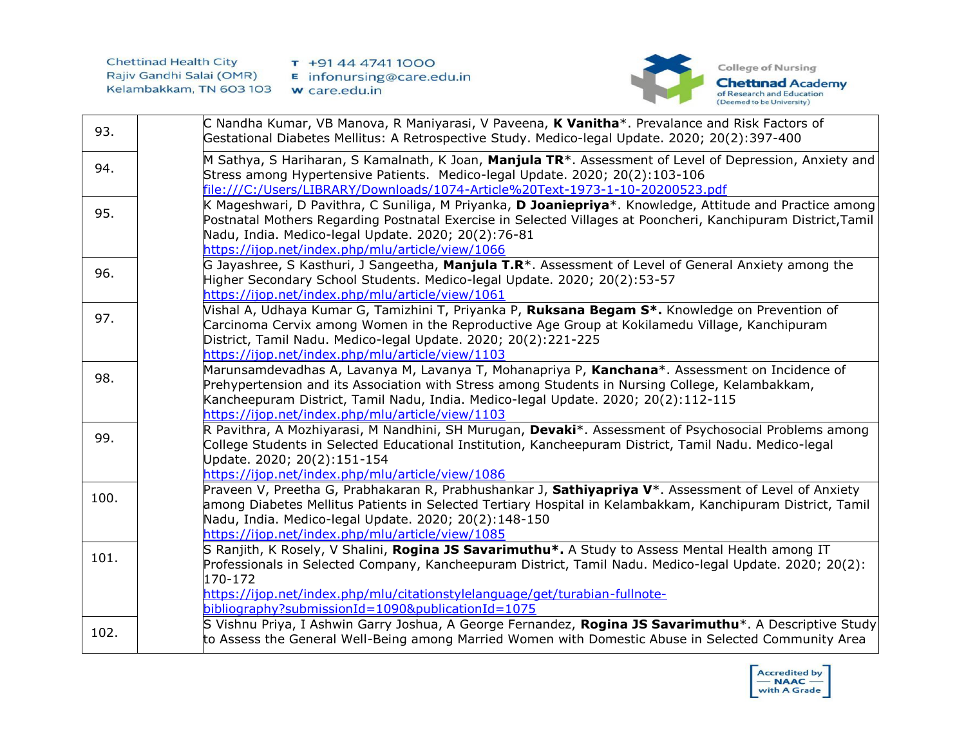

| 93.  | C Nandha Kumar, VB Manova, R Maniyarasi, V Paveena, K Vanitha*. Prevalance and Risk Factors of<br>Gestational Diabetes Mellitus: A Retrospective Study. Medico-legal Update. 2020; 20(2):397-400                                                                                                                                                                   |
|------|--------------------------------------------------------------------------------------------------------------------------------------------------------------------------------------------------------------------------------------------------------------------------------------------------------------------------------------------------------------------|
| 94.  | M Sathya, S Hariharan, S Kamalnath, K Joan, Manjula TR <sup>*</sup> . Assessment of Level of Depression, Anxiety and<br>Stress among Hypertensive Patients. Medico-legal Update. 2020; 20(2):103-106<br>file:///C:/Users/LIBRARY/Downloads/1074-Article%20Text-1973-1-10-20200523.pdf                                                                              |
| 95.  | K Mageshwari, D Pavithra, C Suniliga, M Priyanka, D Joaniepriya*. Knowledge, Attitude and Practice among<br>Postnatal Mothers Regarding Postnatal Exercise in Selected Villages at Pooncheri, Kanchipuram District, Tamil<br>Nadu, India. Medico-legal Update. 2020; 20(2):76-81<br>https://ijop.net/index.php/mlu/article/view/1066                               |
| 96.  | G Jayashree, S Kasthuri, J Sangeetha, <b>Manjula T.R</b> *. Assessment of Level of General Anxiety among the<br>Higher Secondary School Students. Medico-legal Update. 2020; 20(2):53-57<br>https://ijop.net/index.php/mlu/article/view/1061                                                                                                                       |
| 97.  | Vishal A, Udhaya Kumar G, Tamizhini T, Priyanka P, <b>Ruksana Begam S*.</b> Knowledge on Prevention of<br>Carcinoma Cervix among Women in the Reproductive Age Group at Kokilamedu Village, Kanchipuram<br>District, Tamil Nadu. Medico-legal Update. 2020; 20(2):221-225<br>https://ijop.net/index.php/mlu/article/view/1103                                      |
| 98.  | Marunsamdevadhas A, Lavanya M, Lavanya T, Mohanapriya P, Kanchana*. Assessment on Incidence of<br>Prehypertension and its Association with Stress among Students in Nursing College, Kelambakkam,<br>Kancheepuram District, Tamil Nadu, India. Medico-legal Update. 2020; 20(2):112-115<br>https://ijop.net/index.php/mlu/article/view/1103                        |
| 99.  | R Pavithra, A Mozhiyarasi, M Nandhini, SH Murugan, Devaki*. Assessment of Psychosocial Problems among<br>College Students in Selected Educational Institution, Kancheepuram District, Tamil Nadu. Medico-legal<br>Update. 2020; 20(2):151-154<br>https://ijop.net/index.php/mlu/article/view/1086                                                                  |
| 100. | Praveen V, Preetha G, Prabhakaran R, Prabhushankar J, Sathiyapriya V <sup>*</sup> . Assessment of Level of Anxiety<br>among Diabetes Mellitus Patients in Selected Tertiary Hospital in Kelambakkam, Kanchipuram District, Tamil<br>Nadu, India. Medico-legal Update. 2020; 20(2):148-150<br>https://ijop.net/index.php/mlu/article/view/1085                      |
| 101. | S Ranjith, K Rosely, V Shalini, <b>Rogina JS Savarimuthu</b> *. A Study to Assess Mental Health among IT<br>Professionals in Selected Company, Kancheepuram District, Tamil Nadu. Medico-legal Update. 2020; 20(2):<br>170-172<br>https://ijop.net/index.php/mlu/citationstylelanguage/get/turabian-fullnote-<br>bibliography?submissionId=1090&publicationId=1075 |
| 102. | S Vishnu Priya, I Ashwin Garry Joshua, A George Fernandez, <b>Rogina JS Savarimuthu</b> *. A Descriptive Study<br>to Assess the General Well-Being among Married Women with Domestic Abuse in Selected Community Area                                                                                                                                              |

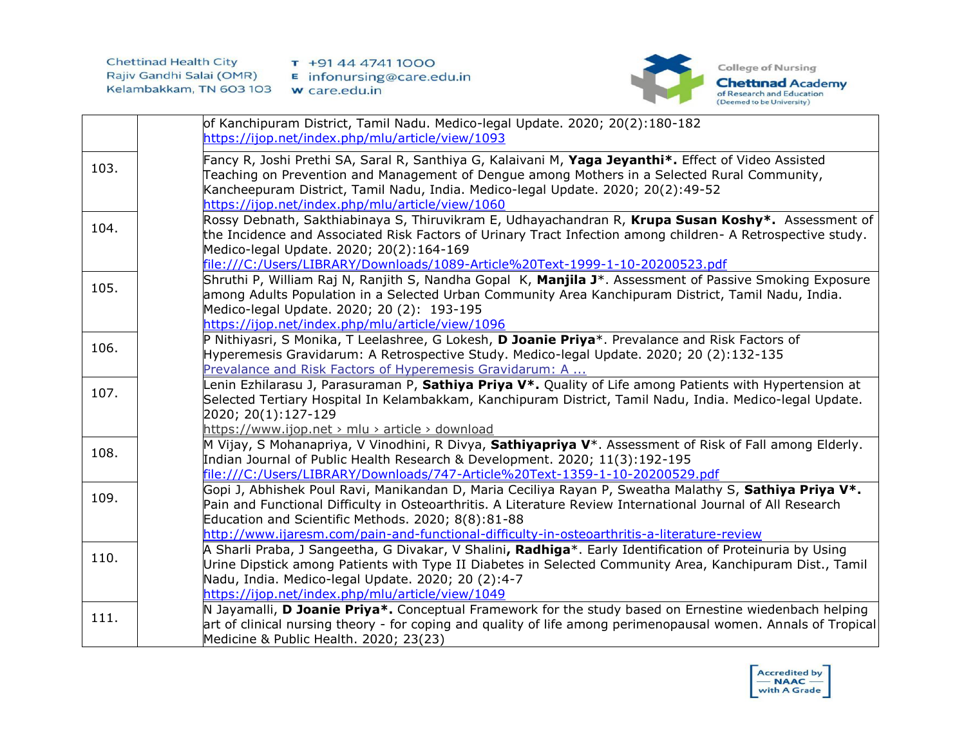

|      | of Kanchipuram District, Tamil Nadu. Medico-legal Update. 2020; 20(2):180-182                                                                                                                        |
|------|------------------------------------------------------------------------------------------------------------------------------------------------------------------------------------------------------|
|      | https://ijop.net/index.php/mlu/article/view/1093                                                                                                                                                     |
| 103. | Fancy R, Joshi Prethi SA, Saral R, Santhiya G, Kalaivani M, Yaga Jeyanthi*. Effect of Video Assisted<br>Teaching on Prevention and Management of Dengue among Mothers in a Selected Rural Community, |
|      | Kancheepuram District, Tamil Nadu, India. Medico-legal Update. 2020; 20(2):49-52                                                                                                                     |
|      | https://ijop.net/index.php/mlu/article/view/1060<br>Rossy Debnath, Sakthiabinaya S, Thiruvikram E, Udhayachandran R, Krupa Susan Koshy*. Assessment of                                               |
| 104. | the Incidence and Associated Risk Factors of Urinary Tract Infection among children- A Retrospective study.                                                                                          |
|      | Medico-legal Update. 2020; 20(2):164-169                                                                                                                                                             |
|      | file:///C:/Users/LIBRARY/Downloads/1089-Article%20Text-1999-1-10-20200523.pdf                                                                                                                        |
|      | Shruthi P, William Raj N, Ranjith S, Nandha Gopal K, <b>Manjila J</b> *. Assessment of Passive Smoking Exposure                                                                                      |
| 105. | among Adults Population in a Selected Urban Community Area Kanchipuram District, Tamil Nadu, India.                                                                                                  |
|      | Medico-legal Update. 2020; 20 (2): 193-195                                                                                                                                                           |
|      | https://ijop.net/index.php/mlu/article/view/1096                                                                                                                                                     |
| 106. | P Nithiyasri, S Monika, T Leelashree, G Lokesh, D Joanie Priya*. Prevalance and Risk Factors of                                                                                                      |
|      | Hyperemesis Gravidarum: A Retrospective Study. Medico-legal Update. 2020; 20 (2):132-135                                                                                                             |
|      | Prevalance and Risk Factors of Hyperemesis Gravidarum: A                                                                                                                                             |
| 107. | enin Ezhilarasu J, Parasuraman P, Sathiya Priya V*. Quality of Life among Patients with Hypertension at                                                                                              |
|      | Selected Tertiary Hospital In Kelambakkam, Kanchipuram District, Tamil Nadu, India. Medico-legal Update.                                                                                             |
|      | 2020; 20(1):127-129                                                                                                                                                                                  |
|      | https://www.ijop.net > mlu > article > download<br>M Vijay, S Mohanapriya, V Vinodhini, R Divya, Sathiyapriya V <sup>*</sup> . Assessment of Risk of Fall among Elderly.                             |
| 108. | Indian Journal of Public Health Research & Development. 2020; 11(3):192-195                                                                                                                          |
|      | file:///C:/Users/LIBRARY/Downloads/747-Article%20Text-1359-1-10-20200529.pdf                                                                                                                         |
|      | Gopi J, Abhishek Poul Ravi, Manikandan D, Maria Ceciliya Rayan P, Sweatha Malathy S, Sathiya Priya V*.                                                                                               |
| 109. | Pain and Functional Difficulty in Osteoarthritis. A Literature Review International Journal of All Research                                                                                          |
|      | Education and Scientific Methods. 2020; 8(8):81-88                                                                                                                                                   |
|      | http://www.ijaresm.com/pain-and-functional-difficulty-in-osteoarthritis-a-literature-review                                                                                                          |
|      | A Sharli Praba, J Sangeetha, G Divakar, V Shalini, Radhiga*. Early Identification of Proteinuria by Using                                                                                            |
| 110. | Urine Dipstick among Patients with Type II Diabetes in Selected Community Area, Kanchipuram Dist., Tamil                                                                                             |
|      | Nadu, India. Medico-legal Update. 2020; 20 (2):4-7                                                                                                                                                   |
|      | https://ijop.net/index.php/mlu/article/view/1049                                                                                                                                                     |
| 111. | N Jayamalli, D Joanie Priya*. Conceptual Framework for the study based on Ernestine wiedenbach helping                                                                                               |
|      | art of clinical nursing theory - for coping and quality of life among perimenopausal women. Annals of Tropical                                                                                       |
|      | Medicine & Public Health. 2020; 23(23)                                                                                                                                                               |

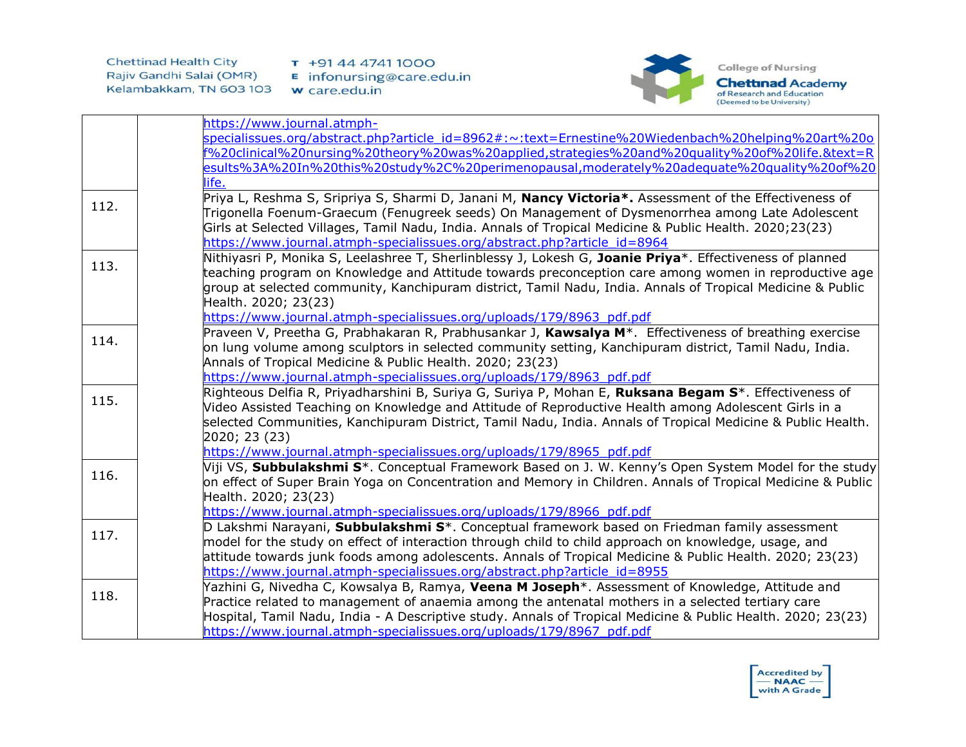

|      | https://www.journal.atmph-                                                                                         |
|------|--------------------------------------------------------------------------------------------------------------------|
|      | specialissues.org/abstract.php?article_id=8962#:~:text=Ernestine%20Wiedenbach%20helping%20art%20o                  |
|      | f%20clinical%20nursing%20theory%20was%20applied,strategies%20and%20quality%20of%20life.&text=R                     |
|      | esults%3A%20In%20this%20study%2C%20perimenopausal,moderately%20adequate%20quality%20of%20                          |
|      | life.                                                                                                              |
|      | Priya L, Reshma S, Sripriya S, Sharmi D, Janani M, Nancy Victoria*. Assessment of the Effectiveness of             |
| 112. | Trigonella Foenum-Graecum (Fenugreek seeds) On Management of Dysmenorrhea among Late Adolescent                    |
|      | Girls at Selected Villages, Tamil Nadu, India. Annals of Tropical Medicine & Public Health. 2020;23(23)            |
|      | https://www.journal.atmph-specialissues.org/abstract.php?article_id=8964                                           |
|      | Nithiyasri P, Monika S, Leelashree T, Sherlinblessy J, Lokesh G, Joanie Priya*. Effectiveness of planned           |
| 113. | teaching program on Knowledge and Attitude towards preconception care among women in reproductive age              |
|      | group at selected community, Kanchipuram district, Tamil Nadu, India. Annals of Tropical Medicine & Public         |
|      | Health. 2020; 23(23)                                                                                               |
|      | https://www.journal.atmph-specialissues.org/uploads/179/8963_pdf.pdf                                               |
|      | Praveen V, Preetha G, Prabhakaran R, Prabhusankar J, Kawsalya M <sup>*</sup> . Effectiveness of breathing exercise |
| 114. | on lung volume among sculptors in selected community setting, Kanchipuram district, Tamil Nadu, India.             |
|      | Annals of Tropical Medicine & Public Health. 2020; 23(23)                                                          |
|      | https://www.journal.atmph-specialissues.org/uploads/179/8963_pdf.pdf                                               |
| 115. | Righteous Delfia R, Priyadharshini B, Suriya G, Suriya P, Mohan E, Ruksana Begam S*. Effectiveness of              |
|      | Video Assisted Teaching on Knowledge and Attitude of Reproductive Health among Adolescent Girls in a               |
|      | selected Communities, Kanchipuram District, Tamil Nadu, India. Annals of Tropical Medicine & Public Health.        |
|      | 2020; 23 (23)                                                                                                      |
|      | https://www.journal.atmph-specialissues.org/uploads/179/8965_pdf.pdf                                               |
| 116. | Viji VS, Subbulakshmi S*. Conceptual Framework Based on J. W. Kenny's Open System Model for the study              |
|      | on effect of Super Brain Yoga on Concentration and Memory in Children. Annals of Tropical Medicine & Public        |
|      | Health. 2020; 23(23)                                                                                               |
|      | https://www.journal.atmph-specialissues.org/uploads/179/8966_pdf.pdf                                               |
| 117. | D Lakshmi Narayani, Subbulakshmi S*. Conceptual framework based on Friedman family assessment                      |
|      | model for the study on effect of interaction through child to child approach on knowledge, usage, and              |
|      | attitude towards junk foods among adolescents. Annals of Tropical Medicine & Public Health. 2020; 23(23)           |
|      | https://www.journal.atmph-specialissues.org/abstract.php?article_id=8955                                           |
| 118. | Yazhini G, Nivedha C, Kowsalya B, Ramya, Veena M Joseph <sup>*</sup> . Assessment of Knowledge, Attitude and       |
|      | Practice related to management of anaemia among the antenatal mothers in a selected tertiary care                  |
|      | Hospital, Tamil Nadu, India - A Descriptive study. Annals of Tropical Medicine & Public Health. 2020; 23(23)       |
|      | https://www.journal.atmph-specialissues.org/uploads/179/8967_pdf.pdf                                               |

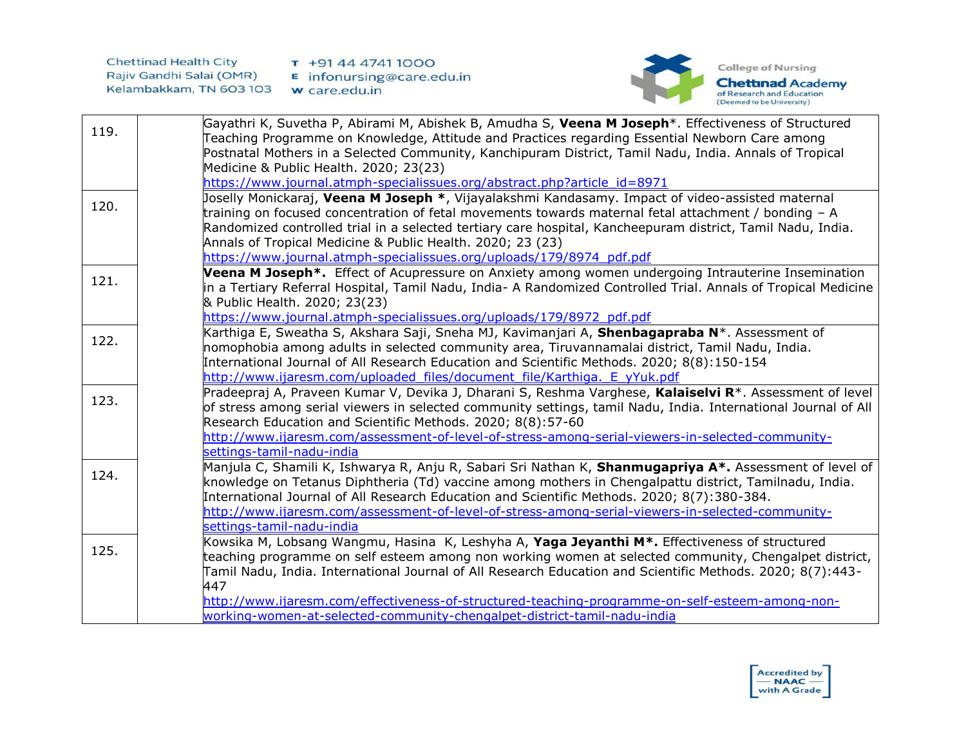



|      | Gayathri K, Suvetha P, Abirami M, Abishek B, Amudha S, Veena M Joseph <sup>*</sup> . Effectiveness of Structured |
|------|------------------------------------------------------------------------------------------------------------------|
| 119. | Teaching Programme on Knowledge, Attitude and Practices regarding Essential Newborn Care among                   |
|      | Postnatal Mothers in a Selected Community, Kanchipuram District, Tamil Nadu, India. Annals of Tropical           |
|      | Medicine & Public Health. 2020; 23(23)                                                                           |
|      | https://www.journal.atmph-specialissues.org/abstract.php?article_id=8971                                         |
|      | Joselly Monickaraj, Veena M Joseph *, Vijayalakshmi Kandasamy. Impact of video-assisted maternal                 |
| 120. | training on focused concentration of fetal movements towards maternal fetal attachment / bonding $-$ A           |
|      | Randomized controlled trial in a selected tertiary care hospital, Kancheepuram district, Tamil Nadu, India.      |
|      | Annals of Tropical Medicine & Public Health. 2020; 23 (23)                                                       |
|      | https://www.journal.atmph-specialissues.org/uploads/179/8974_pdf.pdf                                             |
|      | Veena M Joseph*. Effect of Acupressure on Anxiety among women undergoing Intrauterine Insemination               |
| 121. | in a Tertiary Referral Hospital, Tamil Nadu, India- A Randomized Controlled Trial. Annals of Tropical Medicine   |
|      | & Public Health. 2020; 23(23)                                                                                    |
|      | https://www.journal.atmph-specialissues.org/uploads/179/8972_pdf.pdf                                             |
| 122. | Karthiga E, Sweatha S, Akshara Saji, Sneha MJ, Kavimanjari A, Shenbagapraba N*. Assessment of                    |
|      | nomophobia among adults in selected community area, Tiruvannamalai district, Tamil Nadu, India.                  |
|      | International Journal of All Research Education and Scientific Methods. 2020; 8(8):150-154                       |
|      | http://www.ijaresm.com/uploaded files/document file/Karthiga. E yYuk.pdf                                         |
| 123. | Pradeepraj A, Praveen Kumar V, Devika J, Dharani S, Reshma Varghese, Kalaiselvi R*. Assessment of level          |
|      | of stress among serial viewers in selected community settings, tamil Nadu, India. International Journal of All   |
|      | Research Education and Scientific Methods. 2020; 8(8):57-60                                                      |
|      | http://www.ijaresm.com/assessment-of-level-of-stress-among-serial-viewers-in-selected-community-                 |
|      | settings-tamil-nadu-india                                                                                        |
| 124. | Manjula C, Shamili K, Ishwarya R, Anju R, Sabari Sri Nathan K, Shanmugapriya A*. Assessment of level of          |
|      | knowledge on Tetanus Diphtheria (Td) vaccine among mothers in Chengalpattu district, Tamilnadu, India.           |
|      | International Journal of All Research Education and Scientific Methods. 2020; 8(7):380-384.                      |
|      | http://www.ijaresm.com/assessment-of-level-of-stress-among-serial-viewers-in-selected-community-                 |
|      | settings-tamil-nadu-india                                                                                        |
| 125. | Kowsika M, Lobsang Wangmu, Hasina K, Leshyha A, Yaga Jeyanthi M*. Effectiveness of structured                    |
|      | teaching programme on self esteem among non working women at selected community, Chengalpet district,            |
|      | Tamil Nadu, India. International Journal of All Research Education and Scientific Methods. 2020; 8(7):443-       |
|      | 447                                                                                                              |
|      | http://www.ijaresm.com/effectiveness-of-structured-teaching-programme-on-self-esteem-among-non-                  |
|      | working-women-at-selected-community-chengalpet-district-tamil-nadu-india                                         |

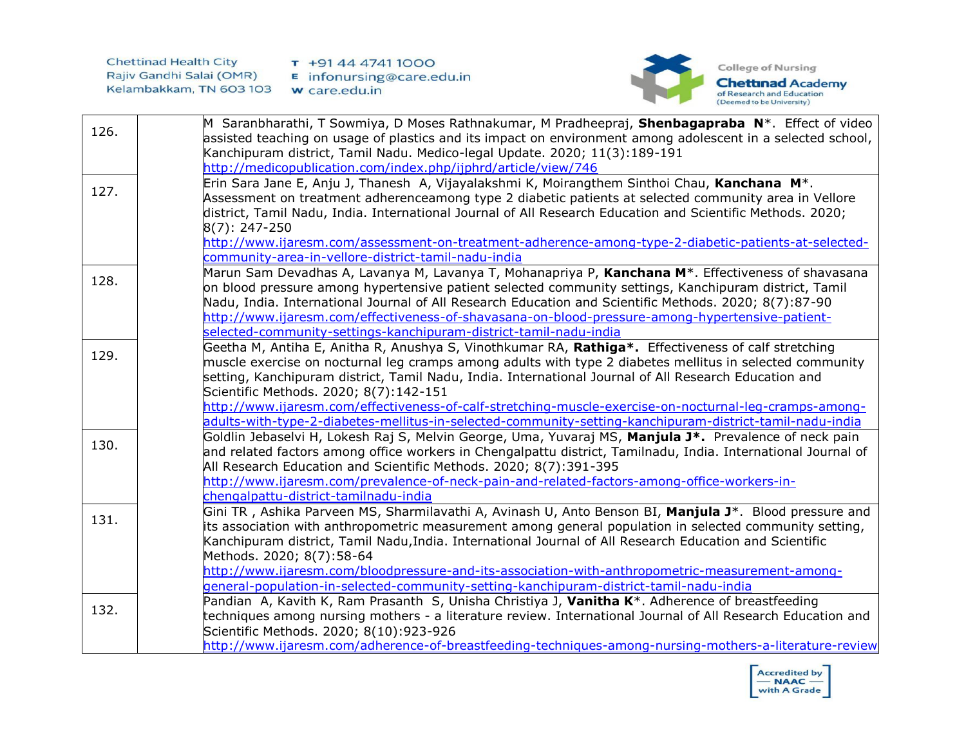

| 126. | M Saranbharathi, T Sowmiya, D Moses Rathnakumar, M Pradheepraj, Shenbagapraba N <sup>*</sup> . Effect of video  |
|------|-----------------------------------------------------------------------------------------------------------------|
|      | assisted teaching on usage of plastics and its impact on environment among adolescent in a selected school,     |
|      | Kanchipuram district, Tamil Nadu. Medico-legal Update. 2020; 11(3):189-191                                      |
|      | http://medicopublication.com/index.php/ijphrd/article/view/746                                                  |
|      | Erin Sara Jane E, Anju J, Thanesh A, Vijayalakshmi K, Moirangthem Sinthoi Chau, Kanchana M <sup>*</sup> .       |
| 127. | Assessment on treatment adherenceamong type 2 diabetic patients at selected community area in Vellore           |
|      | district, Tamil Nadu, India. International Journal of All Research Education and Scientific Methods. 2020;      |
|      | $8(7): 247 - 250$                                                                                               |
|      | http://www.ijaresm.com/assessment-on-treatment-adherence-among-type-2-diabetic-patients-at-selected-            |
|      | community-area-in-vellore-district-tamil-nadu-india                                                             |
| 128. | Marun Sam Devadhas A, Lavanya M, Lavanya T, Mohanapriya P, Kanchana M <sup>*</sup> . Effectiveness of shavasana |
|      | on blood pressure among hypertensive patient selected community settings, Kanchipuram district, Tamil           |
|      | Nadu, India. International Journal of All Research Education and Scientific Methods. 2020; 8(7):87-90           |
|      | http://www.ijaresm.com/effectiveness-of-shavasana-on-blood-pressure-among-hypertensive-patient-                 |
|      | selected-community-settings-kanchipuram-district-tamil-nadu-india                                               |
| 129. | Geetha M, Antiha E, Anitha R, Anushya S, Vinothkumar RA, Rathiga*. Effectiveness of calf stretching             |
|      | muscle exercise on nocturnal leg cramps among adults with type 2 diabetes mellitus in selected community        |
|      | setting, Kanchipuram district, Tamil Nadu, India. International Journal of All Research Education and           |
|      | Scientific Methods. 2020; 8(7):142-151                                                                          |
|      | http://www.ijaresm.com/effectiveness-of-calf-stretching-muscle-exercise-on-nocturnal-leg-cramps-among-          |
|      | adults-with-type-2-diabetes-mellitus-in-selected-community-setting-kanchipuram-district-tamil-nadu-india        |
| 130. | Goldlin Jebaselvi H, Lokesh Raj S, Melvin George, Uma, Yuvaraj MS, Manjula J*. Prevalence of neck pain          |
|      | and related factors among office workers in Chengalpattu district, Tamilnadu, India. International Journal of   |
|      | All Research Education and Scientific Methods. 2020; 8(7):391-395                                               |
|      | http://www.ijaresm.com/prevalence-of-neck-pain-and-related-factors-among-office-workers-in-                     |
|      | chengalpattu-district-tamilnadu-india                                                                           |
| 131. | Gini TR, Ashika Parveen MS, Sharmilavathi A, Avinash U, Anto Benson BI, Manjula J*. Blood pressure and          |
|      | its association with anthropometric measurement among general population in selected community setting,         |
|      | Kanchipuram district, Tamil Nadu, India. International Journal of All Research Education and Scientific         |
|      | Methods. 2020; 8(7):58-64                                                                                       |
|      | http://www.ijaresm.com/bloodpressure-and-its-association-with-anthropometric-measurement-among-                 |
|      | general-population-in-selected-community-setting-kanchipuram-district-tamil-nadu-india                          |
| 132. | Pandian A, Kavith K, Ram Prasanth S, Unisha Christiya J, Vanitha K <sup>*</sup> . Adherence of breastfeeding    |
|      | techniques among nursing mothers - a literature review. International Journal of All Research Education and     |
|      | Scientific Methods. 2020; 8(10):923-926                                                                         |
|      | http://www.ijaresm.com/adherence-of-breastfeeding-techniques-among-nursing-mothers-a-literature-review          |

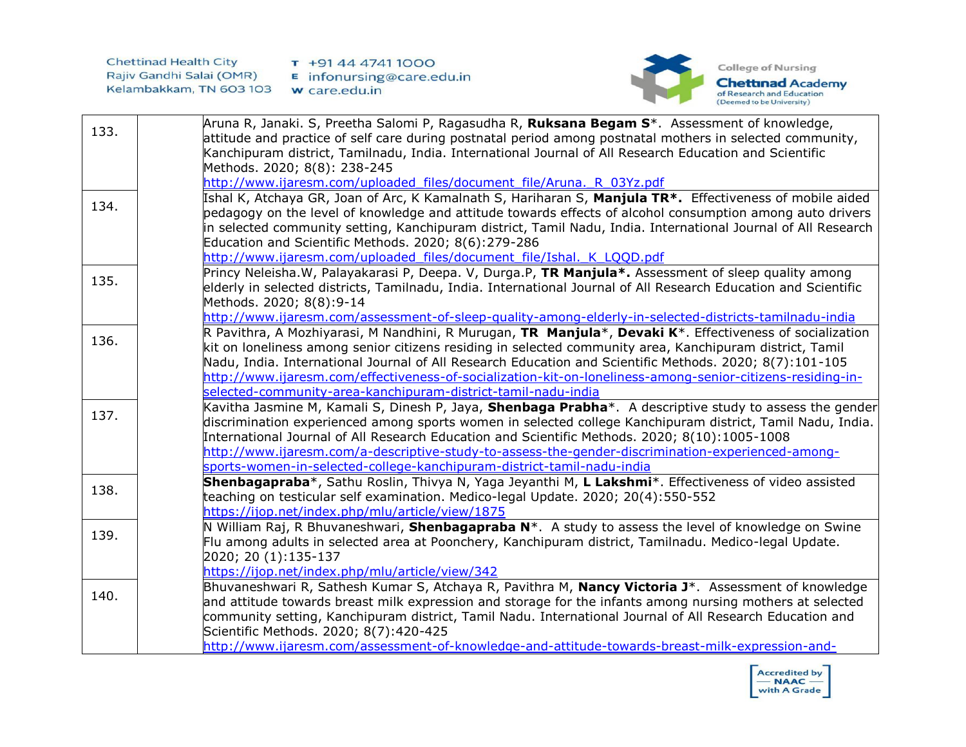

| 133. | Aruna R, Janaki. S, Preetha Salomi P, Ragasudha R, <b>Ruksana Begam S</b> *. Assessment of knowledge,                                                                                                               |
|------|---------------------------------------------------------------------------------------------------------------------------------------------------------------------------------------------------------------------|
|      | attitude and practice of self care during postnatal period among postnatal mothers in selected community,<br>Kanchipuram district, Tamilnadu, India. International Journal of All Research Education and Scientific |
|      | Methods. 2020; 8(8): 238-245                                                                                                                                                                                        |
|      | http://www.ijaresm.com/uploaded files/document file/Aruna. R 03Yz.pdf                                                                                                                                               |
|      | Ishal K, Atchaya GR, Joan of Arc, K Kamalnath S, Hariharan S, Manjula TR*. Effectiveness of mobile aided                                                                                                            |
| 134. | pedagogy on the level of knowledge and attitude towards effects of alcohol consumption among auto drivers                                                                                                           |
|      | in selected community setting, Kanchipuram district, Tamil Nadu, India. International Journal of All Research                                                                                                       |
|      | Education and Scientific Methods. 2020; 8(6):279-286                                                                                                                                                                |
|      | http://www.ijaresm.com/uploaded files/document file/Ishal. K LQQD.pdf                                                                                                                                               |
|      | Princy Neleisha.W, Palayakarasi P, Deepa. V, Durga.P, TR Manjula*. Assessment of sleep quality among                                                                                                                |
| 135. | elderly in selected districts, Tamilnadu, India. International Journal of All Research Education and Scientific                                                                                                     |
|      | Methods. 2020; 8(8):9-14                                                                                                                                                                                            |
|      | http://www.ijaresm.com/assessment-of-sleep-quality-among-elderly-in-selected-districts-tamilnadu-india                                                                                                              |
| 136. | R Pavithra, A Mozhiyarasi, M Nandhini, R Murugan, TR Manjula*, Devaki K*. Effectiveness of socialization                                                                                                            |
|      | kit on loneliness among senior citizens residing in selected community area, Kanchipuram district, Tamil                                                                                                            |
|      | Nadu, India. International Journal of All Research Education and Scientific Methods. 2020; 8(7):101-105                                                                                                             |
|      | http://www.ijaresm.com/effectiveness-of-socialization-kit-on-loneliness-among-senior-citizens-residing-in-                                                                                                          |
|      | selected-community-area-kanchipuram-district-tamil-nadu-india                                                                                                                                                       |
| 137. | Kavitha Jasmine M, Kamali S, Dinesh P, Jaya, Shenbaga Prabha*. A descriptive study to assess the gender                                                                                                             |
|      | discrimination experienced among sports women in selected college Kanchipuram district, Tamil Nadu, India.                                                                                                          |
|      | International Journal of All Research Education and Scientific Methods. 2020; 8(10):1005-1008                                                                                                                       |
|      | http://www.ijaresm.com/a-descriptive-study-to-assess-the-gender-discrimination-experienced-among-<br>sports-women-in-selected-college-kanchipuram-district-tamil-nadu-india                                         |
|      | Shenbagapraba*, Sathu Roslin, Thivya N, Yaga Jeyanthi M, L Lakshmi*. Effectiveness of video assisted                                                                                                                |
| 138. | teaching on testicular self examination. Medico-legal Update. 2020; 20(4):550-552                                                                                                                                   |
|      | https://ijop.net/index.php/mlu/article/view/1875                                                                                                                                                                    |
|      | N William Raj, R Bhuvaneshwari, Shenbagapraba N <sup>*</sup> . A study to assess the level of knowledge on Swine                                                                                                    |
| 139. | Flu among adults in selected area at Poonchery, Kanchipuram district, Tamilnadu. Medico-legal Update.                                                                                                               |
|      | 2020; 20 (1):135-137                                                                                                                                                                                                |
|      | https://ijop.net/index.php/mlu/article/view/342                                                                                                                                                                     |
|      | Bhuvaneshwari R, Sathesh Kumar S, Atchaya R, Pavithra M, Nancy Victoria J*. Assessment of knowledge                                                                                                                 |
| 140. | and attitude towards breast milk expression and storage for the infants among nursing mothers at selected                                                                                                           |
|      | community setting, Kanchipuram district, Tamil Nadu. International Journal of All Research Education and                                                                                                            |
|      | Scientific Methods. 2020; 8(7):420-425                                                                                                                                                                              |
|      | http://www.ijaresm.com/assessment-of-knowledge-and-attitude-towards-breast-milk-expression-and-                                                                                                                     |

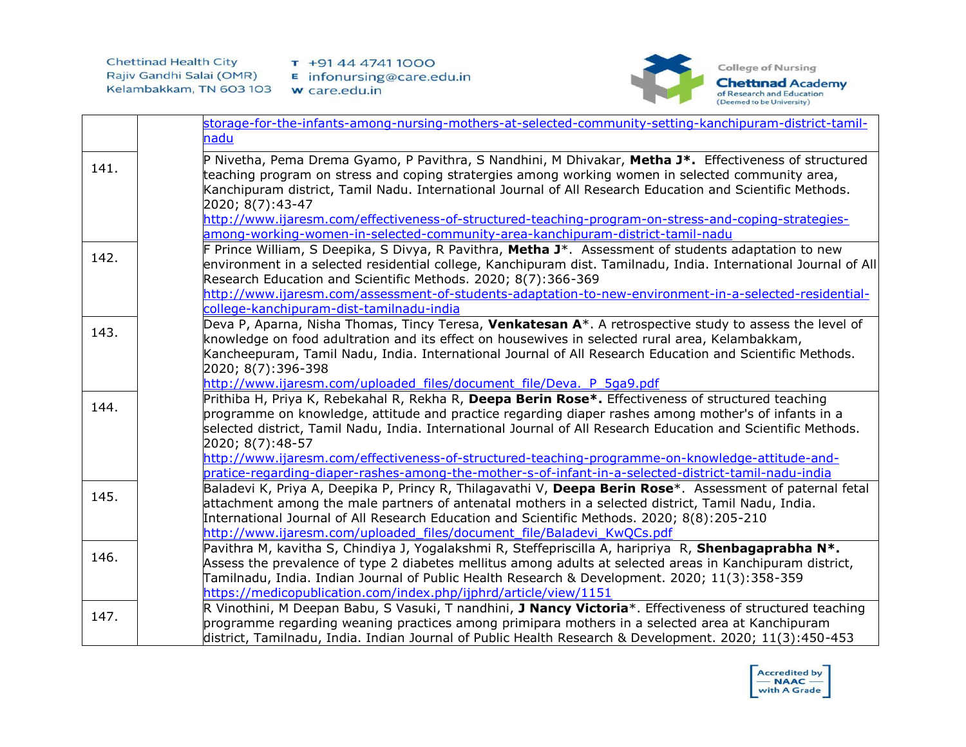

|      | storage-for-the-infants-among-nursing-mothers-at-selected-community-setting-kanchipuram-district-tamil-                                                                                                                                                                                                                                                                                 |
|------|-----------------------------------------------------------------------------------------------------------------------------------------------------------------------------------------------------------------------------------------------------------------------------------------------------------------------------------------------------------------------------------------|
|      | nadu                                                                                                                                                                                                                                                                                                                                                                                    |
| 141. | P Nivetha, Pema Drema Gyamo, P Pavithra, S Nandhini, M Dhivakar, Metha J*. Effectiveness of structured<br>teaching program on stress and coping stratergies among working women in selected community area,<br>Kanchipuram district, Tamil Nadu. International Journal of All Research Education and Scientific Methods.<br>2020; 8(7):43-47                                            |
|      | http://www.ijaresm.com/effectiveness-of-structured-teaching-program-on-stress-and-coping-strategies-                                                                                                                                                                                                                                                                                    |
|      | among-working-women-in-selected-community-area-kanchipuram-district-tamil-nadu                                                                                                                                                                                                                                                                                                          |
| 142. | F Prince William, S Deepika, S Divya, R Pavithra, Metha J*. Assessment of students adaptation to new<br>environment in a selected residential college, Kanchipuram dist. Tamilnadu, India. International Journal of All<br>Research Education and Scientific Methods. 2020; 8(7):366-369                                                                                                |
|      | http://www.ijaresm.com/assessment-of-students-adaptation-to-new-environment-in-a-selected-residential-<br>college-kanchipuram-dist-tamilnadu-india                                                                                                                                                                                                                                      |
| 143. | Deva P, Aparna, Nisha Thomas, Tincy Teresa, Venkatesan A*. A retrospective study to assess the level of<br>knowledge on food adultration and its effect on housewives in selected rural area, Kelambakkam,<br>Kancheepuram, Tamil Nadu, India. International Journal of All Research Education and Scientific Methods.<br>2020; 8(7):396-398                                            |
|      | http://www.ijaresm.com/uploaded files/document file/Deva. P 5qa9.pdf                                                                                                                                                                                                                                                                                                                    |
| 144. | Prithiba H, Priya K, Rebekahal R, Rekha R, Deepa Berin Rose*. Effectiveness of structured teaching<br>programme on knowledge, attitude and practice regarding diaper rashes among mother's of infants in a<br>selected district, Tamil Nadu, India. International Journal of All Research Education and Scientific Methods.<br>2020; 8(7):48-57                                         |
|      | http://www.ijaresm.com/effectiveness-of-structured-teaching-programme-on-knowledge-attitude-and-                                                                                                                                                                                                                                                                                        |
|      | pratice-regarding-diaper-rashes-among-the-mother-s-of-infant-in-a-selected-district-tamil-nadu-india                                                                                                                                                                                                                                                                                    |
| 145. | Baladevi K, Priya A, Deepika P, Princy R, Thilagavathi V, Deepa Berin Rose*. Assessment of paternal fetal<br>attachment among the male partners of antenatal mothers in a selected district, Tamil Nadu, India.<br>International Journal of All Research Education and Scientific Methods. 2020; 8(8):205-210<br>http://www.ijaresm.com/uploaded files/document file/Baladevi KwQCs.pdf |
|      | Pavithra M, kavitha S, Chindiya J, Yogalakshmi R, Steffepriscilla A, haripriya R, Shenbagaprabha N*.                                                                                                                                                                                                                                                                                    |
| 146. | Assess the prevalence of type 2 diabetes mellitus among adults at selected areas in Kanchipuram district,<br>Tamilnadu, India. Indian Journal of Public Health Research & Development. 2020; 11(3):358-359<br>https://medicopublication.com/index.php/ijphrd/article/view/1151                                                                                                          |
| 147. | R Vinothini, M Deepan Babu, S Vasuki, T nandhini, J Nancy Victoria*. Effectiveness of structured teaching<br>programme regarding weaning practices among primipara mothers in a selected area at Kanchipuram<br>district, Tamilnadu, India. Indian Journal of Public Health Research & Development. 2020; 11(3):450-453                                                                 |

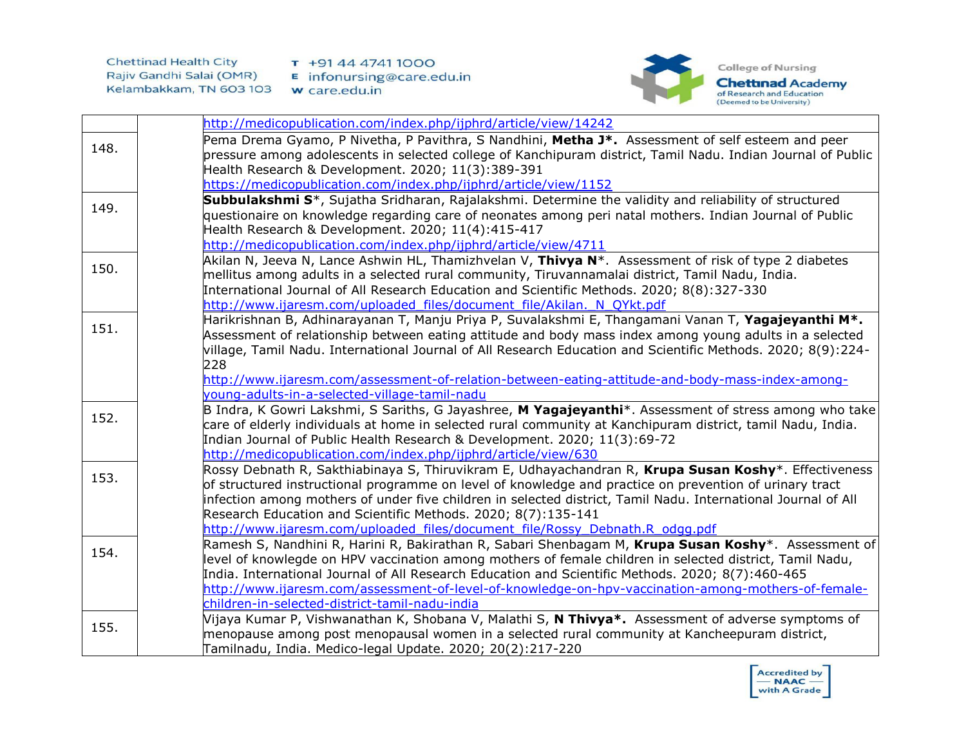



|      | http://medicopublication.com/index.php/ijphrd/article/view/14242                                                                                                                                                                                                                                                                                                                                                                                                                  |
|------|-----------------------------------------------------------------------------------------------------------------------------------------------------------------------------------------------------------------------------------------------------------------------------------------------------------------------------------------------------------------------------------------------------------------------------------------------------------------------------------|
| 148. | Pema Drema Gyamo, P Nivetha, P Pavithra, S Nandhini, Metha J*. Assessment of self esteem and peer<br>pressure among adolescents in selected college of Kanchipuram district, Tamil Nadu. Indian Journal of Public<br>Health Research & Development. 2020; 11(3):389-391                                                                                                                                                                                                           |
|      | https://medicopublication.com/index.php/ijphrd/article/view/1152                                                                                                                                                                                                                                                                                                                                                                                                                  |
| 149. | Subbulakshmi S <sup>*</sup> , Sujatha Sridharan, Rajalakshmi. Determine the validity and reliability of structured<br>questionaire on knowledge regarding care of neonates among peri natal mothers. Indian Journal of Public<br>Health Research & Development. 2020; 11(4):415-417<br>http://medicopublication.com/index.php/ijphrd/article/view/4711                                                                                                                            |
| 150. | Akilan N, Jeeva N, Lance Ashwin HL, Thamizhvelan V, Thivya N*. Assessment of risk of type 2 diabetes<br>mellitus among adults in a selected rural community, Tiruvannamalai district, Tamil Nadu, India.<br>International Journal of All Research Education and Scientific Methods. 2020; 8(8):327-330<br>http://www.ijaresm.com/uploaded files/document file/Akilan. N QYkt.pdf                                                                                                  |
| 151. | Harikrishnan B, Adhinarayanan T, Manju Priya P, Suvalakshmi E, Thangamani Vanan T, Yagajeyanthi M <sup>*</sup> .<br>Assessment of relationship between eating attitude and body mass index among young adults in a selected<br>village, Tamil Nadu. International Journal of All Research Education and Scientific Methods. 2020; 8(9):224-<br>228<br>http://www.ijaresm.com/assessment-of-relation-between-eating-attitude-and-body-mass-index-among-                            |
|      |                                                                                                                                                                                                                                                                                                                                                                                                                                                                                   |
|      | young-adults-in-a-selected-village-tamil-nadu                                                                                                                                                                                                                                                                                                                                                                                                                                     |
| 152. | B Indra, K Gowri Lakshmi, S Sariths, G Jayashree, M Yagajeyanthi*. Assessment of stress among who take<br>care of elderly individuals at home in selected rural community at Kanchipuram district, tamil Nadu, India.<br>Indian Journal of Public Health Research & Development. 2020; 11(3):69-72<br>http://medicopublication.com/index.php/ijphrd/article/view/630                                                                                                              |
| 153. | Rossy Debnath R, Sakthiabinaya S, Thiruvikram E, Udhayachandran R, Krupa Susan Koshy*. Effectiveness<br>of structured instructional programme on level of knowledge and practice on prevention of urinary tract<br>infection among mothers of under five children in selected district, Tamil Nadu. International Journal of All<br>Research Education and Scientific Methods. 2020; 8(7):135-141<br>http://www.ijaresm.com/uploaded_files/document_file/Rossy_Debnath.R_odgg.pdf |
| 154. | Ramesh S, Nandhini R, Harini R, Bakirathan R, Sabari Shenbagam M, Krupa Susan Koshy*. Assessment of<br>level of knowlegde on HPV vaccination among mothers of female children in selected district, Tamil Nadu,<br>India. International Journal of All Research Education and Scientific Methods. 2020; 8(7):460-465<br>http://www.ijaresm.com/assessment-of-level-of-knowledge-on-hpv-vaccination-among-mothers-of-female-<br>children-in-selected-district-tamil-nadu-india     |
| 155. | Vijaya Kumar P, Vishwanathan K, Shobana V, Malathi S, N Thivya*. Assessment of adverse symptoms of<br>menopause among post menopausal women in a selected rural community at Kancheepuram district,<br>Tamilnadu, India. Medico-legal Update. 2020; 20(2):217-220                                                                                                                                                                                                                 |

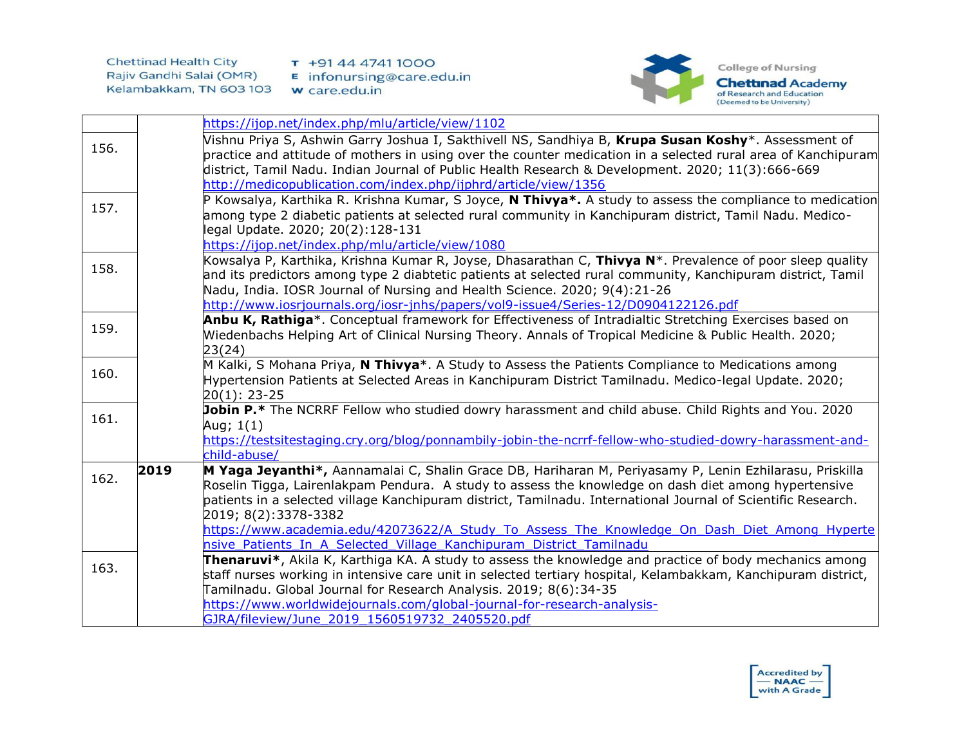

|      |      | https://ijop.net/index.php/mlu/article/view/1102                                                                                                                                                                                                                                                                                                                                                                                                                                                                                |
|------|------|---------------------------------------------------------------------------------------------------------------------------------------------------------------------------------------------------------------------------------------------------------------------------------------------------------------------------------------------------------------------------------------------------------------------------------------------------------------------------------------------------------------------------------|
| 156. |      | Vishnu Priya S, Ashwin Garry Joshua I, Sakthivell NS, Sandhiya B, Krupa Susan Koshy*. Assessment of<br>practice and attitude of mothers in using over the counter medication in a selected rural area of Kanchipuram<br>district, Tamil Nadu. Indian Journal of Public Health Research & Development. 2020; 11(3):666-669<br>http://medicopublication.com/index.php/ijphrd/article/view/1356                                                                                                                                    |
| 157. |      | P Kowsalya, Karthika R. Krishna Kumar, S Joyce, <b>N Thivya*.</b> A study to assess the compliance to medication<br>among type 2 diabetic patients at selected rural community in Kanchipuram district, Tamil Nadu. Medico-<br>legal Update. 2020; 20(2):128-131<br>https://ijop.net/index.php/mlu/article/view/1080                                                                                                                                                                                                            |
| 158. |      | Kowsalya P, Karthika, Krishna Kumar R, Joyse, Dhasarathan C, Thivya N <sup>*</sup> . Prevalence of poor sleep quality<br>and its predictors among type 2 diabtetic patients at selected rural community, Kanchipuram district, Tamil<br>Nadu, India. IOSR Journal of Nursing and Health Science. 2020; 9(4):21-26<br>http://www.iosrjournals.org/iosr-jnhs/papers/vol9-issue4/Series-12/D0904122126.pdf                                                                                                                         |
| 159. |      | Anbu K, Rathiga*. Conceptual framework for Effectiveness of Intradialtic Stretching Exercises based on<br>Wiedenbachs Helping Art of Clinical Nursing Theory. Annals of Tropical Medicine & Public Health. 2020;<br>23(24)                                                                                                                                                                                                                                                                                                      |
| 160. |      | M Kalki, S Mohana Priya, N Thivya*. A Study to Assess the Patients Compliance to Medications among<br>Hypertension Patients at Selected Areas in Kanchipuram District Tamilnadu. Medico-legal Update. 2020;<br>$20(1): 23-25$                                                                                                                                                                                                                                                                                                   |
| 161. |      | Jobin P.* The NCRRF Fellow who studied dowry harassment and child abuse. Child Rights and You. 2020<br>Aug; $1(1)$<br>https://testsitestaging.cry.org/blog/ponnambily-jobin-the-ncrrf-fellow-who-studied-dowry-harassment-and-<br>child-abuse/                                                                                                                                                                                                                                                                                  |
| 162. | 2019 | M Yaga Jeyanthi*, Aannamalai C, Shalin Grace DB, Hariharan M, Periyasamy P, Lenin Ezhilarasu, Priskilla<br>Roselin Tigga, Lairenlakpam Pendura. A study to assess the knowledge on dash diet among hypertensive<br>patients in a selected village Kanchipuram district, Tamilnadu. International Journal of Scientific Research.<br>2019; 8(2):3378-3382<br>https://www.academia.edu/42073622/A Study To Assess The Knowledge On Dash Diet Among Hyperte<br>nsive Patients In A Selected Village Kanchipuram District Tamilnadu |
| 163. |      | Thenaruvi*, Akila K, Karthiga KA. A study to assess the knowledge and practice of body mechanics among<br>staff nurses working in intensive care unit in selected tertiary hospital, Kelambakkam, Kanchipuram district,<br>Tamilnadu. Global Journal for Research Analysis. 2019; 8(6):34-35<br>https://www.worldwidejournals.com/global-journal-for-research-analysis-<br>GJRA/fileview/June 2019 1560519732 2405520.pdf                                                                                                       |

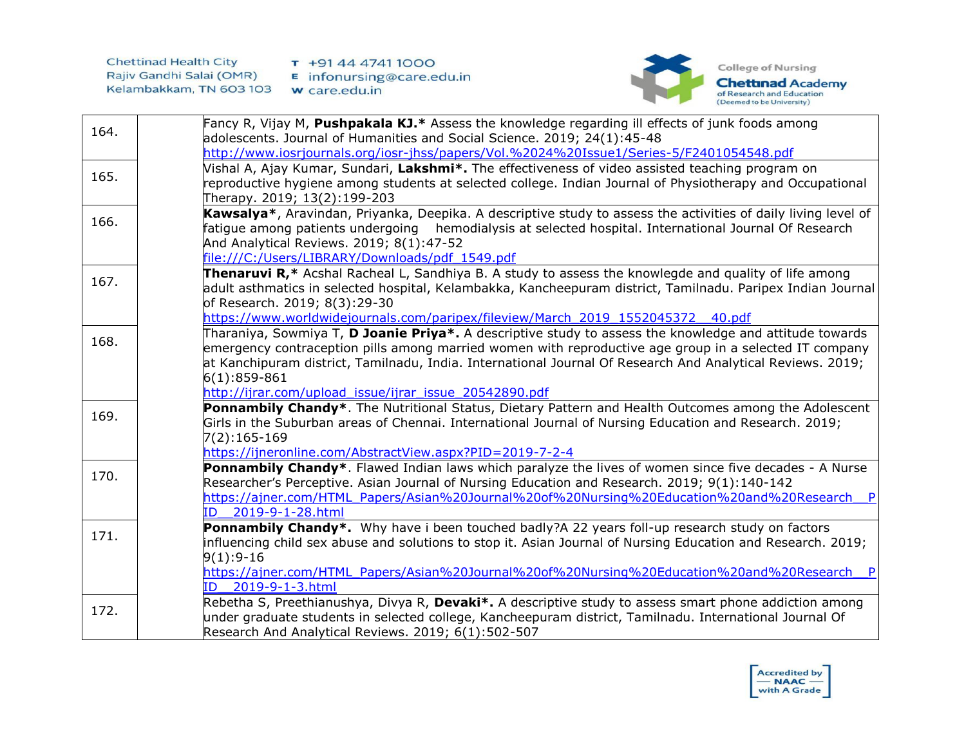

| 164. | Fancy R, Vijay M, Pushpakala KJ.* Assess the knowledge regarding ill effects of junk foods among               |
|------|----------------------------------------------------------------------------------------------------------------|
|      | adolescents. Journal of Humanities and Social Science. 2019; 24(1):45-48                                       |
|      | http://www.iosrjournals.org/iosr-jhss/papers/Vol.%2024%20Issue1/Series-5/F2401054548.pdf                       |
| 165. | Vishal A, Ajay Kumar, Sundari, Lakshmi*. The effectiveness of video assisted teaching program on               |
|      | reproductive hygiene among students at selected college. Indian Journal of Physiotherapy and Occupational      |
|      | Therapy. 2019; 13(2):199-203                                                                                   |
| 166. | Kawsalya*, Aravindan, Priyanka, Deepika. A descriptive study to assess the activities of daily living level of |
|      | fatigue among patients undergoing hemodialysis at selected hospital. International Journal Of Research         |
|      | And Analytical Reviews. 2019; 8(1):47-52                                                                       |
|      | file:///C:/Users/LIBRARY/Downloads/pdf 1549.pdf                                                                |
| 167. | Thenaruvi R,* Acshal Racheal L, Sandhiya B. A study to assess the knowlegde and quality of life among          |
|      | adult asthmatics in selected hospital, Kelambakka, Kancheepuram district, Tamilnadu. Paripex Indian Journal    |
|      | of Research. 2019; 8(3):29-30                                                                                  |
|      | https://www.worldwidejournals.com/paripex/fileview/March 2019 1552045372 40.pdf                                |
| 168. | Tharaniya, Sowmiya T, <b>D Joanie Priya*.</b> A descriptive study to assess the knowledge and attitude towards |
|      | emergency contraception pills among married women with reproductive age group in a selected IT company         |
|      | at Kanchipuram district, Tamilnadu, India. International Journal Of Research And Analytical Reviews. 2019;     |
|      | $6(1):859-861$<br>http://ijrar.com/upload issue/ijrar issue 20542890.pdf                                       |
|      | Ponnambily Chandy*. The Nutritional Status, Dietary Pattern and Health Outcomes among the Adolescent           |
| 169. | Girls in the Suburban areas of Chennai. International Journal of Nursing Education and Research. 2019;         |
|      | 7(2):165-169                                                                                                   |
|      | https://ijneronline.com/AbstractView.aspx?PID=2019-7-2-4                                                       |
|      | Ponnambily Chandy*. Flawed Indian laws which paralyze the lives of women since five decades - A Nurse          |
| 170. | Researcher's Perceptive. Asian Journal of Nursing Education and Research. 2019; 9(1):140-142                   |
|      | https://ajner.com/HTML_Papers/Asian%20Journal%20of%20Nursing%20Education%20and%20Research__P                   |
|      | 2019-9-1-28.html<br>ID.                                                                                        |
|      | Ponnambily Chandy*. Why have i been touched badly?A 22 years foll-up research study on factors                 |
| 171. | influencing child sex abuse and solutions to stop it. Asian Journal of Nursing Education and Research. 2019;   |
|      | $9(1):9-16$                                                                                                    |
|      | https://ajner.com/HTML_Papers/Asian%20Journal%20of%20Nursing%20Education%20and%20Research__P                   |
|      | 2019-9-1-3.html<br>ID.                                                                                         |
|      | Rebetha S, Preethianushya, Divya R, Devaki*. A descriptive study to assess smart phone addiction among         |
| 172. | under graduate students in selected college, Kancheepuram district, Tamilnadu. International Journal Of        |
|      | Research And Analytical Reviews. 2019; 6(1):502-507                                                            |

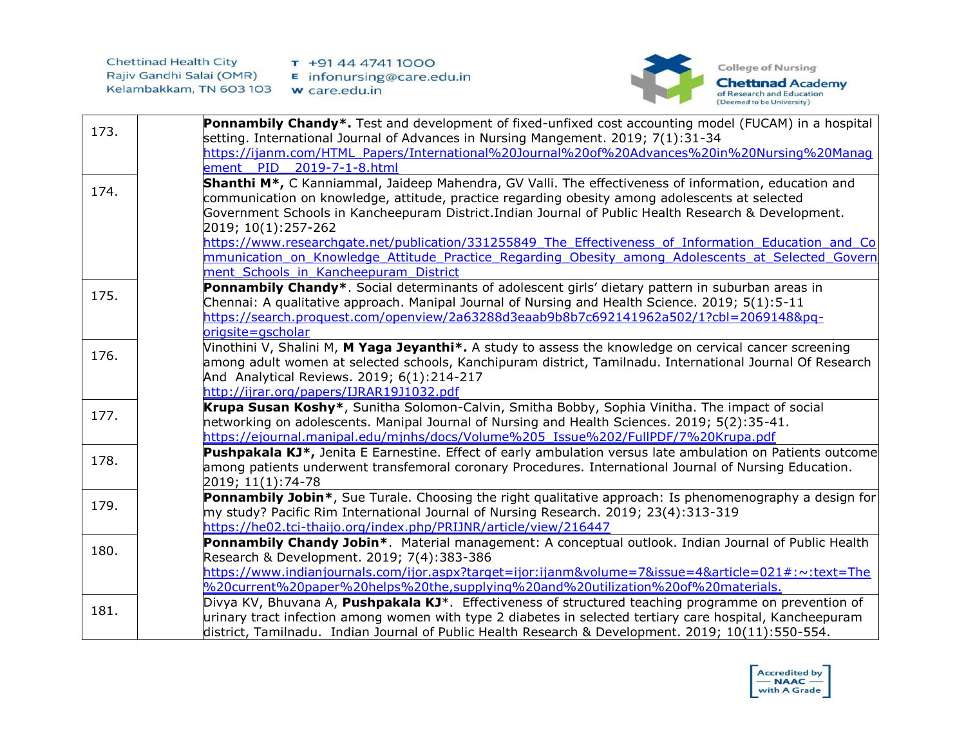

| 173. | <b>Ponnambily Chandy*.</b> Test and development of fixed-unfixed cost accounting model (FUCAM) in a hospital                                                                                         |
|------|------------------------------------------------------------------------------------------------------------------------------------------------------------------------------------------------------|
|      | setting. International Journal of Advances in Nursing Mangement. 2019; 7(1):31-34                                                                                                                    |
|      | https://ijanm.com/HTML_Papers/International%20Journal%20of%20Advances%20in%20Nursing%20Manag                                                                                                         |
|      | ement PID 2019-7-1-8.html                                                                                                                                                                            |
| 174. | Shanthi M <sup>*</sup> , C Kanniammal, Jaideep Mahendra, GV Valli. The effectiveness of information, education and                                                                                   |
|      | communication on knowledge, attitude, practice regarding obesity among adolescents at selected                                                                                                       |
|      | Government Schools in Kancheepuram District.Indian Journal of Public Health Research & Development.                                                                                                  |
|      | 2019; 10(1):257-262                                                                                                                                                                                  |
|      | https://www.researchgate.net/publication/331255849 The Effectiveness of Information Education and Co                                                                                                 |
|      | mmunication on Knowledge Attitude Practice Regarding Obesity among Adolescents at Selected Govern                                                                                                    |
|      | ment Schools in Kancheepuram District                                                                                                                                                                |
| 175. | Ponnambily Chandy*. Social determinants of adolescent girls' dietary pattern in suburban areas in<br>Chennai: A qualitative approach. Manipal Journal of Nursing and Health Science. 2019; 5(1):5-11 |
|      | https://search.proquest.com/openview/2a63288d3eaab9b8b7c692141962a502/1?cbl=2069148&pq-                                                                                                              |
|      | origsite=gscholar                                                                                                                                                                                    |
|      | Vinothini V, Shalini M, M Yaga Jeyanthi*. A study to assess the knowledge on cervical cancer screening                                                                                               |
| 176. | among adult women at selected schools, Kanchipuram district, Tamilnadu. International Journal Of Research                                                                                            |
|      | And Analytical Reviews. 2019; 6(1):214-217                                                                                                                                                           |
|      | http://ijrar.org/papers/IJRAR19J1032.pdf                                                                                                                                                             |
|      | Krupa Susan Koshy*, Sunitha Solomon-Calvin, Smitha Bobby, Sophia Vinitha. The impact of social                                                                                                       |
| 177. | networking on adolescents. Manipal Journal of Nursing and Health Sciences. 2019; 5(2):35-41.                                                                                                         |
|      | https://ejournal.manipal.edu/mjnhs/docs/Volume%205 Issue%202/FullPDF/7%20Krupa.pdf                                                                                                                   |
| 178. | Pushpakala KJ*, Jenita E Earnestine. Effect of early ambulation versus late ambulation on Patients outcome                                                                                           |
|      | among patients underwent transfemoral coronary Procedures. International Journal of Nursing Education.                                                                                               |
|      | 2019; 11(1):74-78                                                                                                                                                                                    |
| 179. | Ponnambily Jobin*, Sue Turale. Choosing the right qualitative approach: Is phenomenography a design for                                                                                              |
|      | my study? Pacific Rim International Journal of Nursing Research. 2019; 23(4):313-319                                                                                                                 |
|      | https://he02.tci-thaijo.org/index.php/PRIJNR/article/view/216447                                                                                                                                     |
| 180. | Ponnambily Chandy Jobin*. Material management: A conceptual outlook. Indian Journal of Public Health                                                                                                 |
|      | Research & Development. 2019; 7(4):383-386<br>https://www.indianjournals.com/ijor.aspx?target=ijor:ijanm&volume=7&issue=4&article=021#:~:text=The                                                    |
|      | %20current%20paper%20helps%20the,supplying%20and%20utilization%20of%20materials.                                                                                                                     |
|      | Divya KV, Bhuvana A, Pushpakala KJ <sup>*</sup> . Effectiveness of structured teaching programme on prevention of                                                                                    |
| 181. | urinary tract infection among women with type 2 diabetes in selected tertiary care hospital, Kancheepuram                                                                                            |
|      | district, Tamilnadu. Indian Journal of Public Health Research & Development. 2019; 10(11):550-554.                                                                                                   |
|      |                                                                                                                                                                                                      |

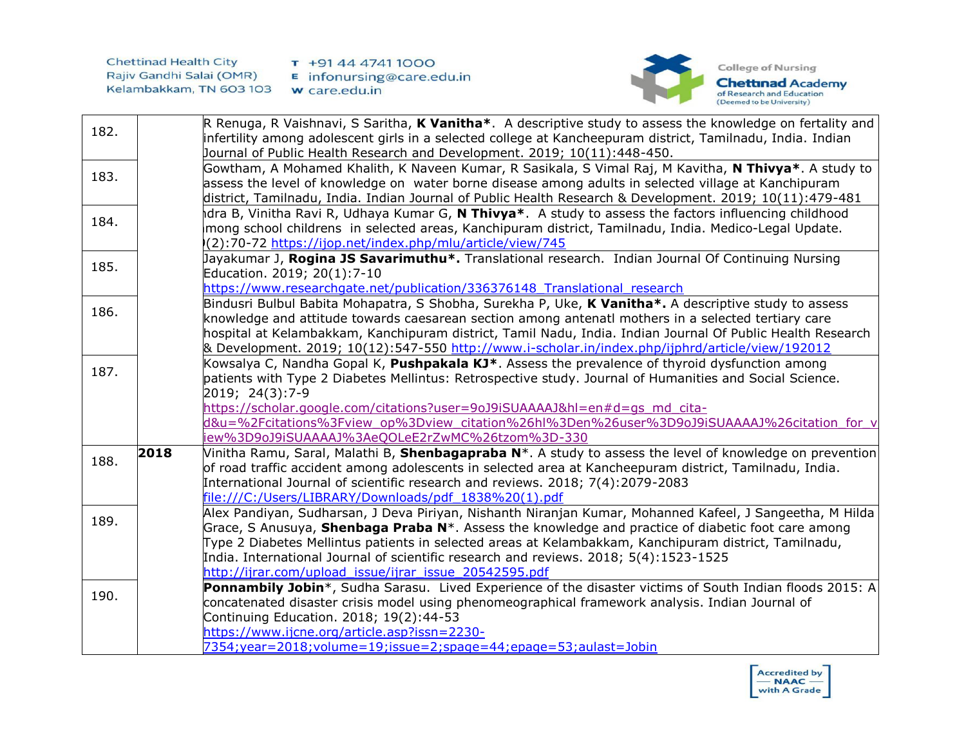



| 182. |      | R Renuga, R Vaishnavi, S Saritha, K Vanitha*. A descriptive study to assess the knowledge on fertality and<br>infertility among adolescent girls in a selected college at Kancheepuram district, Tamilnadu, India. Indian<br>Journal of Public Health Research and Development. 2019; 10(11):448-450.                                                                                                                                                                                   |
|------|------|-----------------------------------------------------------------------------------------------------------------------------------------------------------------------------------------------------------------------------------------------------------------------------------------------------------------------------------------------------------------------------------------------------------------------------------------------------------------------------------------|
| 183. |      | Gowtham, A Mohamed Khalith, K Naveen Kumar, R Sasikala, S Vimal Raj, M Kavitha, N Thivya*. A study to<br>assess the level of knowledge on water borne disease among adults in selected village at Kanchipuram<br>district, Tamilnadu, India. Indian Journal of Public Health Research & Development. 2019; 10(11):479-481                                                                                                                                                               |
| 184. |      | dra B, Vinitha Ravi R, Udhaya Kumar G, <b>N Thivya*</b> . A study to assess the factors influencing childhood<br>mong school childrens in selected areas, Kanchipuram district, Tamilnadu, India. Medico-Legal Update.<br>(2):70-72 https://ijop.net/index.php/mlu/article/view/745                                                                                                                                                                                                     |
| 185. |      | Jayakumar J, Rogina JS Savarimuthu*. Translational research. Indian Journal Of Continuing Nursing<br>Education. 2019; 20(1):7-10<br>https://www.researchgate.net/publication/336376148 Translational research                                                                                                                                                                                                                                                                           |
| 186. |      | Bindusri Bulbul Babita Mohapatra, S Shobha, Surekha P, Uke, K Vanitha*. A descriptive study to assess<br>knowledge and attitude towards caesarean section among antenatl mothers in a selected tertiary care<br>hospital at Kelambakkam, Kanchipuram district, Tamil Nadu, India. Indian Journal Of Public Health Research<br>8. Development. 2019; 10(12):547-550 http://www.i-scholar.in/index.php/ijphrd/article/view/192012                                                         |
| 187. |      | Kowsalya C, Nandha Gopal K, <b>Pushpakala KJ</b> *. Assess the prevalence of thyroid dysfunction among<br>patients with Type 2 Diabetes Mellintus: Retrospective study. Journal of Humanities and Social Science.<br>2019; 24(3):7-9<br>https://scholar.google.com/citations?user=9oJ9iSUAAAAJ&hl=en#d=gs_md_cita-<br>d&u=%2Fcitations%3Fview_op%3Dview_citation%26hl%3Den%26user%3D9oJ9iSUAAAAJ%26citation_for_v                                                                       |
| 188. | 2018 | iew%3D9oJ9iSUAAAAJ%3AeQOLeE2rZwMC%26tzom%3D-330<br>Vinitha Ramu, Saral, Malathi B, Shenbagapraba N*. A study to assess the level of knowledge on prevention<br>of road traffic accident among adolescents in selected area at Kancheepuram district, Tamilnadu, India.<br>International Journal of scientific research and reviews. 2018; 7(4):2079-2083<br>file:///C:/Users/LIBRARY/Downloads/pdf 1838%20(1).pdf                                                                       |
| 189. |      | Alex Pandiyan, Sudharsan, J Deva Piriyan, Nishanth Niranjan Kumar, Mohanned Kafeel, J Sangeetha, M Hilda<br>Grace, S Anusuya, Shenbaga Praba N <sup>*</sup> . Assess the knowledge and practice of diabetic foot care among<br>Type 2 Diabetes Mellintus patients in selected areas at Kelambakkam, Kanchipuram district, Tamilnadu,<br>India. International Journal of scientific research and reviews. 2018; 5(4):1523-1525<br>http://ijrar.com/upload issue/ijrar issue 20542595.pdf |
| 190. |      | Ponnambily Jobin*, Sudha Sarasu. Lived Experience of the disaster victims of South Indian floods 2015: A<br>concatenated disaster crisis model using phenomeographical framework analysis. Indian Journal of<br>Continuing Education. 2018; 19(2):44-53<br>https://www.ijcne.org/article.asp?issn=2230-<br>7354; year = 2018; volume = 19; issue = 2; spage = 44; epage = 53; aulast = Jobin                                                                                            |

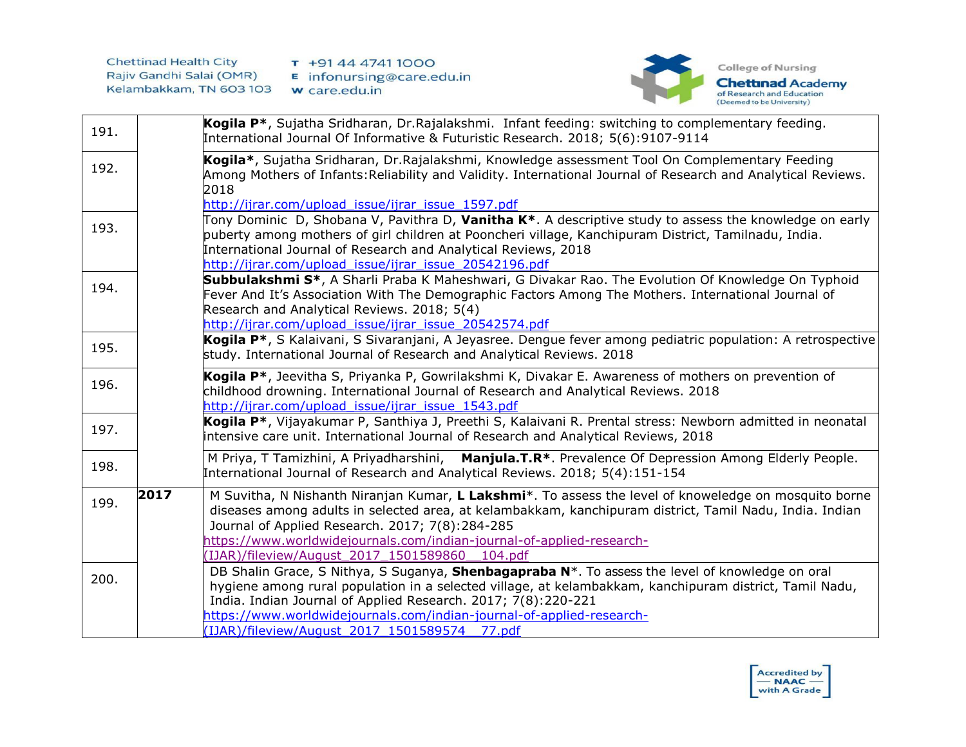

| 191. |      | Kogila P <sup>*</sup> , Sujatha Sridharan, Dr. Rajalakshmi. Infant feeding: switching to complementary feeding.<br>International Journal Of Informative & Futuristic Research. 2018; 5(6):9107-9114                                                                                                                                                                                                    |
|------|------|--------------------------------------------------------------------------------------------------------------------------------------------------------------------------------------------------------------------------------------------------------------------------------------------------------------------------------------------------------------------------------------------------------|
| 192. |      | Kogila*, Sujatha Sridharan, Dr.Rajalakshmi, Knowledge assessment Tool On Complementary Feeding<br>Among Mothers of Infants: Reliability and Validity. International Journal of Research and Analytical Reviews.<br>2018<br>http://ijrar.com/upload issue/ijrar issue 1597.pdf                                                                                                                          |
| 193. |      | Tony Dominic D, Shobana V, Pavithra D, Vanitha K*. A descriptive study to assess the knowledge on early<br>puberty among mothers of girl children at Pooncheri village, Kanchipuram District, Tamilnadu, India.<br>International Journal of Research and Analytical Reviews, 2018<br>http://ijrar.com/upload issue/ijrar issue 20542196.pdf                                                            |
| 194. |      | Subbulakshmi S*, A Sharli Praba K Maheshwari, G Divakar Rao. The Evolution Of Knowledge On Typhoid<br>Fever And It's Association With The Demographic Factors Among The Mothers. International Journal of<br>Research and Analytical Reviews. 2018; 5(4)<br>http://ijrar.com/upload issue/ijrar issue 20542574.pdf                                                                                     |
| 195. |      | Kogila P <sup>*</sup> , S Kalaivani, S Sivaranjani, A Jeyasree. Dengue fever among pediatric population: A retrospective<br>study. International Journal of Research and Analytical Reviews. 2018                                                                                                                                                                                                      |
| 196. |      | Kogila P <sup>*</sup> , Jeevitha S, Priyanka P, Gowrilakshmi K, Divakar E. Awareness of mothers on prevention of<br>childhood drowning. International Journal of Research and Analytical Reviews. 2018<br>http://ijrar.com/upload issue/ijrar issue 1543.pdf                                                                                                                                           |
| 197. |      | Kogila P*, Vijayakumar P, Santhiya J, Preethi S, Kalaivani R. Prental stress: Newborn admitted in neonatal<br>intensive care unit. International Journal of Research and Analytical Reviews, 2018                                                                                                                                                                                                      |
| 198. |      | M Priya, T Tamizhini, A Priyadharshini, Manjula.T.R*. Prevalence Of Depression Among Elderly People.<br>International Journal of Research and Analytical Reviews. 2018; 5(4):151-154                                                                                                                                                                                                                   |
| 199. | 2017 | M Suvitha, N Nishanth Niranjan Kumar, L Lakshmi*. To assess the level of knoweledge on mosquito borne<br>diseases among adults in selected area, at kelambakkam, kanchipuram district, Tamil Nadu, India. Indian<br>Journal of Applied Research. 2017; 7(8):284-285<br>https://www.worldwidejournals.com/indian-journal-of-applied-research-<br>(IJAR)/fileview/August 2017 1501589860 104.pdf         |
| 200. |      | DB Shalin Grace, S Nithya, S Suganya, Shenbagapraba N*. To assess the level of knowledge on oral<br>hygiene among rural population in a selected village, at kelambakkam, kanchipuram district, Tamil Nadu,<br>India. Indian Journal of Applied Research. 2017; 7(8):220-221<br>https://www.worldwidejournals.com/indian-journal-of-applied-research-<br>(IJAR)/fileview/August 2017 1501589574 77.pdf |

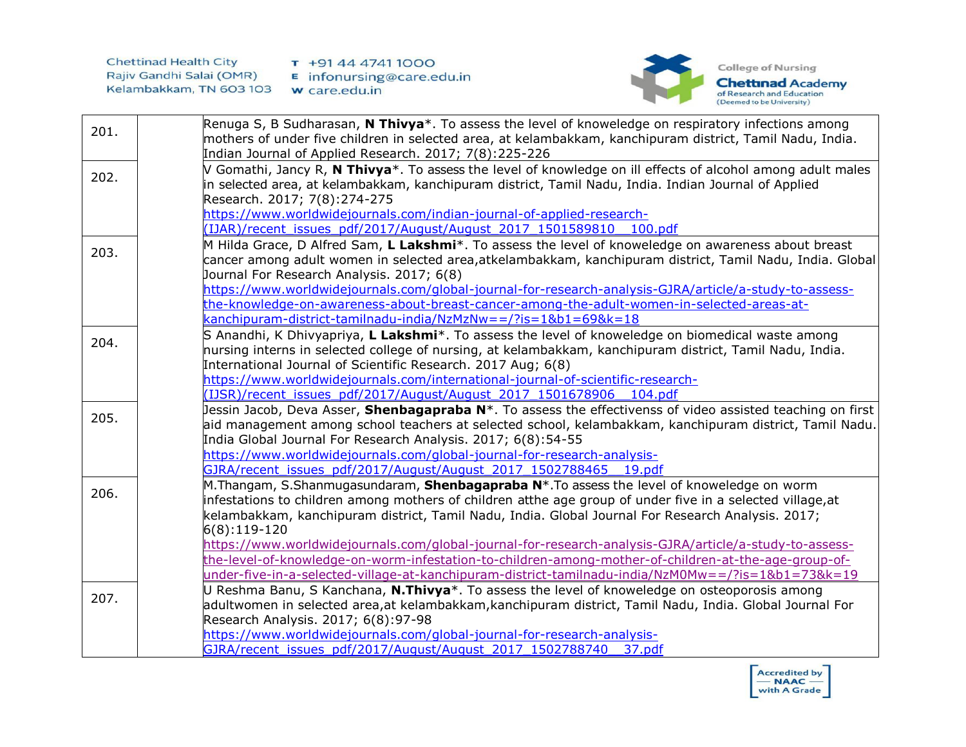

| 201. | Renuga S, B Sudharasan, N Thivya <sup>*</sup> . To assess the level of knoweledge on respiratory infections among<br>mothers of under five children in selected area, at kelambakkam, kanchipuram district, Tamil Nadu, India.<br>Indian Journal of Applied Research. 2017; 7(8):225-226                     |
|------|--------------------------------------------------------------------------------------------------------------------------------------------------------------------------------------------------------------------------------------------------------------------------------------------------------------|
| 202. | V Gomathi, Jancy R, N Thivya*. To assess the level of knowledge on ill effects of alcohol among adult males<br>in selected area, at kelambakkam, kanchipuram district, Tamil Nadu, India. Indian Journal of Applied<br>Research. 2017; 7(8):274-275                                                          |
|      | https://www.worldwidejournals.com/indian-journal-of-applied-research-<br>(IJAR)/recent issues pdf/2017/August/August 2017 1501589810 100.pdf                                                                                                                                                                 |
|      | M Hilda Grace, D Alfred Sam, L Lakshmi <sup>*</sup> . To assess the level of knoweledge on awareness about breast                                                                                                                                                                                            |
| 203. | cancer among adult women in selected area,atkelambakkam, kanchipuram district, Tamil Nadu, India. Global                                                                                                                                                                                                     |
|      | Journal For Research Analysis. 2017; 6(8)                                                                                                                                                                                                                                                                    |
|      | https://www.worldwidejournals.com/global-journal-for-research-analysis-GJRA/article/a-study-to-assess-                                                                                                                                                                                                       |
|      | the-knowledge-on-awareness-about-breast-cancer-among-the-adult-women-in-selected-areas-at-                                                                                                                                                                                                                   |
|      | kanchipuram-district-tamilnadu-india/NzMzNw==/?is=1&b1=69&k=18                                                                                                                                                                                                                                               |
| 204. | S Anandhi, K Dhivyapriya, L Lakshmi*. To assess the level of knoweledge on biomedical waste among<br>nursing interns in selected college of nursing, at kelambakkam, kanchipuram district, Tamil Nadu, India.                                                                                                |
|      | International Journal of Scientific Research. 2017 Aug; 6(8)                                                                                                                                                                                                                                                 |
|      | https://www.worldwidejournals.com/international-journal-of-scientific-research-                                                                                                                                                                                                                              |
|      | (IJSR)/recent issues pdf/2017/August/August 2017 1501678906 104.pdf<br>Jessin Jacob, Deva Asser, Shenbagapraba N*. To assess the effectivenss of video assisted teaching on first                                                                                                                            |
| 205. | aid management among school teachers at selected school, kelambakkam, kanchipuram district, Tamil Nadu.<br>India Global Journal For Research Analysis. 2017; 6(8):54-55                                                                                                                                      |
|      | https://www.worldwidejournals.com/global-journal-for-research-analysis-                                                                                                                                                                                                                                      |
|      | GJRA/recent issues pdf/2017/August/August 2017 1502788465 19.pdf                                                                                                                                                                                                                                             |
| 206. | M.Thangam, S.Shanmugasundaram, Shenbagapraba N*.To assess the level of knoweledge on worm<br>infestations to children among mothers of children atthe age group of under five in a selected village, at<br>kelambakkam, kanchipuram district, Tamil Nadu, India. Global Journal For Research Analysis. 2017; |
|      | $6(8):119-120$                                                                                                                                                                                                                                                                                               |
|      | https://www.worldwidejournals.com/global-journal-for-research-analysis-GJRA/article/a-study-to-assess-                                                                                                                                                                                                       |
|      | the-level-of-knowledge-on-worm-infestation-to-children-among-mother-of-children-at-the-age-group-of-                                                                                                                                                                                                         |
|      | under-five-in-a-selected-village-at-kanchipuram-district-tamilnadu-india/NzM0Mw==/?is=1&b1=73&k=19                                                                                                                                                                                                           |
| 207. | U Reshma Banu, S Kanchana, <b>N.Thivya</b> *. To assess the level of knoweledge on osteoporosis among                                                                                                                                                                                                        |
|      | adultwomen in selected area,at kelambakkam,kanchipuram district, Tamil Nadu, India. Global Journal For                                                                                                                                                                                                       |
|      | Research Analysis. 2017; 6(8):97-98                                                                                                                                                                                                                                                                          |
|      | https://www.worldwidejournals.com/global-journal-for-research-analysis-<br>GJRA/recent issues pdf/2017/August/August 2017 1502788740                                                                                                                                                                         |
|      | 37.pdf                                                                                                                                                                                                                                                                                                       |

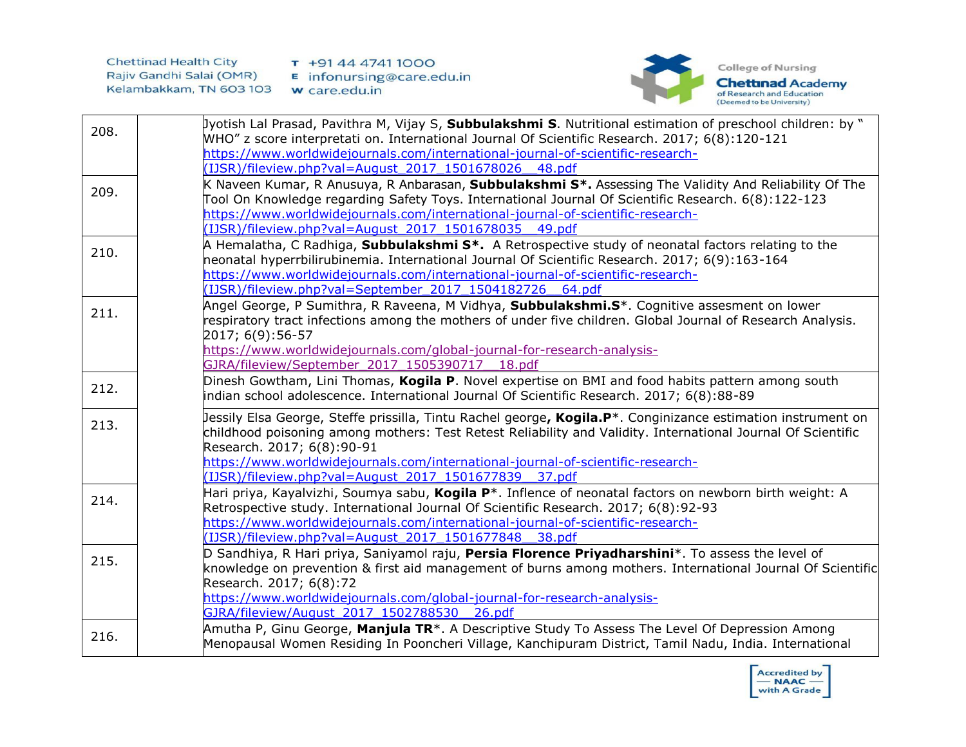

| 208. | Jyotish Lal Prasad, Pavithra M, Vijay S, Subbulakshmi S. Nutritional estimation of preschool children: by "<br>WHO" z score interpretati on. International Journal Of Scientific Research. 2017; 6(8):120-121                                                                                                                                                                                          |
|------|--------------------------------------------------------------------------------------------------------------------------------------------------------------------------------------------------------------------------------------------------------------------------------------------------------------------------------------------------------------------------------------------------------|
|      | https://www.worldwidejournals.com/international-journal-of-scientific-research-<br>(IJSR)/fileview.php?val=August 2017 1501678026 48.pdf                                                                                                                                                                                                                                                               |
| 209. | K Naveen Kumar, R Anusuya, R Anbarasan, Subbulakshmi S*. Assessing The Validity And Reliability Of The<br>Tool On Knowledge regarding Safety Toys. International Journal Of Scientific Research. 6(8):122-123<br>https://www.worldwidejournals.com/international-journal-of-scientific-research-<br>(IJSR)/fileview.php?val=August 2017 1501678035 49.pdf                                              |
| 210. | A Hemalatha, C Radhiga, Subbulakshmi S*. A Retrospective study of neonatal factors relating to the<br>neonatal hyperrbilirubinemia. International Journal Of Scientific Research. 2017; 6(9):163-164<br>https://www.worldwidejournals.com/international-journal-of-scientific-research-<br>(IJSR)/fileview.php?val=September 2017 1504182726 64.pdf                                                    |
| 211. | Angel George, P Sumithra, R Raveena, M Vidhya, <b>Subbulakshmi.S</b> *. Cognitive assesment on lower<br>respiratory tract infections among the mothers of under five children. Global Journal of Research Analysis.<br>2017; 6(9):56-57<br>https://www.worldwidejournals.com/global-journal-for-research-analysis-<br>GJRA/fileview/September 2017 1505390717 18.pdf                                   |
| 212. | Dinesh Gowtham, Lini Thomas, Kogila P. Novel expertise on BMI and food habits pattern among south<br>indian school adolescence. International Journal Of Scientific Research. 2017; 6(8):88-89                                                                                                                                                                                                         |
| 213. | Jessily Elsa George, Steffe prissilla, Tintu Rachel george, Kogila.P*. Conginizance estimation instrument on<br>childhood poisoning among mothers: Test Retest Reliability and Validity. International Journal Of Scientific<br>Research. 2017; 6(8):90-91<br>https://www.worldwidejournals.com/international-journal-of-scientific-research-<br>(IJSR)/fileview.php?val=August 2017 1501677839 37.pdf |
| 214. | Hari priya, Kayalvizhi, Soumya sabu, Kogila P*. Inflence of neonatal factors on newborn birth weight: A<br>Retrospective study. International Journal Of Scientific Research. 2017; 6(8):92-93<br>https://www.worldwidejournals.com/international-journal-of-scientific-research-<br>(IJSR)/fileview.php?val=August 2017 1501677848 38.pdf                                                             |
| 215. | D Sandhiya, R Hari priya, Saniyamol raju, Persia Florence Priyadharshini*. To assess the level of<br>knowledge on prevention & first aid management of burns among mothers. International Journal Of Scientific<br>Research. 2017; 6(8):72<br>https://www.worldwidejournals.com/global-journal-for-research-analysis-<br>GJRA/fileview/August 2017 1502788530 26.pdf                                   |
| 216. | Amutha P, Ginu George, Manjula TR <sup>*</sup> . A Descriptive Study To Assess The Level Of Depression Among<br>Menopausal Women Residing In Pooncheri Village, Kanchipuram District, Tamil Nadu, India. International                                                                                                                                                                                 |

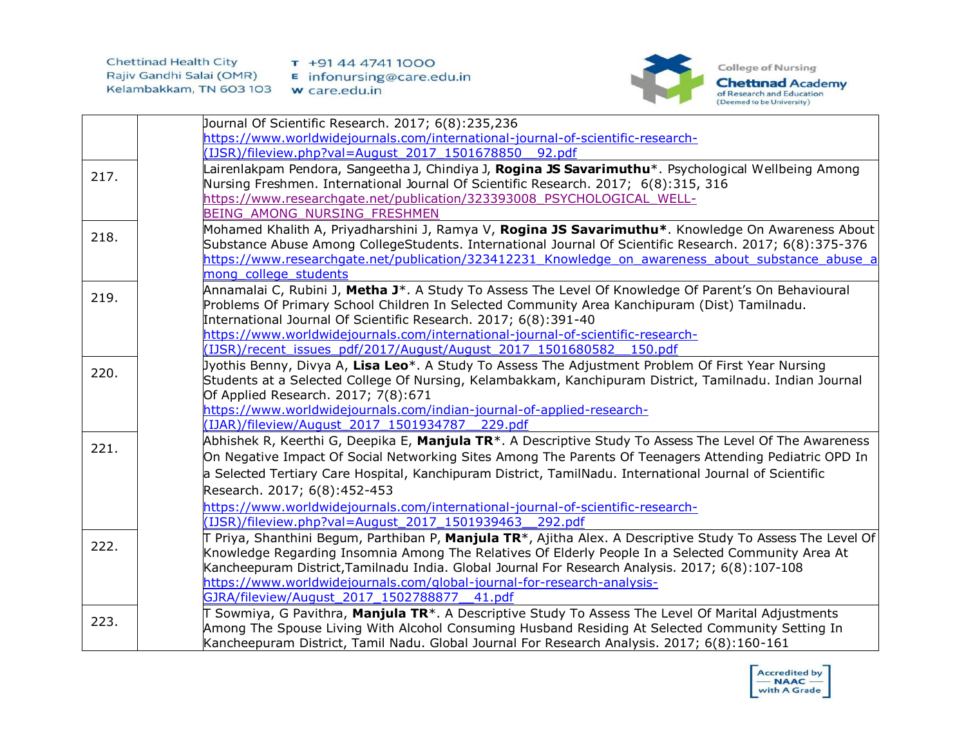

|      | Dournal Of Scientific Research. 2017; 6(8):235,236                                                                     |
|------|------------------------------------------------------------------------------------------------------------------------|
|      | https://www.worldwidejournals.com/international-journal-of-scientific-research-                                        |
|      | (IJSR)/fileview.php?val=August 2017 1501678850 92.pdf                                                                  |
| 217. | Lairenlakpam Pendora, Sangeetha J, Chindiya J, <b>Rogina JS Savarimuthu</b> *. Psychological Wellbeing Among           |
|      | Nursing Freshmen. International Journal Of Scientific Research. 2017; 6(8):315, 316                                    |
|      | https://www.researchgate.net/publication/323393008 PSYCHOLOGICAL WELL-                                                 |
|      | BEING AMONG NURSING FRESHMEN                                                                                           |
| 218. | Mohamed Khalith A, Priyadharshini J, Ramya V, Rogina JS Savarimuthu*. Knowledge On Awareness About                     |
|      | Substance Abuse Among CollegeStudents. International Journal Of Scientific Research. 2017; 6(8):375-376                |
|      | https://www.researchgate.net/publication/323412231 Knowledge on awareness about substance abuse a                      |
|      | mong college students                                                                                                  |
| 219. | Annamalai C, Rubini J, Metha J <sup>*</sup> . A Study To Assess The Level Of Knowledge Of Parent's On Behavioural      |
|      | Problems Of Primary School Children In Selected Community Area Kanchipuram (Dist) Tamilnadu.                           |
|      | International Journal Of Scientific Research. 2017; 6(8):391-40                                                        |
|      | https://www.worldwidejournals.com/international-journal-of-scientific-research-                                        |
|      | (IJSR)/recent issues pdf/2017/August/August 2017 1501680582<br>150.pdf                                                 |
| 220. | Jyothis Benny, Divya A, Lisa Leo*. A Study To Assess The Adjustment Problem Of First Year Nursing                      |
|      | Students at a Selected College Of Nursing, Kelambakkam, Kanchipuram District, Tamilnadu. Indian Journal                |
|      | Of Applied Research. 2017; 7(8):671                                                                                    |
|      | https://www.worldwidejournals.com/indian-journal-of-applied-research-                                                  |
|      | (IJAR)/fileview/August 2017 1501934787 229.pdf                                                                         |
| 221. | Abhishek R, Keerthi G, Deepika E, Manjula TR <sup>*</sup> . A Descriptive Study To Assess The Level Of The Awareness   |
|      | On Negative Impact Of Social Networking Sites Among The Parents Of Teenagers Attending Pediatric OPD In                |
|      | a Selected Tertiary Care Hospital, Kanchipuram District, TamilNadu. International Journal of Scientific                |
|      | Research. 2017; 6(8):452-453                                                                                           |
|      | https://www.worldwidejournals.com/international-journal-of-scientific-research-                                        |
|      | (IJSR)/fileview.php?val=August 2017 1501939463 292.pdf                                                                 |
| 222. | Priya, Shanthini Begum, Parthiban P, Manjula TR <sup>*</sup> , Ajitha Alex. A Descriptive Study To Assess The Level Of |
|      | Knowledge Regarding Insomnia Among The Relatives Of Elderly People In a Selected Community Area At                     |
|      | Kancheepuram District, Tamilnadu India. Global Journal For Research Analysis. 2017; 6(8):107-108                       |
|      | https://www.worldwidejournals.com/global-journal-for-research-analysis-                                                |
|      | GJRA/fileview/August 2017 1502788877 41.pdf                                                                            |
| 223. | Sowmiya, G Pavithra, Manjula TR*. A Descriptive Study To Assess The Level Of Marital Adjustments                       |
|      | Among The Spouse Living With Alcohol Consuming Husband Residing At Selected Community Setting In                       |
|      | Kancheepuram District, Tamil Nadu. Global Journal For Research Analysis. 2017; 6(8):160-161                            |

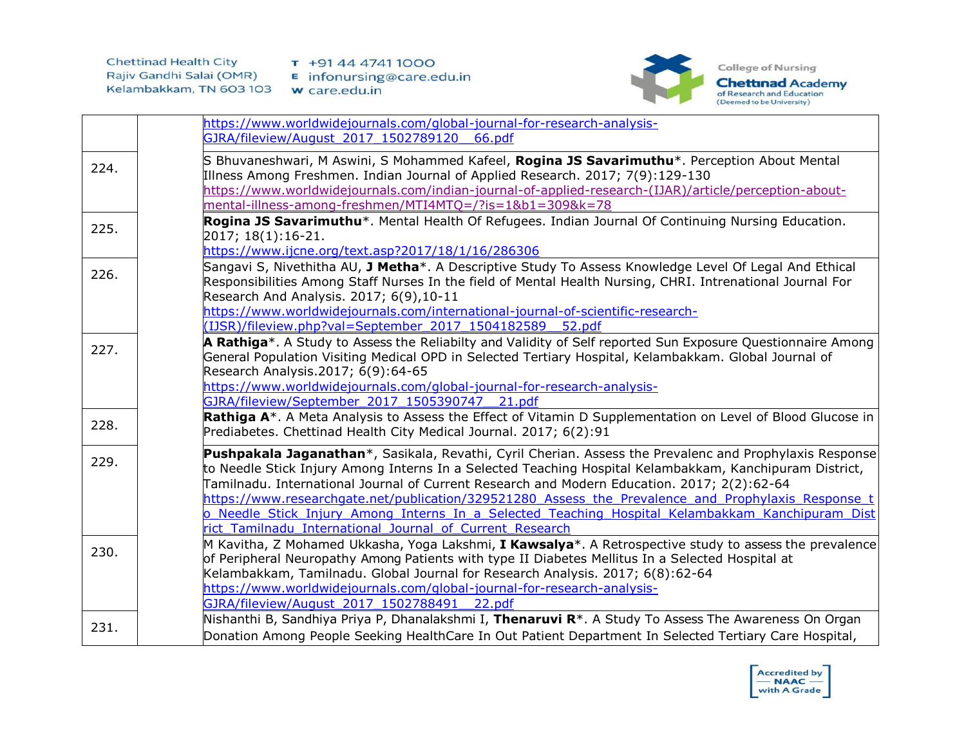

|      | https://www.worldwidejournals.com/global-journal-for-research-analysis-<br>GJRA/fileview/August 2017 1502789120 66.pdf                                                                                                                                                                                                                                                                                                                                                                                                                                                                   |
|------|------------------------------------------------------------------------------------------------------------------------------------------------------------------------------------------------------------------------------------------------------------------------------------------------------------------------------------------------------------------------------------------------------------------------------------------------------------------------------------------------------------------------------------------------------------------------------------------|
| 224. | S Bhuvaneshwari, M Aswini, S Mohammed Kafeel, Rogina JS Savarimuthu*. Perception About Mental<br>Illness Among Freshmen. Indian Journal of Applied Research. 2017; 7(9):129-130<br>https://www.worldwidejournals.com/indian-journal-of-applied-research-(IJAR)/article/perception-about-<br>mental-illness-among-freshmen/MTI4MTQ=/?is=1&b1=309&k=78                                                                                                                                                                                                                                     |
| 225. | Rogina JS Savarimuthu <sup>*</sup> . Mental Health Of Refugees. Indian Journal Of Continuing Nursing Education.<br>2017; 18(1):16-21.<br>https://www.ijcne.org/text.asp?2017/18/1/16/286306                                                                                                                                                                                                                                                                                                                                                                                              |
| 226. | Sangavi S, Nivethitha AU, J Metha*. A Descriptive Study To Assess Knowledge Level Of Legal And Ethical<br>Responsibilities Among Staff Nurses In the field of Mental Health Nursing, CHRI. Intrenational Journal For<br>Research And Analysis. 2017; 6(9), 10-11<br>https://www.worldwidejournals.com/international-journal-of-scientific-research-<br>(IJSR)/fileview.php?val=September 2017 1504182589 52.pdf                                                                                                                                                                          |
| 227. | A Rathiga*. A Study to Assess the Reliabilty and Validity of Self reported Sun Exposure Questionnaire Among<br>General Population Visiting Medical OPD in Selected Tertiary Hospital, Kelambakkam. Global Journal of<br>Research Analysis.2017; 6(9):64-65<br>https://www.worldwidejournals.com/global-journal-for-research-analysis-<br>GJRA/fileview/September 2017 1505390747 21.pdf                                                                                                                                                                                                  |
| 228. | Rathiga A <sup>*</sup> . A Meta Analysis to Assess the Effect of Vitamin D Supplementation on Level of Blood Glucose in<br>Prediabetes. Chettinad Health City Medical Journal. 2017; 6(2):91                                                                                                                                                                                                                                                                                                                                                                                             |
| 229. | Pushpakala Jaganathan*, Sasikala, Revathi, Cyril Cherian. Assess the Prevalenc and Prophylaxis Response<br>to Needle Stick Injury Among Interns In a Selected Teaching Hospital Kelambakkam, Kanchipuram District,<br>Tamilnadu. International Journal of Current Research and Modern Education. 2017; 2(2):62-64<br>https://www.researchgate.net/publication/329521280 Assess the Prevalence and Prophylaxis Response t<br>o Needle Stick Injury Among Interns In a Selected Teaching Hospital Kelambakkam Kanchipuram Dist<br>rict Tamilnadu International Journal of Current Research |
| 230. | M Kavitha, Z Mohamed Ukkasha, Yoga Lakshmi, <b>I Kawsalya</b> *. A Retrospective study to assess the prevalence<br>of Peripheral Neuropathy Among Patients with type II Diabetes Mellitus In a Selected Hospital at<br>Kelambakkam, Tamilnadu. Global Journal for Research Analysis. 2017; 6(8):62-64<br>https://www.worldwidejournals.com/global-journal-for-research-analysis-<br>GJRA/fileview/August 2017 1502788491 22.pdf                                                                                                                                                          |
| 231. | Nishanthi B, Sandhiya Priya P, Dhanalakshmi I, Thenaruvi R <sup>*</sup> . A Study To Assess The Awareness On Organ<br>Donation Among People Seeking HealthCare In Out Patient Department In Selected Tertiary Care Hospital,                                                                                                                                                                                                                                                                                                                                                             |

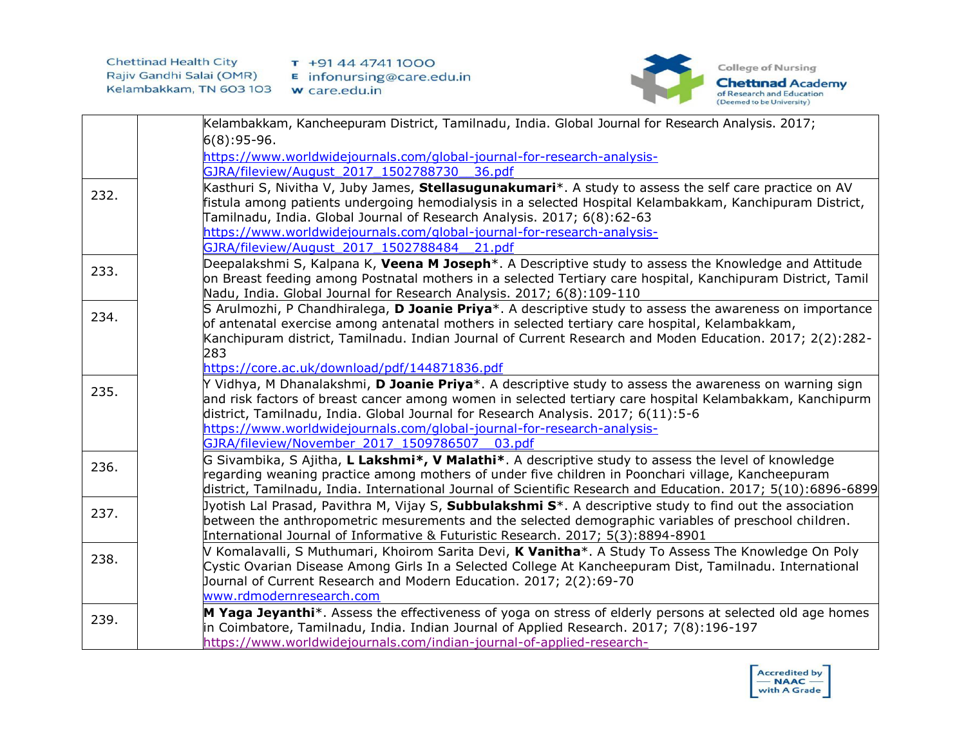

|      | Kelambakkam, Kancheepuram District, Tamilnadu, India. Global Journal for Research Analysis. 2017;                                                                                                                                                                                                                                                                                                                                           |
|------|---------------------------------------------------------------------------------------------------------------------------------------------------------------------------------------------------------------------------------------------------------------------------------------------------------------------------------------------------------------------------------------------------------------------------------------------|
|      | $6(8):95-96.$                                                                                                                                                                                                                                                                                                                                                                                                                               |
|      | https://www.worldwidejournals.com/global-journal-for-research-analysis-                                                                                                                                                                                                                                                                                                                                                                     |
|      | GJRA/fileview/August 2017 1502788730<br>36.pdf                                                                                                                                                                                                                                                                                                                                                                                              |
| 232. | Kasthuri S, Nivitha V, Juby James, Stellasugunakumari*. A study to assess the self care practice on AV<br>fistula among patients undergoing hemodialysis in a selected Hospital Kelambakkam, Kanchipuram District,<br>Tamilnadu, India. Global Journal of Research Analysis. 2017; 6(8):62-63<br>https://www.worldwidejournals.com/global-journal-for-research-analysis-<br>GJRA/fileview/August 2017 1502788484 21.pdf                     |
|      | Deepalakshmi S, Kalpana K, <b>Veena M Joseph</b> *. A Descriptive study to assess the Knowledge and Attitude                                                                                                                                                                                                                                                                                                                                |
| 233. | on Breast feeding among Postnatal mothers in a selected Tertiary care hospital, Kanchipuram District, Tamil<br>Nadu, India. Global Journal for Research Analysis. 2017; 6(8):109-110                                                                                                                                                                                                                                                        |
| 234. | S Arulmozhi, P Chandhiralega, <b>D Joanie Priya</b> *. A descriptive study to assess the awareness on importance<br>of antenatal exercise among antenatal mothers in selected tertiary care hospital, Kelambakkam,<br>Kanchipuram district, Tamilnadu. Indian Journal of Current Research and Moden Education. 2017; 2(2):282-<br>283                                                                                                       |
|      | https://core.ac.uk/download/pdf/144871836.pdf                                                                                                                                                                                                                                                                                                                                                                                               |
| 235. | Y Vidhya, M Dhanalakshmi, <b>D Joanie Priya</b> *. A descriptive study to assess the awareness on warning sign<br>and risk factors of breast cancer among women in selected tertiary care hospital Kelambakkam, Kanchipurm<br>district, Tamilnadu, India. Global Journal for Research Analysis. 2017; 6(11):5-6<br>https://www.worldwidejournals.com/global-journal-for-research-analysis-<br>GJRA/fileview/November 2017 1509786507 03.pdf |
| 236. | G Sivambika, S Ajitha, L Lakshmi*, V Malathi*. A descriptive study to assess the level of knowledge<br>regarding weaning practice among mothers of under five children in Poonchari village, Kancheepuram<br>district, Tamilnadu, India. International Journal of Scientific Research and Education. 2017; 5(10):6896-6899                                                                                                                  |
| 237. | Jyotish Lal Prasad, Pavithra M, Vijay S, Subbulakshmi S*. A descriptive study to find out the association<br>between the anthropometric mesurements and the selected demographic variables of preschool children.<br>International Journal of Informative & Futuristic Research. 2017; 5(3):8894-8901                                                                                                                                       |
| 238. | V Komalavalli, S Muthumari, Khoirom Sarita Devi, <b>K Vanitha</b> *. A Study To Assess The Knowledge On Poly<br>Cystic Ovarian Disease Among Girls In a Selected College At Kancheepuram Dist, Tamilnadu. International<br>Journal of Current Research and Modern Education. 2017; 2(2):69-70<br>www.rdmodernresearch.com                                                                                                                   |
| 239. | M Yaga Jeyanthi <sup>*</sup> . Assess the effectiveness of yoga on stress of elderly persons at selected old age homes<br>in Coimbatore, Tamilnadu, India. Indian Journal of Applied Research. 2017; 7(8):196-197<br>https://www.worldwidejournals.com/indian-journal-of-applied-research-                                                                                                                                                  |

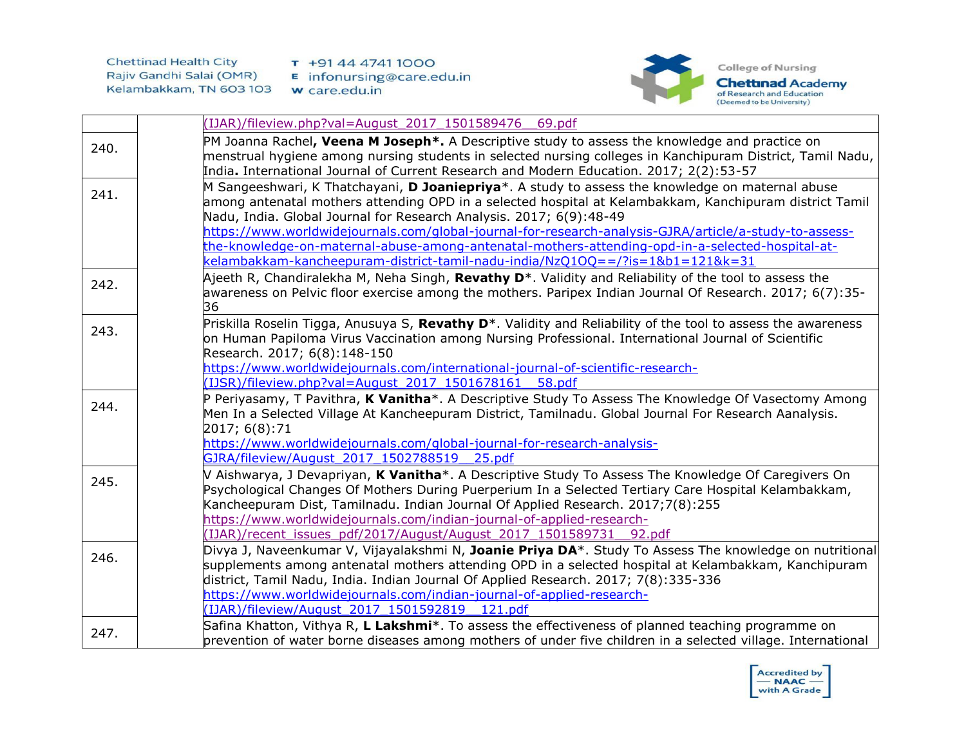

|      | IJAR)/fileview.php?val=August 2017 1501589476 69.pdf                                                                                                                                                                                                                                                                                                                                                                                                                                             |
|------|--------------------------------------------------------------------------------------------------------------------------------------------------------------------------------------------------------------------------------------------------------------------------------------------------------------------------------------------------------------------------------------------------------------------------------------------------------------------------------------------------|
| 240. | PM Joanna Rachel, Veena M Joseph*. A Descriptive study to assess the knowledge and practice on<br>menstrual hygiene among nursing students in selected nursing colleges in Kanchipuram District, Tamil Nadu,<br>India. International Journal of Current Research and Modern Education. 2017; 2(2):53-57                                                                                                                                                                                          |
| 241. | M Sangeeshwari, K Thatchayani, D Joaniepriya*. A study to assess the knowledge on maternal abuse<br>among antenatal mothers attending OPD in a selected hospital at Kelambakkam, Kanchipuram district Tamil<br>Nadu, India. Global Journal for Research Analysis. 2017; 6(9):48-49<br>https://www.worldwidejournals.com/global-journal-for-research-analysis-GJRA/article/a-study-to-assess-<br>the-knowledge-on-maternal-abuse-among-antenatal-mothers-attending-opd-in-a-selected-hospital-at- |
| 242. | kelambakkam-kancheepuram-district-tamil-nadu-india/NzQ1OQ==/?is=1&b1=121&k=31<br>Ajeeth R, Chandiralekha M, Neha Singh, Revathy D <sup>*</sup> . Validity and Reliability of the tool to assess the<br>awareness on Pelvic floor exercise among the mothers. Paripex Indian Journal Of Research. 2017; 6(7):35-<br>36                                                                                                                                                                            |
| 243. | Priskilla Roselin Tigga, Anusuya S, Revathy D <sup>*</sup> . Validity and Reliability of the tool to assess the awareness<br>on Human Papiloma Virus Vaccination among Nursing Professional. International Journal of Scientific<br>Research. 2017; 6(8):148-150<br>https://www.worldwidejournals.com/international-journal-of-scientific-research-<br>(IJSR)/fileview.php?val=August 2017 1501678161<br>58.pdf                                                                                  |
| 244. | P Periyasamy, T Pavithra, K Vanitha*. A Descriptive Study To Assess The Knowledge Of Vasectomy Among<br>Men In a Selected Village At Kancheepuram District, Tamilnadu. Global Journal For Research Aanalysis.<br>2017; 6(8):71<br>https://www.worldwidejournals.com/global-journal-for-research-analysis-<br>GJRA/fileview/August 2017 1502788519 25.pdf                                                                                                                                         |
| 245. | V Aishwarya, J Devapriyan, K Vanitha*. A Descriptive Study To Assess The Knowledge Of Caregivers On<br>Psychological Changes Of Mothers During Puerperium In a Selected Tertiary Care Hospital Kelambakkam,<br>Kancheepuram Dist, Tamilnadu. Indian Journal Of Applied Research. 2017;7(8):255<br>https://www.worldwidejournals.com/indian-journal-of-applied-research-<br>IJAR)/recent issues pdf/2017/August/August 2017 1501589731 92.pdf                                                     |
| 246. | Divya J, Naveenkumar V, Vijayalakshmi N, Joanie Priya DA*. Study To Assess The knowledge on nutritional<br>supplements among antenatal mothers attending OPD in a selected hospital at Kelambakkam, Kanchipuram<br>district, Tamil Nadu, India. Indian Journal Of Applied Research. 2017; 7(8):335-336<br>https://www.worldwidejournals.com/indian-journal-of-applied-research-<br>(IJAR)/fileview/August 2017 1501592819 121.pdf                                                                |
| 247. | Safina Khatton, Vithya R, L Lakshmi*. To assess the effectiveness of planned teaching programme on<br>prevention of water borne diseases among mothers of under five children in a selected village. International                                                                                                                                                                                                                                                                               |

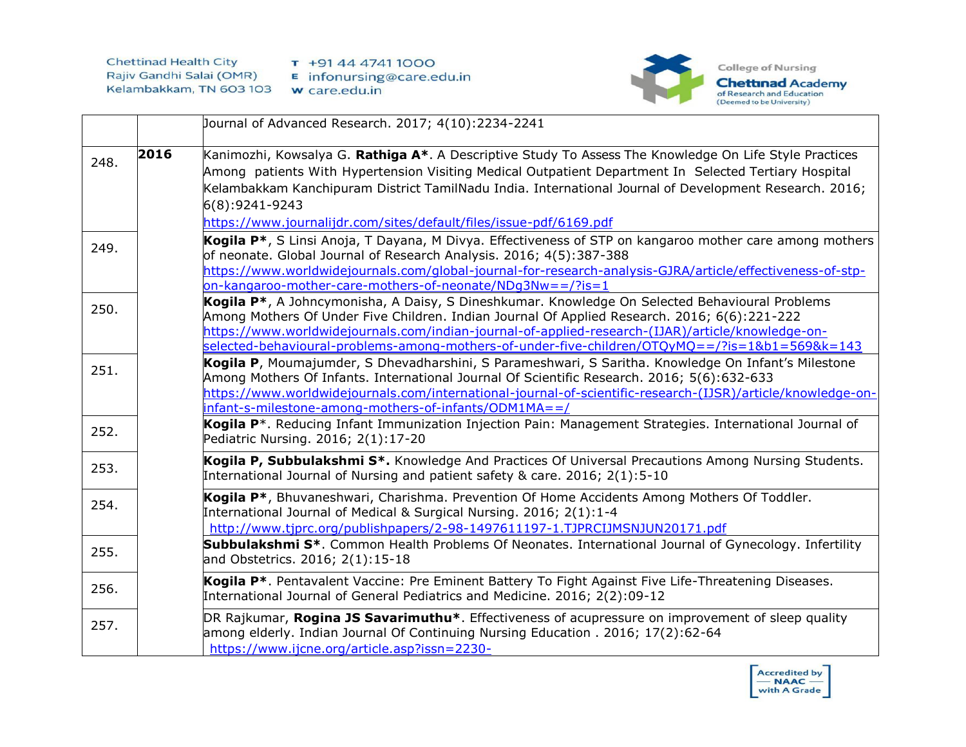

|      |      | Journal of Advanced Research. 2017; 4(10):2234-2241                                                                                                                                                                                                                                                                                                                                                                |
|------|------|--------------------------------------------------------------------------------------------------------------------------------------------------------------------------------------------------------------------------------------------------------------------------------------------------------------------------------------------------------------------------------------------------------------------|
| 248. | 2016 | Kanimozhi, Kowsalya G. Rathiga A*. A Descriptive Study To Assess The Knowledge On Life Style Practices<br>Among patients With Hypertension Visiting Medical Outpatient Department In Selected Tertiary Hospital<br>Kelambakkam Kanchipuram District TamilNadu India. International Journal of Development Research. 2016;<br>6(8):9241-9243<br>https://www.journalijdr.com/sites/default/files/issue-pdf/6169.pdf  |
| 249. |      | Kogila P <sup>*</sup> , S Linsi Anoja, T Dayana, M Divya. Effectiveness of STP on kangaroo mother care among mothers<br>of neonate. Global Journal of Research Analysis. 2016; 4(5):387-388<br>https://www.worldwidejournals.com/global-journal-for-research-analysis-GJRA/article/effectiveness-of-stp-<br>on-kangaroo-mother-care-mothers-of-neonate/NDq3Nw==/?is=1                                              |
| 250. |      | Kogila P <sup>*</sup> , A Johncymonisha, A Daisy, S Dineshkumar. Knowledge On Selected Behavioural Problems<br>Among Mothers Of Under Five Children. Indian Journal Of Applied Research. 2016; 6(6):221-222<br>https://www.worldwidejournals.com/indian-journal-of-applied-research-(IJAR)/article/knowledge-on-<br>selected-behavioural-problems-among-mothers-of-under-five-children/OTQyMQ==/?is=1&b1=569&k=143 |
| 251. |      | Kogila P, Moumajumder, S Dhevadharshini, S Parameshwari, S Saritha. Knowledge On Infant's Milestone<br>Among Mothers Of Infants. International Journal Of Scientific Research. 2016; 5(6):632-633<br>https://www.worldwidejournals.com/international-journal-of-scientific-research-(IJSR)/article/knowledge-on-<br>infant-s-milestone-among-mothers-of-infants/ODM1MA==/                                          |
| 252. |      | Kogila P <sup>*</sup> . Reducing Infant Immunization Injection Pain: Management Strategies. International Journal of<br>Pediatric Nursing. 2016; 2(1):17-20                                                                                                                                                                                                                                                        |
| 253. |      | Kogila P, Subbulakshmi S*. Knowledge And Practices Of Universal Precautions Among Nursing Students.<br>International Journal of Nursing and patient safety & care. 2016; 2(1):5-10                                                                                                                                                                                                                                 |
| 254. |      | Kogila P <sup>*</sup> , Bhuvaneshwari, Charishma. Prevention Of Home Accidents Among Mothers Of Toddler.<br>International Journal of Medical & Surgical Nursing. 2016; 2(1):1-4<br>http://www.tjprc.org/publishpapers/2-98-1497611197-1.TJPRCIJMSNJUN20171.pdf                                                                                                                                                     |
| 255. |      | Subbulakshmi S <sup>*</sup> . Common Health Problems Of Neonates. International Journal of Gynecology. Infertility<br>and Obstetrics. 2016; 2(1):15-18                                                                                                                                                                                                                                                             |
| 256. |      | Kogila P*. Pentavalent Vaccine: Pre Eminent Battery To Fight Against Five Life-Threatening Diseases.<br>International Journal of General Pediatrics and Medicine. 2016; 2(2):09-12                                                                                                                                                                                                                                 |
| 257. |      | DR Rajkumar, Rogina JS Savarimuthu <sup>*</sup> . Effectiveness of acupressure on improvement of sleep quality<br>among elderly. Indian Journal Of Continuing Nursing Education . 2016; 17(2):62-64<br>https://www.ijcne.org/article.asp?issn=2230-                                                                                                                                                                |

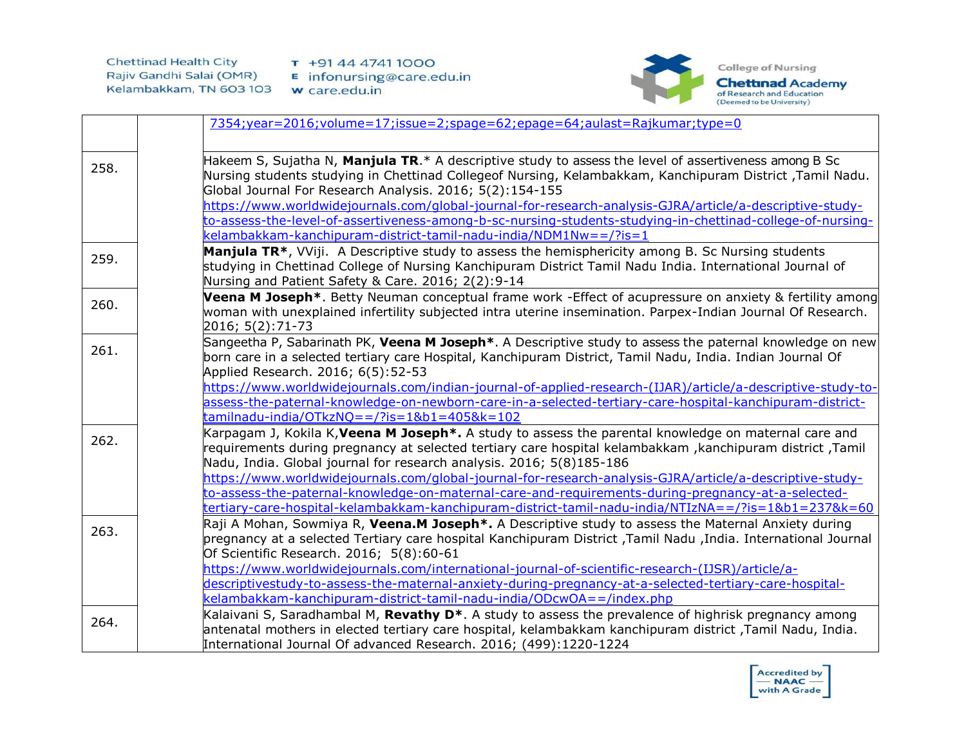

|      | 7354;year=2016;volume=17;issue=2;spage=62;epage=64;aulast=Rajkumar;type=0                                                                                                                                                                                                                                                                                                                                                                                                                                                                 |
|------|-------------------------------------------------------------------------------------------------------------------------------------------------------------------------------------------------------------------------------------------------------------------------------------------------------------------------------------------------------------------------------------------------------------------------------------------------------------------------------------------------------------------------------------------|
| 258. | Hakeem S, Sujatha N, Manjula TR.* A descriptive study to assess the level of assertiveness among B Sc<br>Nursing students studying in Chettinad Collegeof Nursing, Kelambakkam, Kanchipuram District, Tamil Nadu.<br>Global Journal For Research Analysis. 2016; 5(2):154-155<br>https://www.worldwidejournals.com/global-journal-for-research-analysis-GJRA/article/a-descriptive-study-                                                                                                                                                 |
|      | to-assess-the-level-of-assertiveness-among-b-sc-nursing-students-studying-in-chettinad-college-of-nursing-<br>kelambakkam-kanchipuram-district-tamil-nadu-india/NDM1Nw==/?is=1                                                                                                                                                                                                                                                                                                                                                            |
| 259. | Manjula TR*, VViji. A Descriptive study to assess the hemisphericity among B. Sc Nursing students<br>studying in Chettinad College of Nursing Kanchipuram District Tamil Nadu India. International Journal of<br>Nursing and Patient Safety & Care. 2016; 2(2):9-14                                                                                                                                                                                                                                                                       |
| 260. | Veena M Joseph <sup>*</sup> . Betty Neuman conceptual frame work -Effect of acupressure on anxiety & fertility among<br>woman with unexplained infertility subjected intra uterine insemination. Parpex-Indian Journal Of Research.<br>2016; 5(2):71-73                                                                                                                                                                                                                                                                                   |
| 261. | Sangeetha P, Sabarinath PK, Veena M Joseph*. A Descriptive study to assess the paternal knowledge on new<br>born care in a selected tertiary care Hospital, Kanchipuram District, Tamil Nadu, India. Indian Journal Of<br>Applied Research. 2016; 6(5):52-53<br>https://www.worldwidejournals.com/indian-journal-of-applied-research-(IJAR)/article/a-descriptive-study-to-<br>assess-the-paternal-knowledge-on-newborn-care-in-a-selected-tertiary-care-hospital-kanchipuram-district-<br>$t$ amilnadu-india/OTkzNQ==/?is=1&b1=405&k=102 |
| 262. | Karpagam J, Kokila K, Veena M Joseph <sup>*</sup> . A study to assess the parental knowledge on maternal care and<br>requirements during pregnancy at selected tertiary care hospital kelambakkam , kanchipuram district , Tamil<br>Nadu, India. Global journal for research analysis. 2016; 5(8)185-186<br>https://www.worldwidejournals.com/global-journal-for-research-analysis-GJRA/article/a-descriptive-study-                                                                                                                      |
|      | to-assess-the-paternal-knowledge-on-maternal-care-and-requirements-during-pregnancy-at-a-selected-<br>tertiary-care-hospital-kelambakkam-kanchipuram-district-tamil-nadu-india/NTIzNA==/?is=1&b1=237&k=60                                                                                                                                                                                                                                                                                                                                 |
| 263. | Raji A Mohan, Sowmiya R, Veena.M Joseph <sup>*</sup> . A Descriptive study to assess the Maternal Anxiety during<br>pregnancy at a selected Tertiary care hospital Kanchipuram District ,Tamil Nadu ,India. International Journal<br>Of Scientific Research. 2016; 5(8):60-61                                                                                                                                                                                                                                                             |
|      | https://www.worldwidejournals.com/international-journal-of-scientific-research-(IJSR)/article/a-<br>descriptivestudy-to-assess-the-maternal-anxiety-during-pregnancy-at-a-selected-tertiary-care-hospital-<br><u>kelambakkam-kanchipuram-district-tamil-nadu-india/ODcwOA==/index.php</u>                                                                                                                                                                                                                                                 |
| 264. | Kalaivani S, Saradhambal M, Revathy D <sup>*</sup> . A study to assess the prevalence of highrisk pregnancy among<br>antenatal mothers in elected tertiary care hospital, kelambakkam kanchipuram district ,Tamil Nadu, India.<br>International Journal Of advanced Research. 2016; (499):1220-1224                                                                                                                                                                                                                                       |

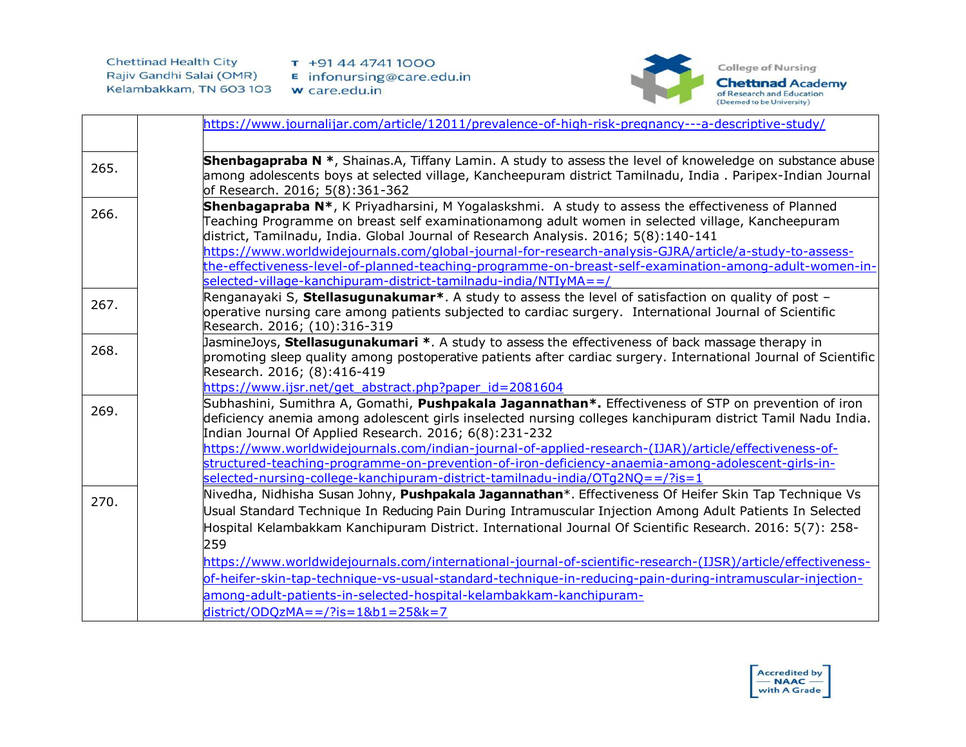

|      | https://www.journalijar.com/article/12011/prevalence-of-high-risk-pregnancy---a-descriptive-study/                                                                                |
|------|-----------------------------------------------------------------------------------------------------------------------------------------------------------------------------------|
|      |                                                                                                                                                                                   |
| 265. | <b>Shenbagapraba N</b> *, Shainas.A, Tiffany Lamin. A study to assess the level of knoweledge on substance abuse                                                                  |
|      | among adolescents boys at selected village, Kancheepuram district Tamilnadu, India . Paripex-Indian Journal<br>of Research. 2016; 5(8):361-362                                    |
|      | Shenbagapraba N <sup>*</sup> , K Priyadharsini, M Yogalaskshmi. A study to assess the effectiveness of Planned                                                                    |
| 266. | Teaching Programme on breast self examinationamong adult women in selected village, Kancheepuram                                                                                  |
|      | district, Tamilnadu, India. Global Journal of Research Analysis. 2016; 5(8):140-141                                                                                               |
|      | https://www.worldwidejournals.com/global-journal-for-research-analysis-GJRA/article/a-study-to-assess-                                                                            |
|      | the-effectiveness-level-of-planned-teaching-programme-on-breast-self-examination-among-adult-women-in-                                                                            |
|      | selected-village-kanchipuram-district-tamilnadu-india/NTIyMA==/                                                                                                                   |
| 267. | Renganayaki S, Stellasugunakumar <sup>*</sup> . A study to assess the level of satisfaction on quality of post -                                                                  |
|      | operative nursing care among patients subjected to cardiac surgery. International Journal of Scientific<br>Research. 2016; (10):316-319                                           |
|      | JasmineJoys, Stellasugunakumari *. A study to assess the effectiveness of back massage therapy in                                                                                 |
| 268. | promoting sleep quality among postoperative patients after cardiac surgery. International Journal of Scientific                                                                   |
|      | Research. 2016; (8):416-419                                                                                                                                                       |
|      | https://www.ijsr.net/get abstract.php?paper id=2081604                                                                                                                            |
| 269. | Subhashini, Sumithra A, Gomathi, <b>Pushpakala Jagannathan*.</b> Effectiveness of STP on prevention of iron                                                                       |
|      | deficiency anemia among adolescent girls inselected nursing colleges kanchipuram district Tamil Nadu India.                                                                       |
|      | Indian Journal Of Applied Research. 2016; 6(8):231-232                                                                                                                            |
|      | https://www.worldwidejournals.com/indian-journal-of-applied-research-(IJAR)/article/effectiveness-of-                                                                             |
|      | structured-teaching-programme-on-prevention-of-iron-deficiency-anaemia-among-adolescent-girls-in-<br>selected-nursing-college-kanchipuram-district-tamilnadu-india/OTg2NQ==/?is=1 |
|      | Nivedha, Nidhisha Susan Johny, Pushpakala Jagannathan*. Effectiveness Of Heifer Skin Tap Technique Vs                                                                             |
| 270. | Usual Standard Technique In Reducing Pain During Intramuscular Injection Among Adult Patients In Selected                                                                         |
|      | Hospital Kelambakkam Kanchipuram District. International Journal Of Scientific Research. 2016: 5(7): 258-                                                                         |
|      | 259                                                                                                                                                                               |
|      |                                                                                                                                                                                   |
|      | https://www.worldwidejournals.com/international-journal-of-scientific-research-(IJSR)/article/effectiveness-                                                                      |
|      | of-heifer-skin-tap-technique-vs-usual-standard-technique-in-reducing-pain-during-intramuscular-injection-                                                                         |
|      | among-adult-patients-in-selected-hospital-kelambakkam-kanchipuram-                                                                                                                |
|      | $district/ODQzMA = 2$ ?is=1&b1=25&k=7                                                                                                                                             |

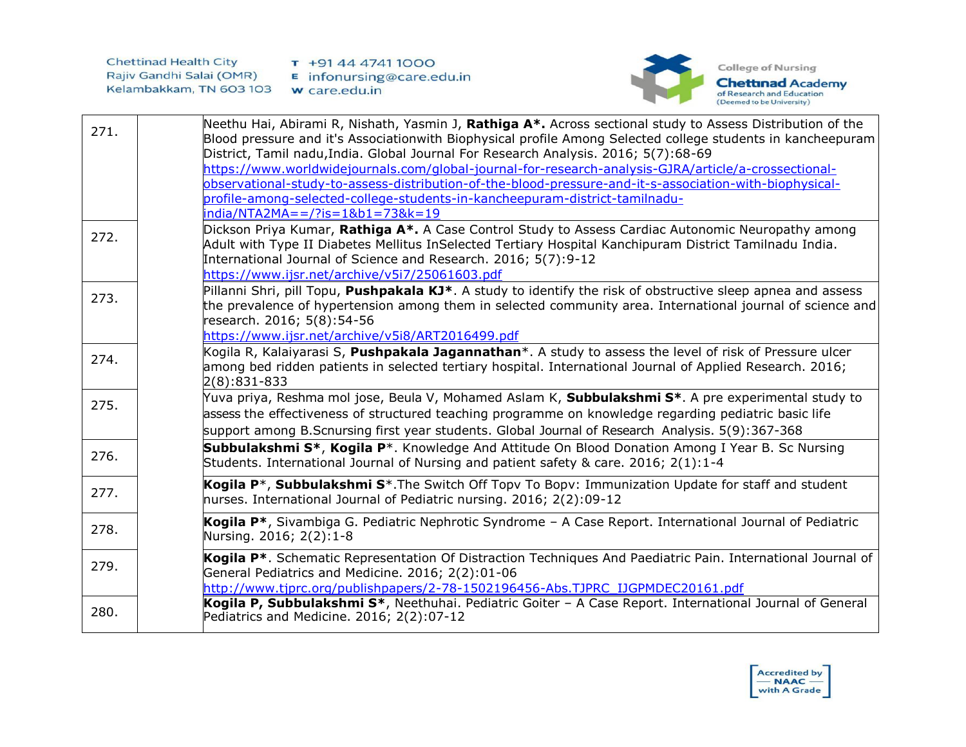

| 271. | Neethu Hai, Abirami R, Nishath, Yasmin J, Rathiga A*. Across sectional study to Assess Distribution of the<br>Blood pressure and it's Associationwith Biophysical profile Among Selected college students in kancheepuram<br>District, Tamil nadu, India. Global Journal For Research Analysis. 2016; 5(7):68-69<br>https://www.worldwidejournals.com/global-journal-for-research-analysis-GJRA/article/a-crossectional-<br>observational-study-to-assess-distribution-of-the-blood-pressure-and-it-s-association-with-biophysical-<br>profile-among-selected-college-students-in-kancheepuram-district-tamilnadu-<br>india/NTA2MA==/?is=1&b1=73&k=19 |
|------|-------------------------------------------------------------------------------------------------------------------------------------------------------------------------------------------------------------------------------------------------------------------------------------------------------------------------------------------------------------------------------------------------------------------------------------------------------------------------------------------------------------------------------------------------------------------------------------------------------------------------------------------------------|
| 272. | Dickson Priya Kumar, Rathiga A*. A Case Control Study to Assess Cardiac Autonomic Neuropathy among<br>Adult with Type II Diabetes Mellitus InSelected Tertiary Hospital Kanchipuram District Tamilnadu India.<br>International Journal of Science and Research. 2016; 5(7):9-12<br>https://www.ijsr.net/archive/v5i7/25061603.pdf                                                                                                                                                                                                                                                                                                                     |
| 273. | Pillanni Shri, pill Topu, <b>Pushpakala KJ*</b> . A study to identify the risk of obstructive sleep apnea and assess<br>the prevalence of hypertension among them in selected community area. International journal of science and<br>research. 2016; 5(8):54-56<br>https://www.ijsr.net/archive/v5i8/ART2016499.pdf                                                                                                                                                                                                                                                                                                                                  |
| 274. | Kogila R, Kalaiyarasi S, Pushpakala Jagannathan*. A study to assess the level of risk of Pressure ulcer<br>among bed ridden patients in selected tertiary hospital. International Journal of Applied Research. 2016;<br>$2(8):831-833$                                                                                                                                                                                                                                                                                                                                                                                                                |
| 275. | Yuva priya, Reshma mol jose, Beula V, Mohamed Aslam K, Subbulakshmi S*. A pre experimental study to<br>assess the effectiveness of structured teaching programme on knowledge regarding pediatric basic life<br>support among B.Scnursing first year students. Global Journal of Research Analysis. 5(9):367-368                                                                                                                                                                                                                                                                                                                                      |
| 276. | Subbulakshmi S <sup>*</sup> , Kogila P <sup>*</sup> . Knowledge And Attitude On Blood Donation Among I Year B. Sc Nursing<br>Students. International Journal of Nursing and patient safety & care. 2016; 2(1):1-4                                                                                                                                                                                                                                                                                                                                                                                                                                     |
| 277. | Kogila P <sup>*</sup> , Subbulakshmi S <sup>*</sup> . The Switch Off Topy To Bopy: Immunization Update for staff and student<br>nurses. International Journal of Pediatric nursing. 2016; 2(2):09-12                                                                                                                                                                                                                                                                                                                                                                                                                                                  |
| 278. | Kogila P*, Sivambiga G. Pediatric Nephrotic Syndrome - A Case Report. International Journal of Pediatric<br>Nursing. 2016; 2(2):1-8                                                                                                                                                                                                                                                                                                                                                                                                                                                                                                                   |
| 279. | Kogila P <sup>*</sup> . Schematic Representation Of Distraction Techniques And Paediatric Pain. International Journal of<br>General Pediatrics and Medicine. 2016; 2(2):01-06<br>http://www.tjprc.org/publishpapers/2-78-1502196456-Abs.TJPRC_IJGPMDEC20161.pdf                                                                                                                                                                                                                                                                                                                                                                                       |
| 280. | Kogila P, Subbulakshmi S*, Neethuhai. Pediatric Goiter - A Case Report. International Journal of General<br>Pediatrics and Medicine. 2016; 2(2):07-12                                                                                                                                                                                                                                                                                                                                                                                                                                                                                                 |

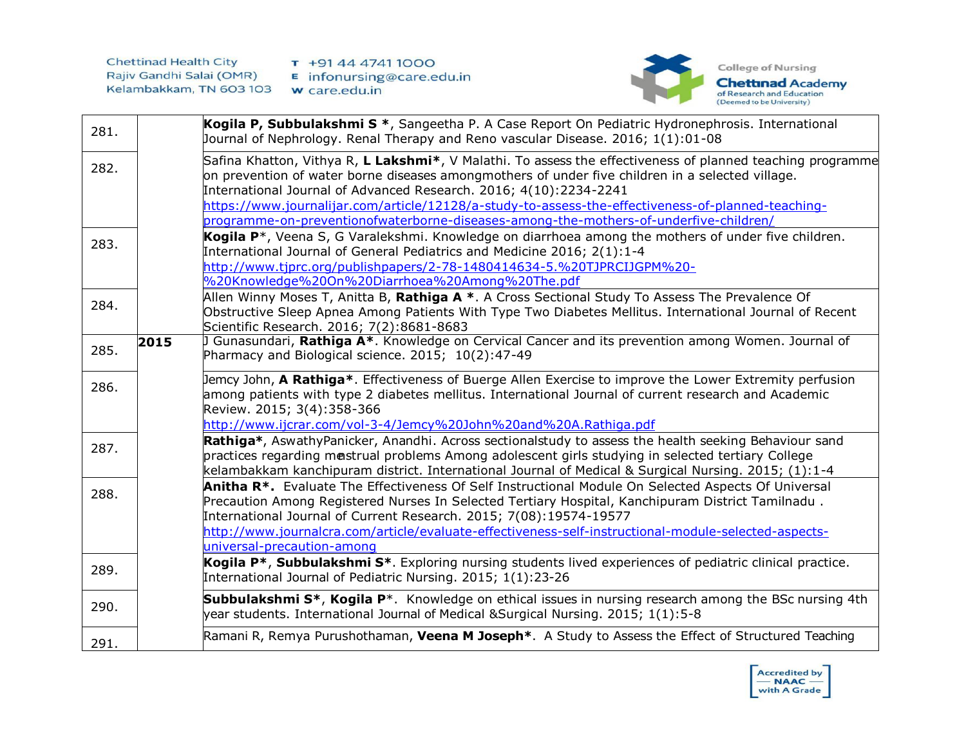

| 281. |      | Kogila P, Subbulakshmi S *, Sangeetha P. A Case Report On Pediatric Hydronephrosis. International<br>Journal of Nephrology. Renal Therapy and Reno vascular Disease. 2016; 1(1):01-08                                                                                                                                                                                                                                                                                              |
|------|------|------------------------------------------------------------------------------------------------------------------------------------------------------------------------------------------------------------------------------------------------------------------------------------------------------------------------------------------------------------------------------------------------------------------------------------------------------------------------------------|
| 282. |      | Safina Khatton, Vithya R, L Lakshmi*, V Malathi. To assess the effectiveness of planned teaching programme<br>on prevention of water borne diseases amongmothers of under five children in a selected village.<br>International Journal of Advanced Research. 2016; 4(10):2234-2241<br>https://www.journalijar.com/article/12128/a-study-to-assess-the-effectiveness-of-planned-teaching-<br>programme-on-preventionofwaterborne-diseases-among-the-mothers-of-underfive-children/ |
| 283. |      | Kogila P <sup>*</sup> , Veena S, G Varalekshmi. Knowledge on diarrhoea among the mothers of under five children.<br>International Journal of General Pediatrics and Medicine 2016; 2(1):1-4<br>http://www.tjprc.org/publishpapers/2-78-1480414634-5.%20TJPRCIJGPM%20-<br>%20Knowledge%20On%20Diarrhoea%20Among%20The.pdf                                                                                                                                                           |
| 284. |      | Allen Winny Moses T, Anitta B, Rathiga A *. A Cross Sectional Study To Assess The Prevalence Of<br>Obstructive Sleep Apnea Among Patients With Type Two Diabetes Mellitus. International Journal of Recent<br>Scientific Research. 2016; 7(2):8681-8683                                                                                                                                                                                                                            |
| 285. | 2015 | Gunasundari, Rathiga A*. Knowledge on Cervical Cancer and its prevention among Women. Journal of<br>Pharmacy and Biological science. 2015; 10(2):47-49                                                                                                                                                                                                                                                                                                                             |
| 286. |      | Jemcy John, A Rathiga*. Effectiveness of Buerge Allen Exercise to improve the Lower Extremity perfusion<br>among patients with type 2 diabetes mellitus. International Journal of current research and Academic<br>Review. 2015; 3(4):358-366<br>http://www.ijcrar.com/vol-3-4/Jemcy%20John%20and%20A.Rathiga.pdf                                                                                                                                                                  |
| 287. |      | Rathiga*, AswathyPanicker, Anandhi. Across sectionalstudy to assess the health seeking Behaviour sand<br>practices regarding mestrual problems Among adolescent girls studying in selected tertiary College<br>kelambakkam kanchipuram district. International Journal of Medical & Surgical Nursing. 2015; (1):1-4                                                                                                                                                                |
| 288. |      | Anitha R <sup>*</sup> . Evaluate The Effectiveness Of Self Instructional Module On Selected Aspects Of Universal<br>Precaution Among Registered Nurses In Selected Tertiary Hospital, Kanchipuram District Tamilnadu.<br>International Journal of Current Research. 2015; 7(08):19574-19577<br>http://www.journalcra.com/article/evaluate-effectiveness-self-instructional-module-selected-aspects-<br>universal-precaution-among                                                  |
| 289. |      | Kogila P <sup>*</sup> , Subbulakshmi S <sup>*</sup> . Exploring nursing students lived experiences of pediatric clinical practice.<br>International Journal of Pediatric Nursing. 2015; 1(1):23-26                                                                                                                                                                                                                                                                                 |
| 290. |      | Subbulakshmi S <sup>*</sup> , Kogila P <sup>*</sup> . Knowledge on ethical issues in nursing research among the BSc nursing 4th<br>year students. International Journal of Medical & Surgical Nursing. 2015; 1(1):5-8                                                                                                                                                                                                                                                              |
| 291. |      | Ramani R, Remya Purushothaman, <b>Veena M Joseph*</b> . A Study to Assess the Effect of Structured Teaching                                                                                                                                                                                                                                                                                                                                                                        |

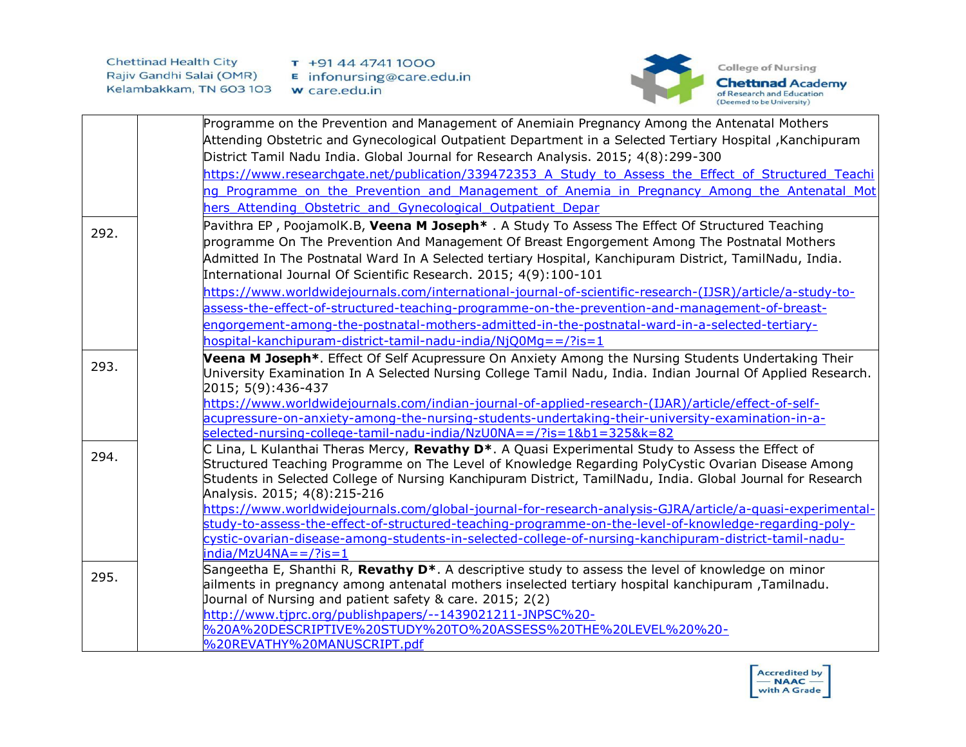

|      | Programme on the Prevention and Management of Anemiain Pregnancy Among the Antenatal Mothers                              |
|------|---------------------------------------------------------------------------------------------------------------------------|
|      | Kitending Obstetric and Gynecological Outpatient Department in a Selected Tertiary Hospital ,Kanchipuram                  |
|      | District Tamil Nadu India. Global Journal for Research Analysis. 2015; 4(8):299-300                                       |
|      | https://www.researchgate.net/publication/339472353 A Study to Assess the Effect of Structured Teachi                      |
|      | ng Programme on the Prevention and Management of Anemia in Pregnancy Among the Antenatal Mot                              |
|      | hers Attending Obstetric and Gynecological Outpatient Depar                                                               |
|      | Pavithra EP, PoojamolK.B, Veena M Joseph <sup>*</sup> . A Study To Assess The Effect Of Structured Teaching               |
| 292. | programme On The Prevention And Management Of Breast Engorgement Among The Postnatal Mothers                              |
|      | Admitted In The Postnatal Ward In A Selected tertiary Hospital, Kanchipuram District, TamilNadu, India.                   |
|      | International Journal Of Scientific Research. 2015; 4(9):100-101                                                          |
|      | https://www.worldwidejournals.com/international-journal-of-scientific-research-(IJSR)/article/a-study-to-                 |
|      | assess-the-effect-of-structured-teaching-programme-on-the-prevention-and-management-of-breast-                            |
|      | engorgement-among-the-postnatal-mothers-admitted-in-the-postnatal-ward-in-a-selected-tertiary-                            |
|      | hospital-kanchipuram-district-tamil-nadu-india/NjQ0Mq = = /?is = 1                                                        |
|      |                                                                                                                           |
| 293. | Veena M Joseph*. Effect Of Self Acupressure On Anxiety Among the Nursing Students Undertaking Their                       |
|      | University Examination In A Selected Nursing College Tamil Nadu, India. Indian Journal Of Applied Research.               |
|      | 2015; 5(9):436-437<br>https://www.worldwidejournals.com/indian-journal-of-applied-research-(IJAR)/article/effect-of-self- |
|      | acupressure-on-anxiety-among-the-nursing-students-undertaking-their-university-examination-in-a-                          |
|      | selected-nursing-college-tamil-nadu-india/NzU0NA==/?is=1&b1=325&k=82                                                      |
|      | C Lina, L Kulanthai Theras Mercy, Revathy D*. A Quasi Experimental Study to Assess the Effect of                          |
| 294. | Structured Teaching Programme on The Level of Knowledge Regarding PolyCystic Ovarian Disease Among                        |
|      | Students in Selected College of Nursing Kanchipuram District, TamilNadu, India. Global Journal for Research               |
|      | Analysis. 2015; 4(8):215-216                                                                                              |
|      | https://www.worldwidejournals.com/global-journal-for-research-analysis-GJRA/article/a-quasi-experimental-                 |
|      | study-to-assess-the-effect-of-structured-teaching-programme-on-the-level-of-knowledge-regarding-poly-                     |
|      | cystic-ovarian-disease-among-students-in-selected-college-of-nursing-kanchipuram-district-tamil-nadu-                     |
|      | $india/MzU4NA = 2/2is = 1$                                                                                                |
| 295. | Sangeetha E, Shanthi R, Revathy D <sup>*</sup> . A descriptive study to assess the level of knowledge on minor            |
|      | ailments in pregnancy among antenatal mothers inselected tertiary hospital kanchipuram ,Tamilnadu.                        |
|      | Journal of Nursing and patient safety & care. 2015; 2(2)                                                                  |
|      | http://www.tjprc.org/publishpapers/--1439021211-JNPSC%20-                                                                 |
|      | %20A%20DESCRIPTIVE%20STUDY%20TO%20ASSESS%20THE%20LEVEL%20%20-                                                             |
|      | %20REVATHY%20MANUSCRIPT.pdf                                                                                               |

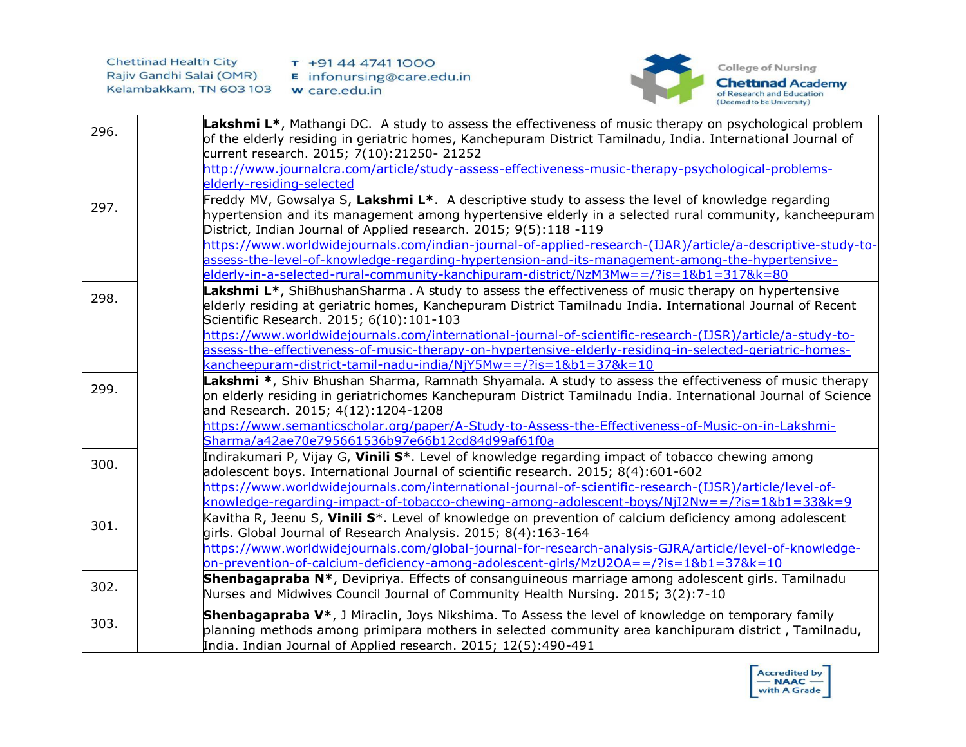

| 296. | Lakshmi L <sup>*</sup> , Mathangi DC. A study to assess the effectiveness of music therapy on psychological problem<br>of the elderly residing in geriatric homes, Kanchepuram District Tamilnadu, India. International Journal of<br>current research. 2015; 7(10):21250- 21252 |
|------|----------------------------------------------------------------------------------------------------------------------------------------------------------------------------------------------------------------------------------------------------------------------------------|
|      | http://www.journalcra.com/article/study-assess-effectiveness-music-therapy-psychological-problems-                                                                                                                                                                               |
|      | elderly-residing-selected                                                                                                                                                                                                                                                        |
| 297. | Freddy MV, Gowsalya S, Lakshmi L*. A descriptive study to assess the level of knowledge regarding<br>hypertension and its management among hypertensive elderly in a selected rural community, kancheepuram<br>District, Indian Journal of Applied research. 2015; 9(5):118 -119 |
|      | https://www.worldwidejournals.com/indian-journal-of-applied-research-(IJAR)/article/a-descriptive-study-to-                                                                                                                                                                      |
|      | assess-the-level-of-knowledge-regarding-hypertension-and-its-management-among-the-hypertensive-                                                                                                                                                                                  |
|      | elderly-in-a-selected-rural-community-kanchipuram-district/NzM3Mw==/?is=1&b1=317&k=80                                                                                                                                                                                            |
| 298. | Lakshmi L <sup>*</sup> , ShiBhushanSharma . A study to assess the effectiveness of music therapy on hypertensive<br>elderly residing at geriatric homes, Kanchepuram District Tamilnadu India. International Journal of Recent<br>Scientific Research. 2015; 6(10):101-103       |
|      | https://www.worldwidejournals.com/international-journal-of-scientific-research-(IJSR)/article/a-study-to-                                                                                                                                                                        |
|      | assess-the-effectiveness-of-music-therapy-on-hypertensive-elderly-residing-in-selected-geriatric-homes-                                                                                                                                                                          |
|      | kancheepuram-district-tamil-nadu-india/NjY5Mw==/?is=1&b1=37&k=10                                                                                                                                                                                                                 |
| 299. | Lakshmi <sup>*</sup> , Shiv Bhushan Sharma, Ramnath Shyamala. A study to assess the effectiveness of music therapy<br>on elderly residing in geriatrichomes Kanchepuram District Tamilnadu India. International Journal of Science<br>and Research. 2015; 4(12):1204-1208        |
|      | https://www.semanticscholar.org/paper/A-Study-to-Assess-the-Effectiveness-of-Music-on-in-Lakshmi-                                                                                                                                                                                |
|      | Sharma/a42ae70e795661536b97e66b12cd84d99af61f0a                                                                                                                                                                                                                                  |
| 300. | Indirakumari P, Vijay G, Vinili S <sup>*</sup> . Level of knowledge regarding impact of tobacco chewing among<br>adolescent boys. International Journal of scientific research. 2015; 8(4):601-602                                                                               |
|      | https://www.worldwidejournals.com/international-journal-of-scientific-research-(IJSR)/article/level-of-                                                                                                                                                                          |
|      | knowledge-regarding-impact-of-tobacco-chewing-among-adolescent-boys/NjI2Nw==/?is=1&b1=33&k=9                                                                                                                                                                                     |
| 301. | Kavitha R, Jeenu S, Vinili S <sup>*</sup> . Level of knowledge on prevention of calcium deficiency among adolescent<br>girls. Global Journal of Research Analysis. 2015; 8(4):163-164                                                                                            |
|      | https://www.worldwidejournals.com/global-journal-for-research-analysis-GJRA/article/level-of-knowledge-<br>on-prevention-of-calcium-deficiency-among-adolescent-girls/MzU2OA==/?is=1&b1=37&k=10                                                                                  |
|      | Shenbagapraba N*, Devipriya. Effects of consanguineous marriage among adolescent girls. Tamilnadu                                                                                                                                                                                |
| 302. | Nurses and Midwives Council Journal of Community Health Nursing. 2015; 3(2):7-10                                                                                                                                                                                                 |
| 303. | Shenbagapraba V*, J Miraclin, Joys Nikshima. To Assess the level of knowledge on temporary family<br>planning methods among primipara mothers in selected community area kanchipuram district, Tamilnadu,<br>India. Indian Journal of Applied research. 2015; 12(5):490-491      |

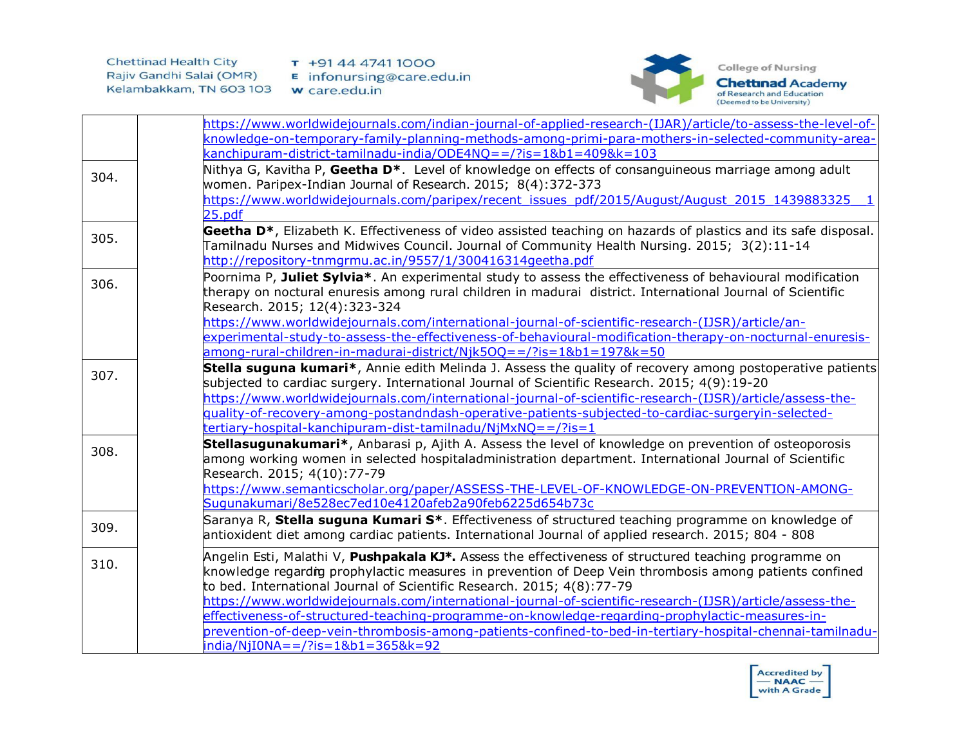

|      | https://www.worldwidejournals.com/indian-journal-of-applied-research-(IJAR)/article/to-assess-the-level-of-                 |
|------|-----------------------------------------------------------------------------------------------------------------------------|
|      | knowledge-on-temporary-family-planning-methods-among-primi-para-mothers-in-selected-community-area-                         |
|      | kanchipuram-district-tamilnadu-india/ODE4NQ = = /?is = 1&b1 = 409&k = 103                                                   |
| 304. | Nithya G, Kavitha P, Geetha D <sup>*</sup> . Level of knowledge on effects of consanguineous marriage among adult           |
|      | women. Paripex-Indian Journal of Research. 2015; 8(4):372-373                                                               |
|      | https://www.worldwidejournals.com/paripex/recent_issues_pdf/2015/August/August_2015_1439883325                              |
|      | 25.pdf                                                                                                                      |
| 305. | Geetha D <sup>*</sup> , Elizabeth K. Effectiveness of video assisted teaching on hazards of plastics and its safe disposal. |
|      | Tamilnadu Nurses and Midwives Council. Journal of Community Health Nursing. 2015; 3(2):11-14                                |
|      | http://repository-tnmgrmu.ac.in/9557/1/300416314geetha.pdf                                                                  |
| 306. | Poornima P, Juliet Sylvia*. An experimental study to assess the effectiveness of behavioural modification                   |
|      | therapy on noctural enuresis among rural children in madurai district. International Journal of Scientific                  |
|      | Research. 2015; 12(4): 323-324                                                                                              |
|      | https://www.worldwidejournals.com/international-journal-of-scientific-research-(IJSR)/article/an-                           |
|      | experimental-study-to-assess-the-effectiveness-of-behavioural-modification-therapy-on-nocturnal-enuresis-                   |
|      | among-rural-children-in-madurai-district/Njk5OQ = = /?is = 1&b1 = 197&k = 50                                                |
| 307. | Stella suguna kumari*, Annie edith Melinda J. Assess the quality of recovery among postoperative patients                   |
|      | subjected to cardiac surgery. International Journal of Scientific Research. 2015; 4(9):19-20                                |
|      | https://www.worldwidejournals.com/international-journal-of-scientific-research-(IJSR)/article/assess-the-                   |
|      | quality-of-recovery-among-postandndash-operative-patients-subjected-to-cardiac-surgeryin-selected-                          |
|      | tertiary-hospital-kanchipuram-dist-tamilnadu/NjMxNQ==/?is=1                                                                 |
| 308. | Stellasugunakumari*, Anbarasi p, Ajith A. Assess the level of knowledge on prevention of osteoporosis                       |
|      | among working women in selected hospitaladministration department. International Journal of Scientific                      |
|      | Research. 2015; 4(10): 77-79                                                                                                |
|      | https://www.semanticscholar.org/paper/ASSESS-THE-LEVEL-OF-KNOWLEDGE-ON-PREVENTION-AMONG-                                    |
|      | Sugunakumari/8e528ec7ed10e4120afeb2a90feb6225d654b73c                                                                       |
| 309. | Saranya R, Stella suguna Kumari S <sup>*</sup> . Effectiveness of structured teaching programme on knowledge of             |
|      | antioxident diet among cardiac patients. International Journal of applied research. 2015; 804 - 808                         |
|      | Angelin Esti, Malathi V, Pushpakala KJ*. Assess the effectiveness of structured teaching programme on                       |
| 310. | knowledge regardig prophylactic measures in prevention of Deep Vein thrombosis among patients confined                      |
|      | to bed. International Journal of Scientific Research. 2015; 4(8):77-79                                                      |
|      | https://www.worldwidejournals.com/international-journal-of-scientific-research-(IJSR)/article/assess-the-                   |
|      | effectiveness-of-structured-teaching-programme-on-knowledge-regarding-prophylactic-measures-in-                             |
|      | prevention-of-deep-vein-thrombosis-among-patients-confined-to-bed-in-tertiary-hospital-chennai-tamilnadu-                   |
|      | $india/NjIONA = 2/2is = 1&b1 = 365&k = 92$                                                                                  |

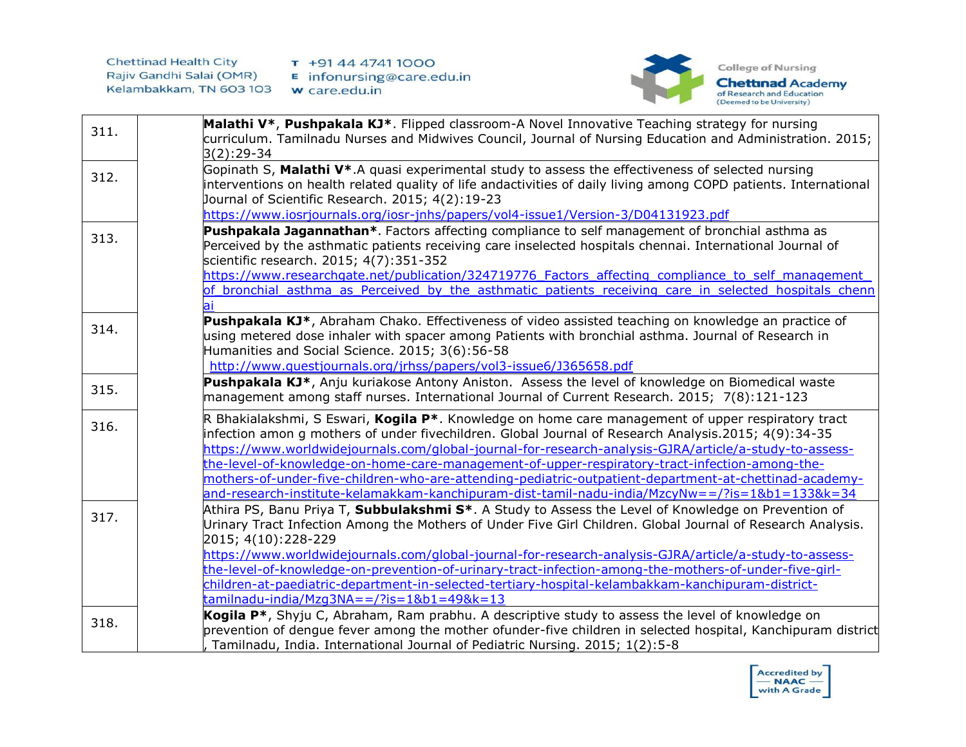

| 311. | Malathi V*, Pushpakala KJ*. Flipped classroom-A Novel Innovative Teaching strategy for nursing<br>curriculum. Tamilnadu Nurses and Midwives Council, Journal of Nursing Education and Administration. 2015;<br>$3(2):29-34$                                                                                                                                                                                                                                                                                                                                                                                                        |
|------|------------------------------------------------------------------------------------------------------------------------------------------------------------------------------------------------------------------------------------------------------------------------------------------------------------------------------------------------------------------------------------------------------------------------------------------------------------------------------------------------------------------------------------------------------------------------------------------------------------------------------------|
| 312. | Gopinath S, Malathi V*.A quasi experimental study to assess the effectiveness of selected nursing<br>interventions on health related quality of life andactivities of daily living among COPD patients. International<br>Journal of Scientific Research. 2015; 4(2):19-23<br>https://www.iosrjournals.org/iosr-jnhs/papers/vol4-issue1/Version-3/D04131923.pdf                                                                                                                                                                                                                                                                     |
| 313. | Pushpakala Jagannathan*. Factors affecting compliance to self management of bronchial asthma as<br>Perceived by the asthmatic patients receiving care inselected hospitals chennai. International Journal of<br>scientific research. 2015; 4(7):351-352<br>https://www.researchgate.net/publication/324719776 Factors affecting compliance to self management<br>of bronchial asthma as Perceived by the asthmatic patients receiving care in selected hospitals chenn                                                                                                                                                             |
| 314. | Pushpakala KJ*, Abraham Chako. Effectiveness of video assisted teaching on knowledge an practice of<br>using metered dose inhaler with spacer among Patients with bronchial asthma. Journal of Research in<br>Humanities and Social Science. 2015; 3(6):56-58<br>http://www.questjournals.org/jrhss/papers/vol3-issue6/J365658.pdf                                                                                                                                                                                                                                                                                                 |
| 315. | Pushpakala KJ*, Anju kuriakose Antony Aniston. Assess the level of knowledge on Biomedical waste<br>management among staff nurses. International Journal of Current Research. 2015; 7(8):121-123                                                                                                                                                                                                                                                                                                                                                                                                                                   |
| 316. | R Bhakialakshmi, S Eswari, Kogila P*. Knowledge on home care management of upper respiratory tract<br>infection amon g mothers of under fivechildren. Global Journal of Research Analysis.2015; 4(9):34-35<br>https://www.worldwidejournals.com/global-journal-for-research-analysis-GJRA/article/a-study-to-assess-<br>the-level-of-knowledge-on-home-care-management-of-upper-respiratory-tract-infection-among-the-<br>mothers-of-under-five-children-who-are-attending-pediatric-outpatient-department-at-chettinad-academy-<br>and-research-institute-kelamakkam-kanchipuram-dist-tamil-nadu-india/MzcyNw==/?is=1&b1=133&k=34 |
| 317. | Athira PS, Banu Priya T, Subbulakshmi S*. A Study to Assess the Level of Knowledge on Prevention of<br>Urinary Tract Infection Among the Mothers of Under Five Girl Children. Global Journal of Research Analysis.<br>2015; 4(10):228-229<br>https://www.worldwidejournals.com/global-journal-for-research-analysis-GJRA/article/a-study-to-assess-<br>the-level-of-knowledge-on-prevention-of-urinary-tract-infection-among-the-mothers-of-under-five-girl-<br>children-at-paediatric-department-in-selected-tertiary-hospital-kelambakkam-kanchipuram-district-<br>$t$ amilnadu-india/Mzq3NA==/?is=1&b1=49&k=13                  |
| 318. | Kogila P <sup>*</sup> , Shyju C, Abraham, Ram prabhu. A descriptive study to assess the level of knowledge on<br>prevention of dengue fever among the mother ofunder-five children in selected hospital, Kanchipuram district<br>Tamilnadu, India. International Journal of Pediatric Nursing. 2015; 1(2):5-8                                                                                                                                                                                                                                                                                                                      |

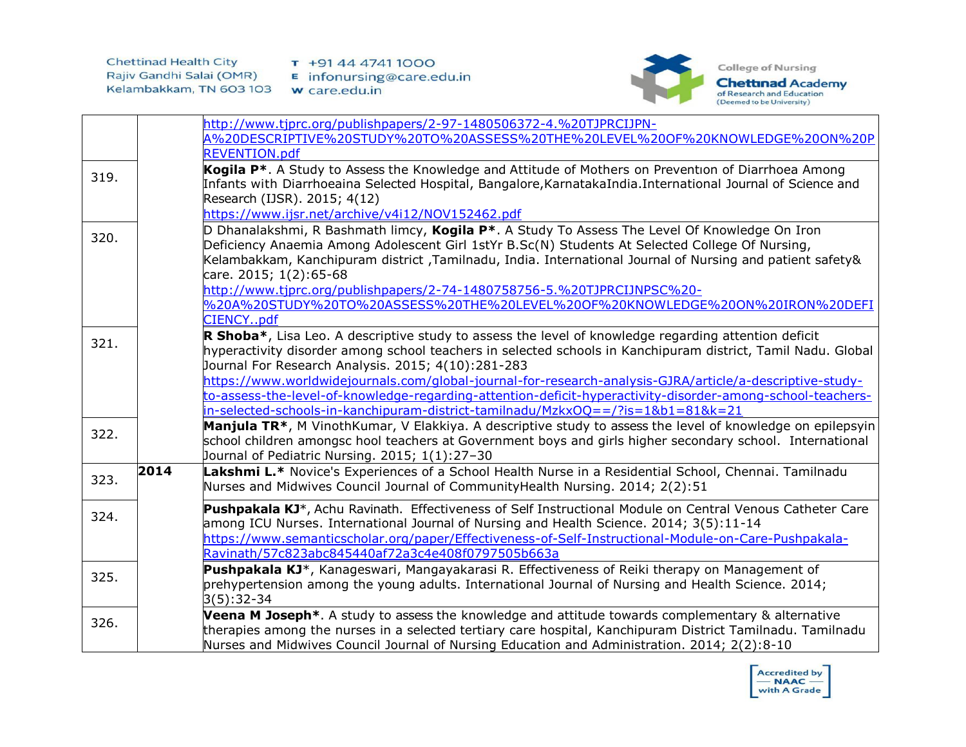

|      |      | http://www.tjprc.org/publishpapers/2-97-1480506372-4.%20TJPRCIJPN-                                                     |
|------|------|------------------------------------------------------------------------------------------------------------------------|
|      |      | A%20DESCRIPTIVE%20STUDY%20TO%20ASSESS%20THE%20LEVEL%20OF%20KNOWLEDGE%20ON%20P                                          |
|      |      | <b>REVENTION.pdf</b>                                                                                                   |
|      |      | Kogila P <sup>*</sup> . A Study to Assess the Knowledge and Attitude of Mothers on Prevention of Diarrhoea Among       |
| 319. |      | Infants with Diarrhoeaina Selected Hospital, Bangalore, KarnatakaIndia. International Journal of Science and           |
|      |      | Research (IJSR). 2015; 4(12)                                                                                           |
|      |      | https://www.ijsr.net/archive/v4i12/NOV152462.pdf                                                                       |
|      |      | D Dhanalakshmi, R Bashmath limcy, Kogila P*. A Study To Assess The Level Of Knowledge On Iron                          |
| 320. |      | Deficiency Anaemia Among Adolescent Girl 1stYr B.Sc(N) Students At Selected College Of Nursing,                        |
|      |      | Kelambakkam, Kanchipuram district ,Tamilnadu, India. International Journal of Nursing and patient safety&              |
|      |      | care. 2015; 1(2):65-68                                                                                                 |
|      |      | http://www.tjprc.org/publishpapers/2-74-1480758756-5.%20TJPRCIJNPSC%20-                                                |
|      |      | %20A%20STUDY%20TO%20ASSESS%20THE%20LEVEL%20OF%20KNOWLEDGE%20ON%20IRON%20DEFI                                           |
|      |      | CIENCYpdf                                                                                                              |
|      |      | R Shoba*, Lisa Leo. A descriptive study to assess the level of knowledge regarding attention deficit                   |
| 321. |      | hyperactivity disorder among school teachers in selected schools in Kanchipuram district, Tamil Nadu. Global           |
|      |      | Journal For Research Analysis. 2015; 4(10):281-283                                                                     |
|      |      | https://www.worldwidejournals.com/global-journal-for-research-analysis-GJRA/article/a-descriptive-study-               |
|      |      | to-assess-the-level-of-knowledge-regarding-attention-deficit-hyperactivity-disorder-among-school-teachers-             |
|      |      | in-selected-schools-in-kanchipuram-district-tamilnadu/MzkxOQ==/?is=1&b1=81&k=21                                        |
| 322. |      | Manjula TR*, M VinothKumar, V Elakkiya. A descriptive study to assess the level of knowledge on epilepsyin             |
|      |      | school children amongsc hool teachers at Government boys and girls higher secondary school. International              |
|      |      | Journal of Pediatric Nursing. 2015; 1(1):27-30                                                                         |
| 323. | 2014 | Lakshmi L.* Novice's Experiences of a School Health Nurse in a Residential School, Chennai. Tamilnadu                  |
|      |      | Nurses and Midwives Council Journal of CommunityHealth Nursing. 2014; 2(2):51                                          |
|      |      | Pushpakala KJ <sup>*</sup> , Achu Ravinath. Effectiveness of Self Instructional Module on Central Venous Catheter Care |
| 324. |      | among ICU Nurses. International Journal of Nursing and Health Science. 2014; 3(5):11-14                                |
|      |      | https://www.semanticscholar.org/paper/Effectiveness-of-Self-Instructional-Module-on-Care-Pushpakala-                   |
|      |      | Ravinath/57c823abc845440af72a3c4e408f0797505b663a                                                                      |
|      |      | Pushpakala KJ*, Kanageswari, Mangayakarasi R. Effectiveness of Reiki therapy on Management of                          |
| 325. |      | prehypertension among the young adults. International Journal of Nursing and Health Science. 2014;                     |
|      |      | $3(5):32-34$                                                                                                           |
|      |      | Veena M Joseph <sup>*</sup> . A study to assess the knowledge and attitude towards complementary & alternative         |
| 326. |      | therapies among the nurses in a selected tertiary care hospital, Kanchipuram District Tamilnadu. Tamilnadu             |
|      |      | Nurses and Midwives Council Journal of Nursing Education and Administration. 2014; 2(2):8-10                           |
|      |      |                                                                                                                        |